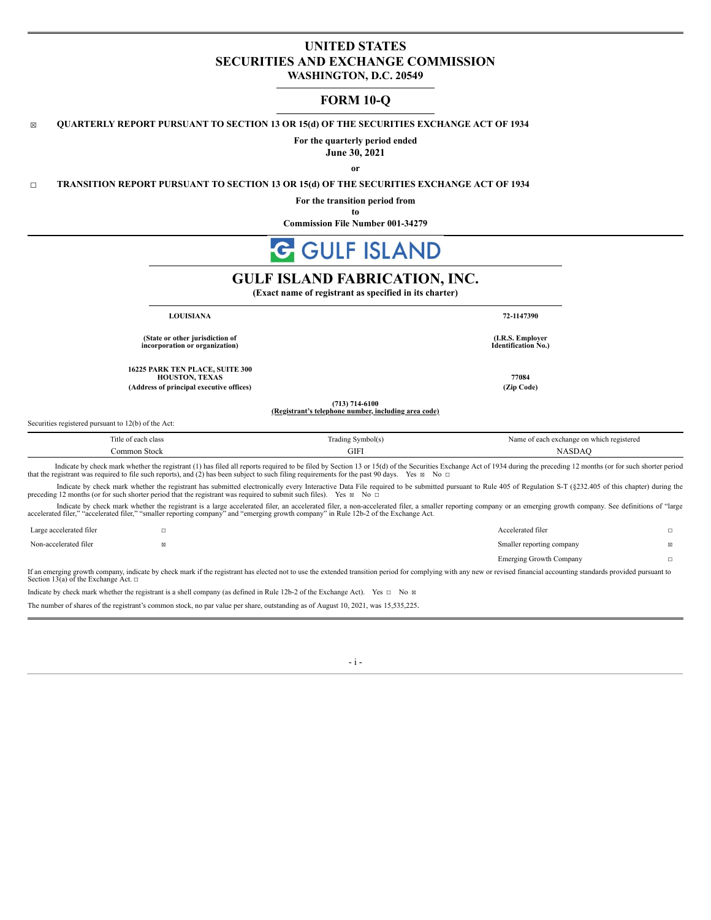# **UNITED STATES SECURITIES AND EXCHANGE COMMISSION WASHINGTON, D.C. 20549**

# **FORM 10-Q**

## ☒ **QUARTERLY REPORT PURSUANT TO SECTION 13 OR 15(d) OF THE SECURITIES EXCHANGE ACT OF 1934**

**For the quarterly period ended**

**June 30, 2021**

**or**

☐ **TRANSITION REPORT PURSUANT TO SECTION 13 OR 15(d) OF THE SECURITIES EXCHANGE ACT OF 1934**

**For the transition period from**

**to**

**Commission File Number 001-34279**

# **GULF ISLAND**

# **GULF ISLAND FABRICATION, INC.**

**(Exact name of registrant as specified in its charter)**

**(State or other jurisdiction of incorporation or organization)**

**16225 PARK TEN PLACE, SUITE 300 HOUSTON, TEXAS 77084 (Address of principal executive offices) (Zip Code)**

**LOUISIANA 72-1147390**

**(I.R.S. Employer Identification No.)**

Securities registered pursuant to 12(b) of the Act:

| ntle.<br>ch class                  | * Symbol(s)<br>adıng " | n exchange on which registered<br>the contract of the contract of the |
|------------------------------------|------------------------|-----------------------------------------------------------------------|
| Commo <sub>b</sub><br><b>Stock</b> | GIFI                   | ASD                                                                   |

**(713) 714-6100 (Registrant's telephone number, including area code)**

Indicate by check mark whether the registrant (1) has filed all reports required to be filed by Section 13 or 15(d) of the Securities Exchange Act of 1934 during the preceding 12 months (or for such shorter period that the registrant was required to file such reports), and (2) has been subject to such filing requirements for the past 90 days. Yes  $\boxtimes$  No  $\Box$ 

Indicate by check mark whether the registrant has submitted electronically every Interactive Data File required to be submitted pursuant to Rule 405 of Regulation S-T (§232.405 of this chapter) during the preceding 12 mon

Indicate by check mark whether the registrant is a large accelerated filer, an accelerated filer, a non-accelerated filer, a smaller reporting company or an emerging growth company. See definitions of "large accelerated filer," "accelerated filer," "smaller reporting company" and "emerging growth company" in Rule 12b-2 of the Exchange Act.

| Large accelerated filer |                                                                                                                                                                                                                         | Accelerated filer         |    |
|-------------------------|-------------------------------------------------------------------------------------------------------------------------------------------------------------------------------------------------------------------------|---------------------------|----|
| Non-accelerated filer   |                                                                                                                                                                                                                         | Smaller reporting company | ⊠  |
|                         |                                                                                                                                                                                                                         | Emerging Growth Company   | П. |
|                         | If an emerging growth company, indicate by check mark if the registrant has elected not to use the extended transition period for complying with any new or revised financial accounting standards provided pursuant to |                           |    |

Section 13(a) of the Exchange Act.  $□$ 

Indicate by check mark whether the registrant is a shell company (as defined in Rule 12b-2 of the Exchange Act). Yes  $\Box$  No  $\Box$ 

The number of shares of the registrant's common stock, no par value per share, outstanding as of August 10, 2021, was 15,535,225.

- i -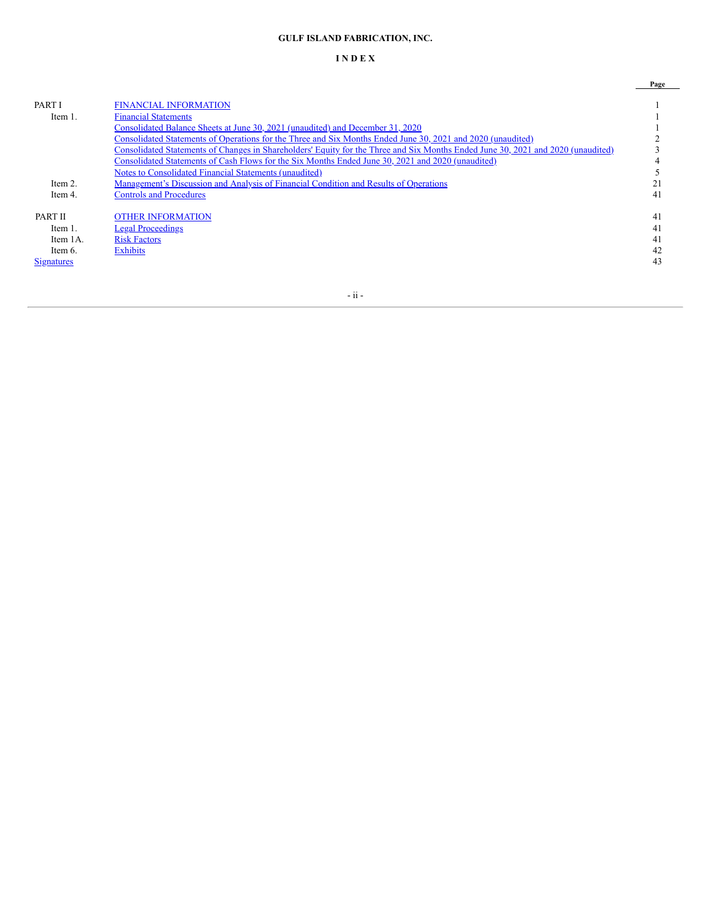# **GULF ISLAND FABRICATION, INC.**

# **I N D E X**

|                   |                                                                                                                                  | Page |
|-------------------|----------------------------------------------------------------------------------------------------------------------------------|------|
|                   |                                                                                                                                  |      |
| <b>PART I</b>     | <b>FINANCIAL INFORMATION</b>                                                                                                     |      |
| Item 1.           | <b>Financial Statements</b>                                                                                                      |      |
|                   | Consolidated Balance Sheets at June 30, 2021 (unaudited) and December 31, 2020                                                   |      |
|                   | Consolidated Statements of Operations for the Three and Six Months Ended June 30, 2021 and 2020 (unaudited)                      |      |
|                   | Consolidated Statements of Changes in Shareholders' Equity for the Three and Six Months Ended June 30, 2021 and 2020 (unaudited) |      |
|                   | Consolidated Statements of Cash Flows for the Six Months Ended June 30, 2021 and 2020 (unaudited)                                |      |
|                   | Notes to Consolidated Financial Statements (unaudited)                                                                           |      |
| Item 2.           | Management's Discussion and Analysis of Financial Condition and Results of Operations                                            |      |
| Item 4.           | <b>Controls and Procedures</b>                                                                                                   | 41   |
| <b>PART II</b>    | <b>OTHER INFORMATION</b>                                                                                                         | 41   |
| Item 1.           | <b>Legal Proceedings</b>                                                                                                         | 41   |
| Item 1A.          | <b>Risk Factors</b>                                                                                                              | 41   |
| Item 6.           | <b>Exhibits</b>                                                                                                                  | 42   |
| <b>Signatures</b> |                                                                                                                                  | 43   |
|                   |                                                                                                                                  |      |

- ii -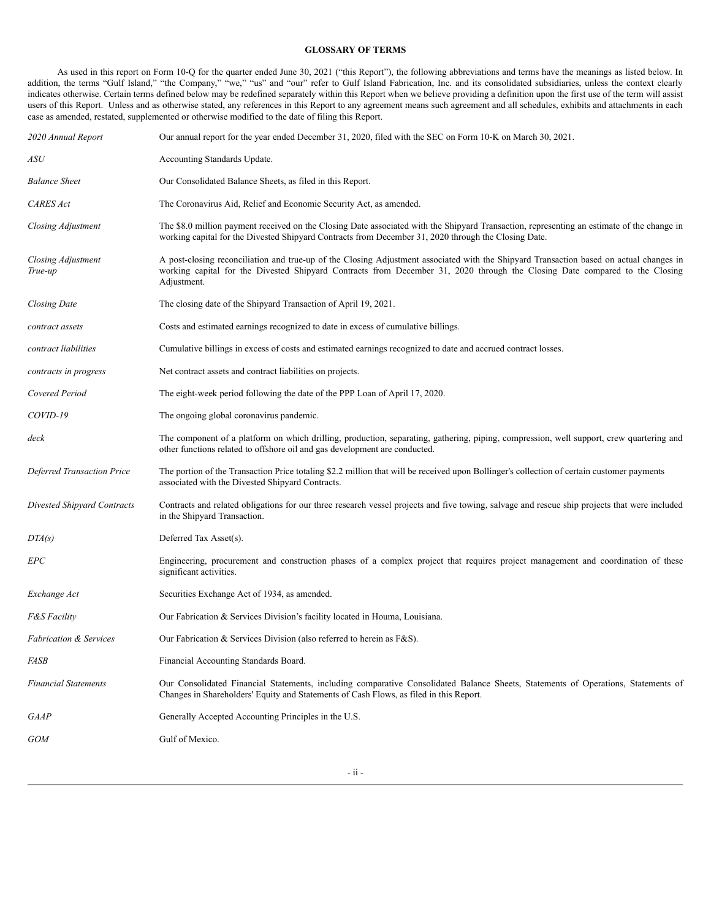## **GLOSSARY OF TERMS**

As used in this report on Form 10-Q for the quarter ended June 30, 2021 ("this Report"), the following abbreviations and terms have the meanings as listed below. In addition, the terms "Gulf Island," "the Company," "we," "us" and "our" refer to Gulf Island Fabrication, Inc. and its consolidated subsidiaries, unless the context clearly indicates otherwise. Certain terms defined below may be redefined separately within this Report when we believe providing a definition upon the first use of the term will assist users of this Report. Unless and as otherwise stated, any references in this Report to any agreement means such agreement and all schedules, exhibits and attachments in each case as amended, restated, supplemented or otherwise modified to the date of filing this Report.

| 2020 Annual Report                 | Our annual report for the year ended December 31, 2020, filed with the SEC on Form 10-K on March 30, 2021.                                                                                                                                                                            |
|------------------------------------|---------------------------------------------------------------------------------------------------------------------------------------------------------------------------------------------------------------------------------------------------------------------------------------|
| ASU                                | Accounting Standards Update.                                                                                                                                                                                                                                                          |
| <b>Balance Sheet</b>               | Our Consolidated Balance Sheets, as filed in this Report.                                                                                                                                                                                                                             |
| <b>CARES</b> Act                   | The Coronavirus Aid, Relief and Economic Security Act, as amended.                                                                                                                                                                                                                    |
| Closing Adjustment                 | The \$8.0 million payment received on the Closing Date associated with the Shipyard Transaction, representing an estimate of the change in<br>working capital for the Divested Shipyard Contracts from December 31, 2020 through the Closing Date.                                    |
| Closing Adjustment<br>True-up      | A post-closing reconciliation and true-up of the Closing Adjustment associated with the Shipyard Transaction based on actual changes in<br>working capital for the Divested Shipyard Contracts from December 31, 2020 through the Closing Date compared to the Closing<br>Adjustment. |
| Closing Date                       | The closing date of the Shipyard Transaction of April 19, 2021.                                                                                                                                                                                                                       |
| contract assets                    | Costs and estimated earnings recognized to date in excess of cumulative billings.                                                                                                                                                                                                     |
| contract liabilities               | Cumulative billings in excess of costs and estimated earnings recognized to date and accrued contract losses.                                                                                                                                                                         |
| contracts in progress              | Net contract assets and contract liabilities on projects.                                                                                                                                                                                                                             |
| Covered Period                     | The eight-week period following the date of the PPP Loan of April 17, 2020.                                                                                                                                                                                                           |
| COVID-19                           | The ongoing global coronavirus pandemic.                                                                                                                                                                                                                                              |
| deck                               | The component of a platform on which drilling, production, separating, gathering, piping, compression, well support, crew quartering and<br>other functions related to offshore oil and gas development are conducted.                                                                |
| <b>Deferred Transaction Price</b>  | The portion of the Transaction Price totaling \$2.2 million that will be received upon Bollinger's collection of certain customer payments<br>associated with the Divested Shipyard Contracts.                                                                                        |
| <b>Divested Shipyard Contracts</b> | Contracts and related obligations for our three research vessel projects and five towing, salvage and rescue ship projects that were included<br>in the Shipyard Transaction.                                                                                                         |
| DTA(s)                             | Deferred Tax Asset(s).                                                                                                                                                                                                                                                                |
| EPC                                | Engineering, procurement and construction phases of a complex project that requires project management and coordination of these<br>significant activities.                                                                                                                           |
| Exchange Act                       | Securities Exchange Act of 1934, as amended.                                                                                                                                                                                                                                          |
| <b>F&amp;S Facility</b>            | Our Fabrication & Services Division's facility located in Houma, Louisiana.                                                                                                                                                                                                           |
| <b>Fabrication &amp; Services</b>  | Our Fabrication & Services Division (also referred to herein as $F & S$ ).                                                                                                                                                                                                            |
| FASB                               | Financial Accounting Standards Board.                                                                                                                                                                                                                                                 |
| <b>Financial Statements</b>        | Our Consolidated Financial Statements, including comparative Consolidated Balance Sheets, Statements of Operations, Statements of<br>Changes in Shareholders' Equity and Statements of Cash Flows, as filed in this Report.                                                           |
| GAAP                               | Generally Accepted Accounting Principles in the U.S.                                                                                                                                                                                                                                  |
| GOM                                | Gulf of Mexico.                                                                                                                                                                                                                                                                       |
|                                    |                                                                                                                                                                                                                                                                                       |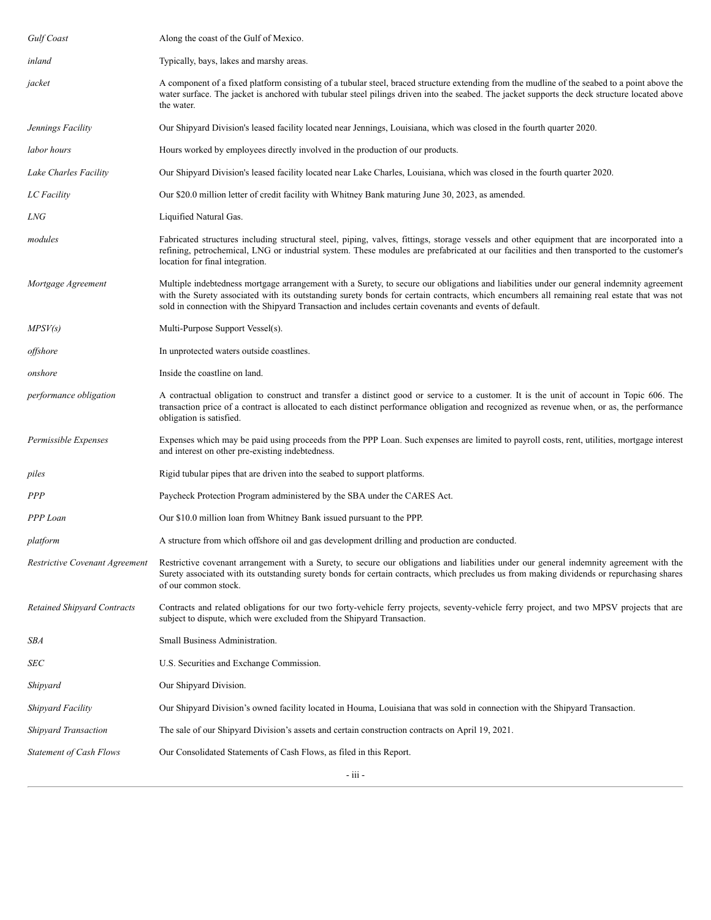| Gulf Coast                         | Along the coast of the Gulf of Mexico.                                                                                                                                                                                                                                                                                                                                                            |
|------------------------------------|---------------------------------------------------------------------------------------------------------------------------------------------------------------------------------------------------------------------------------------------------------------------------------------------------------------------------------------------------------------------------------------------------|
| inland                             | Typically, bays, lakes and marshy areas.                                                                                                                                                                                                                                                                                                                                                          |
| jacket                             | A component of a fixed platform consisting of a tubular steel, braced structure extending from the mudline of the seabed to a point above the<br>water surface. The jacket is anchored with tubular steel pilings driven into the seabed. The jacket supports the deck structure located above<br>the water.                                                                                      |
| Jennings Facility                  | Our Shipyard Division's leased facility located near Jennings, Louisiana, which was closed in the fourth quarter 2020.                                                                                                                                                                                                                                                                            |
| labor hours                        | Hours worked by employees directly involved in the production of our products.                                                                                                                                                                                                                                                                                                                    |
| Lake Charles Facility              | Our Shipyard Division's leased facility located near Lake Charles, Louisiana, which was closed in the fourth quarter 2020.                                                                                                                                                                                                                                                                        |
| LC Facility                        | Our \$20.0 million letter of credit facility with Whitney Bank maturing June 30, 2023, as amended.                                                                                                                                                                                                                                                                                                |
| LNG                                | Liquified Natural Gas.                                                                                                                                                                                                                                                                                                                                                                            |
| modules                            | Fabricated structures including structural steel, piping, valves, fittings, storage vessels and other equipment that are incorporated into a<br>refining, petrochemical, LNG or industrial system. These modules are prefabricated at our facilities and then transported to the customer's<br>location for final integration.                                                                    |
| Mortgage Agreement                 | Multiple indebtedness mortgage arrangement with a Surety, to secure our obligations and liabilities under our general indemnity agreement<br>with the Surety associated with its outstanding surety bonds for certain contracts, which encumbers all remaining real estate that was not<br>sold in connection with the Shipyard Transaction and includes certain covenants and events of default. |
| MPSV(s)                            | Multi-Purpose Support Vessel(s).                                                                                                                                                                                                                                                                                                                                                                  |
| offshore                           | In unprotected waters outside coastlines.                                                                                                                                                                                                                                                                                                                                                         |
| onshore                            | Inside the coastline on land.                                                                                                                                                                                                                                                                                                                                                                     |
| performance obligation             | A contractual obligation to construct and transfer a distinct good or service to a customer. It is the unit of account in Topic 606. The<br>transaction price of a contract is allocated to each distinct performance obligation and recognized as revenue when, or as, the performance<br>obligation is satisfied.                                                                               |
| Permissible Expenses               | Expenses which may be paid using proceeds from the PPP Loan. Such expenses are limited to payroll costs, rent, utilities, mortgage interest<br>and interest on other pre-existing indebtedness.                                                                                                                                                                                                   |
| piles                              | Rigid tubular pipes that are driven into the seabed to support platforms.                                                                                                                                                                                                                                                                                                                         |
| PPP                                | Paycheck Protection Program administered by the SBA under the CARES Act.                                                                                                                                                                                                                                                                                                                          |
| PPP Loan                           | Our \$10.0 million loan from Whitney Bank issued pursuant to the PPP.                                                                                                                                                                                                                                                                                                                             |
| platform                           | A structure from which offshore oil and gas development drilling and production are conducted.                                                                                                                                                                                                                                                                                                    |
| Restrictive Covenant Agreement     | Restrictive covenant arrangement with a Surety, to secure our obligations and liabilities under our general indemnity agreement with the<br>Surety associated with its outstanding surety bonds for certain contracts, which precludes us from making dividends or repurchasing shares<br>of our common stock.                                                                                    |
| <b>Retained Shipyard Contracts</b> | Contracts and related obligations for our two forty-vehicle ferry projects, seventy-vehicle ferry project, and two MPSV projects that are<br>subject to dispute, which were excluded from the Shipyard Transaction.                                                                                                                                                                               |
| SBA                                | Small Business Administration.                                                                                                                                                                                                                                                                                                                                                                    |
| SEC                                | U.S. Securities and Exchange Commission.                                                                                                                                                                                                                                                                                                                                                          |
| Shipyard                           | Our Shipyard Division.                                                                                                                                                                                                                                                                                                                                                                            |
| Shipyard Facility                  | Our Shipyard Division's owned facility located in Houma, Louisiana that was sold in connection with the Shipyard Transaction.                                                                                                                                                                                                                                                                     |
| Shipyard Transaction               | The sale of our Shipyard Division's assets and certain construction contracts on April 19, 2021.                                                                                                                                                                                                                                                                                                  |
| <b>Statement of Cash Flows</b>     | Our Consolidated Statements of Cash Flows, as filed in this Report.                                                                                                                                                                                                                                                                                                                               |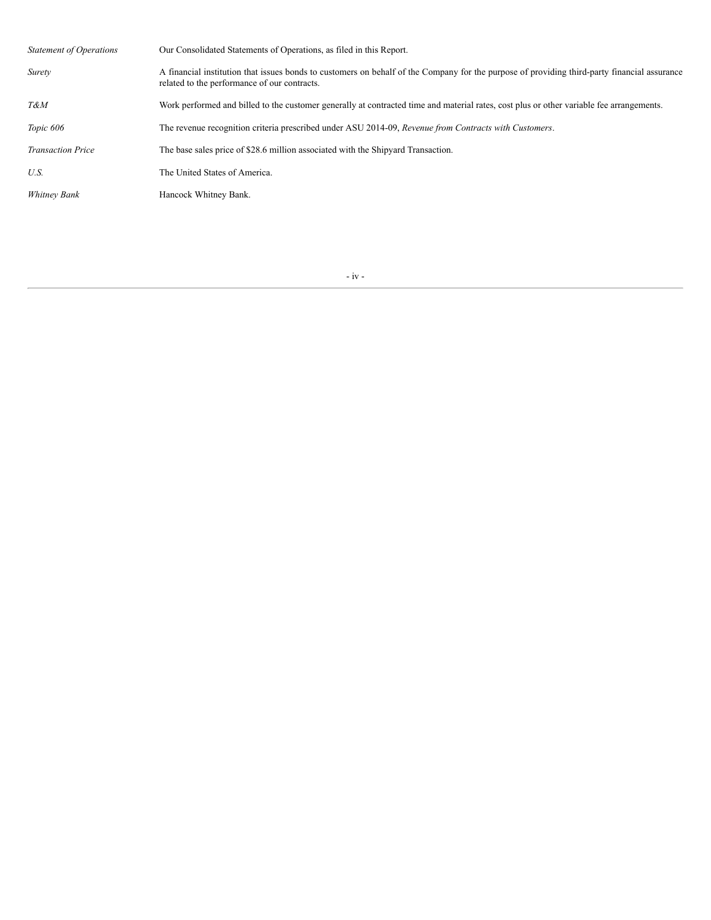| <b>Statement of Operations</b> | Our Consolidated Statements of Operations, as filed in this Report.                                                                                                                          |
|--------------------------------|----------------------------------------------------------------------------------------------------------------------------------------------------------------------------------------------|
| Surety                         | A financial institution that issues bonds to customers on behalf of the Company for the purpose of providing third-party financial assurance<br>related to the performance of our contracts. |
| T&M                            | Work performed and billed to the customer generally at contracted time and material rates, cost plus or other variable fee arrangements.                                                     |
| Topic 606                      | The revenue recognition criteria prescribed under ASU 2014-09, Revenue from Contracts with Customers.                                                                                        |
| <b>Transaction Price</b>       | The base sales price of \$28.6 million associated with the Shipyard Transaction.                                                                                                             |
| U.S.                           | The United States of America.                                                                                                                                                                |
| Whitney Bank                   | Hancock Whitney Bank.                                                                                                                                                                        |
|                                |                                                                                                                                                                                              |

- iv -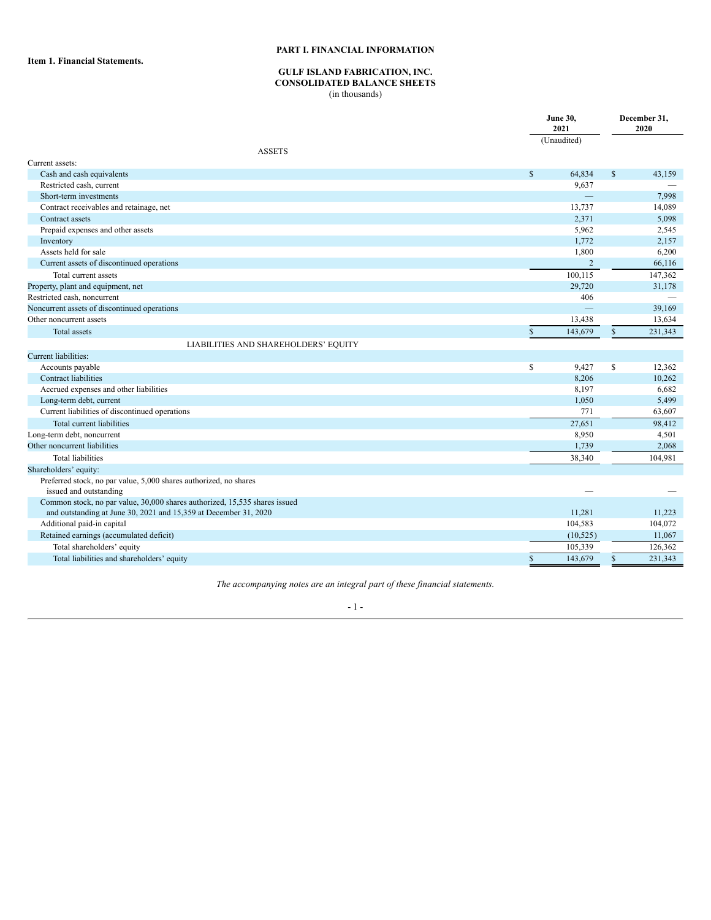# **PART I. FINANCIAL INFORMATION**

<span id="page-5-2"></span><span id="page-5-1"></span><span id="page-5-0"></span>**Item 1. Financial Statements.**

# **GULF ISLAND FABRICATION, INC.**

# **CONSOLIDATED BALANCE SHEETS**

(in thousands)

|                                                                            |               | <b>June 30,</b><br>2021 |               | December 31,<br>2020 |
|----------------------------------------------------------------------------|---------------|-------------------------|---------------|----------------------|
| <b>ASSETS</b>                                                              |               | (Unaudited)             |               |                      |
| Current assets:                                                            |               |                         |               |                      |
| Cash and cash equivalents                                                  | $\mathsf{\$}$ | 64,834                  | $\mathsf{\$}$ | 43,159               |
| Restricted cash, current                                                   |               | 9,637                   |               |                      |
| Short-term investments                                                     |               |                         |               | 7,998                |
| Contract receivables and retainage, net                                    |               | 13,737                  |               | 14,089               |
| Contract assets                                                            |               | 2,371                   |               | 5,098                |
| Prepaid expenses and other assets                                          |               | 5,962                   |               | 2,545                |
| Inventory                                                                  |               | 1,772                   |               | 2,157                |
| Assets held for sale                                                       |               | 1,800                   |               | 6,200                |
| Current assets of discontinued operations                                  |               | $\overline{2}$          |               | 66,116               |
| Total current assets                                                       |               | 100,115                 |               | 147,362              |
| Property, plant and equipment, net                                         |               | 29,720                  |               | 31,178               |
| Restricted cash, noncurrent                                                |               | 406                     |               |                      |
| Noncurrent assets of discontinued operations                               |               | Ц.                      |               | 39,169               |
| Other noncurrent assets                                                    |               | 13,438                  |               | 13,634               |
| Total assets                                                               | $\$$          | 143,679                 | $\mathbb{S}$  | 231.343              |
| LIABILITIES AND SHAREHOLDERS' EQUITY                                       |               |                         |               |                      |
| Current liabilities:                                                       |               |                         |               |                      |
| Accounts payable                                                           | \$            | 9,427                   | \$            | 12,362               |
| Contract liabilities                                                       |               | 8,206                   |               | 10,262               |
| Accrued expenses and other liabilities                                     |               | 8,197                   |               | 6,682                |
| Long-term debt, current                                                    |               | 1,050                   |               | 5,499                |
| Current liabilities of discontinued operations                             |               | 771                     |               | 63,607               |
| Total current liabilities                                                  |               | 27,651                  |               | 98,412               |
| Long-term debt, noncurrent                                                 |               | 8,950                   |               | 4,501                |
| Other noncurrent liabilities                                               |               | 1,739                   |               | 2,068                |
| <b>Total liabilities</b>                                                   |               | 38,340                  |               | 104,981              |
| Shareholders' equity:                                                      |               |                         |               |                      |
| Preferred stock, no par value, 5,000 shares authorized, no shares          |               |                         |               |                      |
| issued and outstanding                                                     |               |                         |               |                      |
| Common stock, no par value, 30,000 shares authorized, 15,535 shares issued |               |                         |               |                      |
| and outstanding at June 30, 2021 and 15,359 at December 31, 2020           |               | 11,281                  |               | 11,223               |
| Additional paid-in capital                                                 |               | 104,583                 |               | 104,072              |
| Retained earnings (accumulated deficit)                                    |               | (10, 525)               |               | 11,067               |
| Total shareholders' equity                                                 |               | 105,339                 |               | 126,362              |
| Total liabilities and shareholders' equity                                 | $\mathbb{S}$  | 143,679                 | $\mathbb{S}$  | 231,343              |

*The accompanying notes are an integral part of these financial statements.*

## - 1 -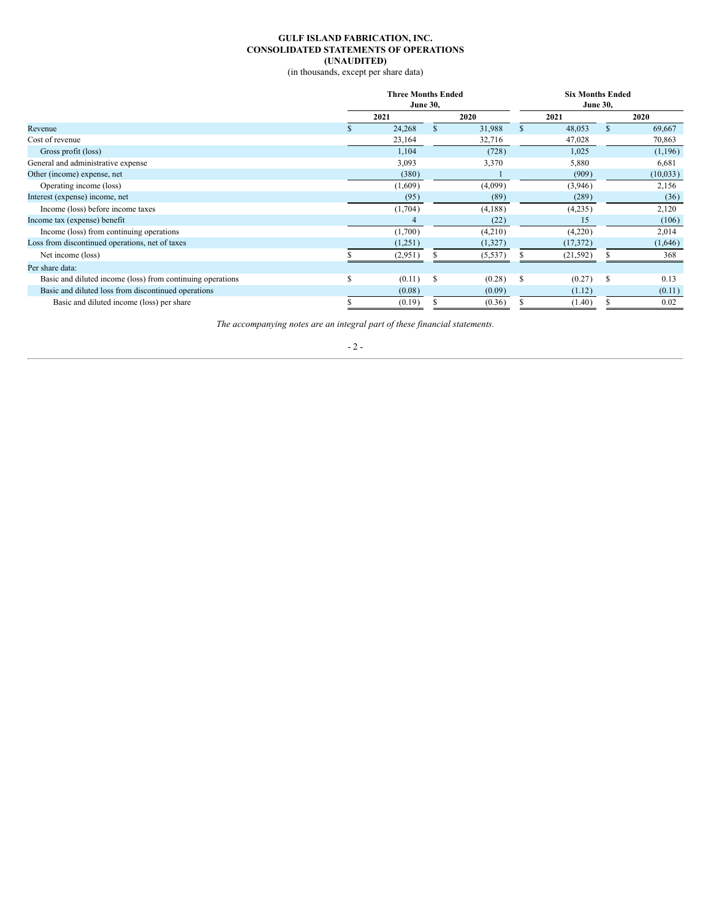#### **GULF ISLAND FABRICATION, INC. CONSOLIDATED STATEMENTS OF OPERATIONS (UNAUDITED)**

(in thousands, except per share data)

<span id="page-6-0"></span>

|                                                            |   | <b>Three Months Ended</b> |    |                 |   |           | <b>Six Months Ended</b> |          |  |  |  |  |
|------------------------------------------------------------|---|---------------------------|----|-----------------|---|-----------|-------------------------|----------|--|--|--|--|
|                                                            |   | <b>June 30,</b>           |    | <b>June 30,</b> |   |           |                         |          |  |  |  |  |
|                                                            |   | 2021                      |    | 2020            |   | 2021      |                         | 2020     |  |  |  |  |
| Revenue                                                    |   | 24,268                    |    | 31,988          |   | 48,053    | \$.                     | 69,667   |  |  |  |  |
| Cost of revenue                                            |   | 23,164                    |    | 32,716          |   | 47,028    |                         | 70,863   |  |  |  |  |
| Gross profit (loss)                                        |   | 1,104                     |    | (728)           |   | 1,025     |                         | (1,196)  |  |  |  |  |
| General and administrative expense                         |   | 3,093                     |    | 3,370           |   | 5,880     |                         | 6,681    |  |  |  |  |
| Other (income) expense, net                                |   | (380)                     |    |                 |   | (909)     |                         | (10,033) |  |  |  |  |
| Operating income (loss)                                    |   | (1,609)                   |    | (4,099)         |   | (3,946)   |                         | 2,156    |  |  |  |  |
| Interest (expense) income, net                             |   | (95)                      |    | (89)            |   | (289)     |                         | (36)     |  |  |  |  |
| Income (loss) before income taxes                          |   | (1,704)                   |    | (4,188)         |   | (4,235)   |                         | 2,120    |  |  |  |  |
| Income tax (expense) benefit                               |   | 4                         |    | (22)            |   | 15        |                         | (106)    |  |  |  |  |
| Income (loss) from continuing operations                   |   | (1,700)                   |    | (4,210)         |   | (4,220)   |                         | 2,014    |  |  |  |  |
| Loss from discontinued operations, net of taxes            |   | (1,251)                   |    | (1,327)         |   | (17, 372) |                         | (1,646)  |  |  |  |  |
| Net income (loss)                                          |   | (2,951)                   |    | (5, 537)        |   | (21, 592) |                         | 368      |  |  |  |  |
| Per share data:                                            |   |                           |    |                 |   |           |                         |          |  |  |  |  |
| Basic and diluted income (loss) from continuing operations | S | (0.11)                    | \$ | (0.28)          | S | (0.27)    | \$                      | 0.13     |  |  |  |  |
| Basic and diluted loss from discontinued operations        |   | (0.08)                    |    | (0.09)          |   | (1.12)    |                         | (0.11)   |  |  |  |  |
| Basic and diluted income (loss) per share                  |   | (0.19)                    |    | (0.36)          |   | (1.40)    |                         | 0.02     |  |  |  |  |
|                                                            |   |                           |    |                 |   |           |                         |          |  |  |  |  |

*The accompanying notes are an integral part of these financial statements.*

 $- 2 -$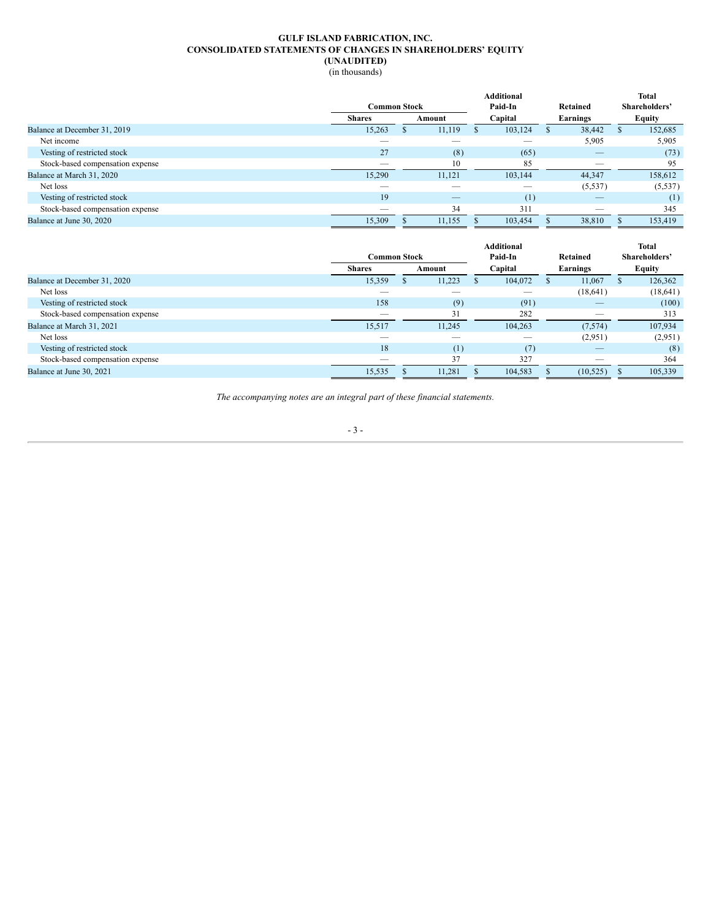# **GULF ISLAND FABRICATION, INC. CONSOLIDATED STATEMENTS OF CHANGES IN SHAREHOLDERS' EQUITY (UNAUDITED)**

<span id="page-7-0"></span>

|                                  |                     |  |        |         | <b>Additional</b> |          |          | <b>Total</b>  |  |
|----------------------------------|---------------------|--|--------|---------|-------------------|----------|----------|---------------|--|
|                                  | <b>Common Stock</b> |  |        | Paid-In |                   | Retained |          | Shareholders' |  |
|                                  | <b>Shares</b>       |  | Amount |         | Capital           |          | Earnings | <b>Equity</b> |  |
| Balance at December 31, 2019     | 15,263              |  | 11,119 |         | 103,124           | S        | 38,442   | 152,685       |  |
| Net income                       |                     |  |        |         |                   |          | 5,905    | 5,905         |  |
| Vesting of restricted stock      | 27                  |  | (8)    |         | (65)              |          |          | (73)          |  |
| Stock-based compensation expense |                     |  | 10     |         | 85                |          |          | 95            |  |
| Balance at March 31, 2020        | 15,290              |  | 11,121 |         | 103,144           |          | 44,347   | 158,612       |  |
| Net loss                         |                     |  |        |         |                   |          | (5, 537) | (5, 537)      |  |
| Vesting of restricted stock      | 19                  |  |        |         | (1)               |          |          | (1)           |  |
| Stock-based compensation expense |                     |  | 34     |         | 311               |          |          | 345           |  |
| Balance at June 30, 2020         | 15,309              |  | 11,155 |         | 103,454           |          | 38,810   | 153,419       |  |

|                                  |               | <b>Common Stock</b> |        |  | <b>Additional</b><br>Paid-In | Retained |           | <b>Total</b><br>Shareholders' |
|----------------------------------|---------------|---------------------|--------|--|------------------------------|----------|-----------|-------------------------------|
|                                  | <b>Shares</b> |                     | Amount |  | Capital                      |          | Earnings  | Equity                        |
| Balance at December 31, 2020     | 15,359        |                     | 11,223 |  | 104,072                      |          | 11,067    | 126,362                       |
| Net loss                         |               |                     |        |  |                              |          | (18, 641) | (18, 641)                     |
| Vesting of restricted stock      | 158           |                     | (9)    |  | (91)                         |          |           | (100)                         |
| Stock-based compensation expense |               |                     | 31     |  | 282                          |          | __        | 313                           |
| Balance at March 31, 2021        | 15,517        |                     | 11,245 |  | 104,263                      |          | (7,574)   | 107,934                       |
| Net loss                         |               |                     |        |  | __                           |          | (2,951)   | (2,951)                       |
| Vesting of restricted stock      | 18            |                     | (1)    |  | (7)                          |          |           | (8)                           |
| Stock-based compensation expense |               |                     | 37     |  | 327                          |          |           | 364                           |
| Balance at June 30, 2021         | 15,535        |                     | 11,281 |  | 104,583                      |          | (10,525)  | 105,339                       |
|                                  |               |                     |        |  |                              |          |           |                               |

*The accompanying notes are an integral part of these financial statements.*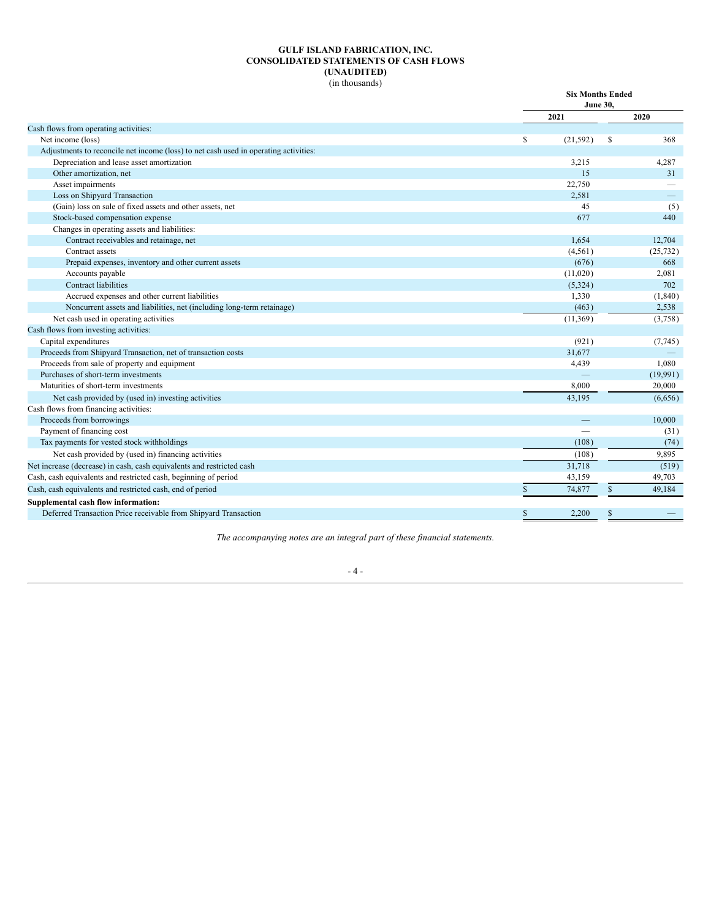### **GULF ISLAND FABRICATION, INC. CONSOLIDATED STATEMENTS OF CASH FLOWS (UNAUDITED)** (in thousands)

<span id="page-8-0"></span>

|                                                                                      |                 | <b>Six Months Ended</b><br><b>June 30,</b> |
|--------------------------------------------------------------------------------------|-----------------|--------------------------------------------|
|                                                                                      | 2021            | 2020                                       |
| Cash flows from operating activities:                                                |                 |                                            |
| Net income (loss)                                                                    | \$<br>(21, 592) | 368<br>\$                                  |
| Adjustments to reconcile net income (loss) to net cash used in operating activities: |                 |                                            |
| Depreciation and lease asset amortization                                            | 3,215           | 4,287                                      |
| Other amortization, net                                                              | 15              | 31                                         |
| Asset impairments                                                                    | 22,750          |                                            |
| Loss on Shipyard Transaction                                                         | 2,581           |                                            |
| (Gain) loss on sale of fixed assets and other assets, net                            | 45              | (5)                                        |
| Stock-based compensation expense                                                     | 677             | 440                                        |
| Changes in operating assets and liabilities:                                         |                 |                                            |
| Contract receivables and retainage, net                                              | 1,654           | 12,704                                     |
| Contract assets                                                                      | (4, 561)        | (25, 732)                                  |
| Prepaid expenses, inventory and other current assets                                 | (676)           | 668                                        |
| Accounts payable                                                                     | (11,020)        | 2,081                                      |
| <b>Contract liabilities</b>                                                          | (5,324)         | 702                                        |
| Accrued expenses and other current liabilities                                       | 1,330           | (1, 840)                                   |
| Noncurrent assets and liabilities, net (including long-term retainage)               | (463)           | 2,538                                      |
| Net cash used in operating activities                                                | (11, 369)       | (3,758)                                    |
| Cash flows from investing activities:                                                |                 |                                            |
| Capital expenditures                                                                 | (921)           | (7,745)                                    |
| Proceeds from Shipyard Transaction, net of transaction costs                         | 31.677          |                                            |
| Proceeds from sale of property and equipment                                         | 4,439           | 1,080                                      |
| Purchases of short-term investments                                                  |                 | (19,991)                                   |
| Maturities of short-term investments                                                 | 8,000           | 20,000                                     |
| Net cash provided by (used in) investing activities                                  | 43,195          | (6,656)                                    |
| Cash flows from financing activities:                                                |                 |                                            |
| Proceeds from borrowings                                                             |                 | 10,000                                     |
| Payment of financing cost                                                            |                 | (31)                                       |
| Tax payments for vested stock withholdings                                           | (108)           | (74)                                       |
| Net cash provided by (used in) financing activities                                  | (108)           | 9,895                                      |
| Net increase (decrease) in cash, cash equivalents and restricted cash                | 31,718          | (519)                                      |
| Cash, cash equivalents and restricted cash, beginning of period                      | 43,159          | 49,703                                     |
| Cash, cash equivalents and restricted cash, end of period                            | \$<br>74,877    | 49,184<br>$\mathbb{S}$                     |
| Supplemental cash flow information:                                                  |                 |                                            |
| Deferred Transaction Price receivable from Shipyard Transaction                      | \$<br>2.200     | \$                                         |

*The accompanying notes are an integral part of these financial statements.*

# - 4 -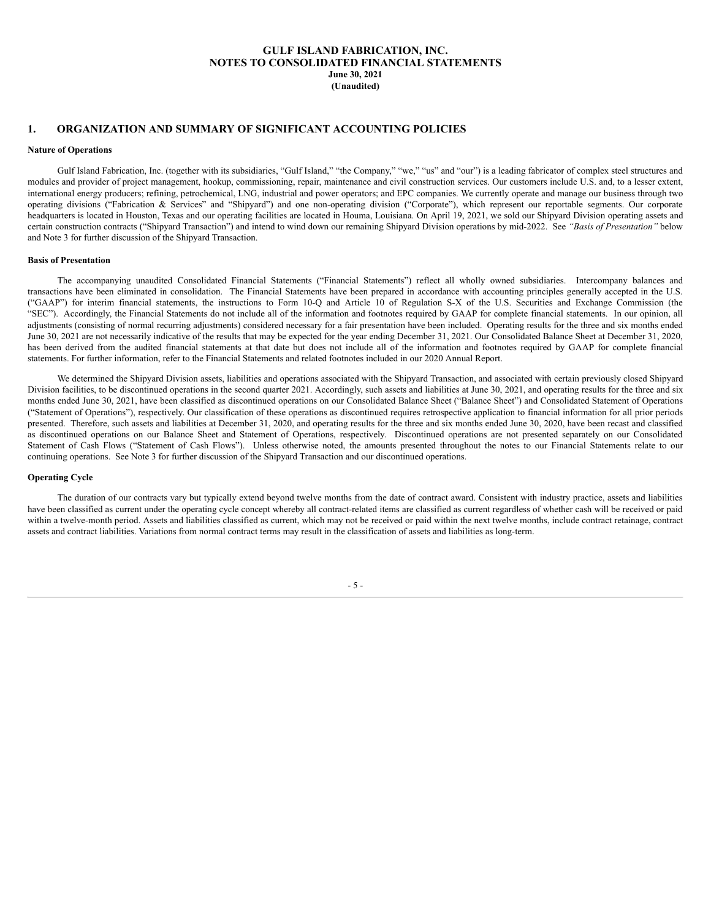# **GULF ISLAND FABRICATION, INC. NOTES TO CONSOLIDATED FINANCIAL STATEMENTS June 30, 2021 (Unaudited)**

# <span id="page-9-0"></span>**1. ORGANIZATION AND SUMMARY OF SIGNIFICANT ACCOUNTING POLICIES**

#### **Nature of Operations**

Gulf Island Fabrication, Inc. (together with its subsidiaries, "Gulf Island," "the Company," "we," "us" and "our") is a leading fabricator of complex steel structures and modules and provider of project management, hookup, commissioning, repair, maintenance and civil construction services. Our customers include U.S. and, to a lesser extent, international energy producers; refining, petrochemical, LNG, industrial and power operators; and EPC companies. We currently operate and manage our business through two operating divisions ("Fabrication & Services" and "Shipyard") and one non-operating division ("Corporate"), which represent our reportable segments. Our corporate headquarters is located in Houston, Texas and our operating facilities are located in Houma, Louisiana. On April 19, 2021, we sold our Shipyard Division operating assets and certain construction contracts ("Shipyard Transaction") and intend to wind down our remaining Shipyard Division operations by mid-2022. See *"Basis of Presentation"* below and Note 3 for further discussion of the Shipyard Transaction.

#### **Basis of Presentation**

The accompanying unaudited Consolidated Financial Statements ("Financial Statements") reflect all wholly owned subsidiaries. Intercompany balances and transactions have been eliminated in consolidation. The Financial Statements have been prepared in accordance with accounting principles generally accepted in the U.S. ("GAAP") for interim financial statements, the instructions to Form 10-Q and Article 10 of Regulation S-X of the U.S. Securities and Exchange Commission (the "SEC"). Accordingly, the Financial Statements do not include all of the information and footnotes required by GAAP for complete financial statements. In our opinion, all adjustments (consisting of normal recurring adjustments) considered necessary for a fair presentation have been included. Operating results for the three and six months ended June 30, 2021 are not necessarily indicative of the results that may be expected for the year ending December 31, 2021. Our Consolidated Balance Sheet at December 31, 2020, has been derived from the audited financial statements at that date but does not include all of the information and footnotes required by GAAP for complete financial statements. For further information, refer to the Financial Statements and related footnotes included in our 2020 Annual Report.

We determined the Shipyard Division assets, liabilities and operations associated with the Shipyard Transaction, and associated with certain previously closed Shipyard Division facilities, to be discontinued operations in the second quarter 2021. Accordingly, such assets and liabilities at June 30, 2021, and operating results for the three and six months ended June 30, 2021, have been classified as discontinued operations on our Consolidated Balance Sheet ("Balance Sheet") and Consolidated Statement of Operations ("Statement of Operations"), respectively. Our classification of these operations as discontinued requires retrospective application to financial information for all prior periods presented. Therefore, such assets and liabilities at December 31, 2020, and operating results for the three and six months ended June 30, 2020, have been recast and classified as discontinued operations on our Balance Sheet and Statement of Operations, respectively. Discontinued operations are not presented separately on our Consolidated Statement of Cash Flows ("Statement of Cash Flows"). Unless otherwise noted, the amounts presented throughout the notes to our Financial Statements relate to our continuing operations. See Note 3 for further discussion of the Shipyard Transaction and our discontinued operations.

## **Operating Cycle**

The duration of our contracts vary but typically extend beyond twelve months from the date of contract award. Consistent with industry practice, assets and liabilities have been classified as current under the operating cycle concept whereby all contract-related items are classified as current regardless of whether cash will be received or paid within a twelve-month period. Assets and liabilities classified as current, which may not be received or paid within the next twelve months, include contract retainage, contract assets and contract liabilities. Variations from normal contract terms may result in the classification of assets and liabilities as long-term.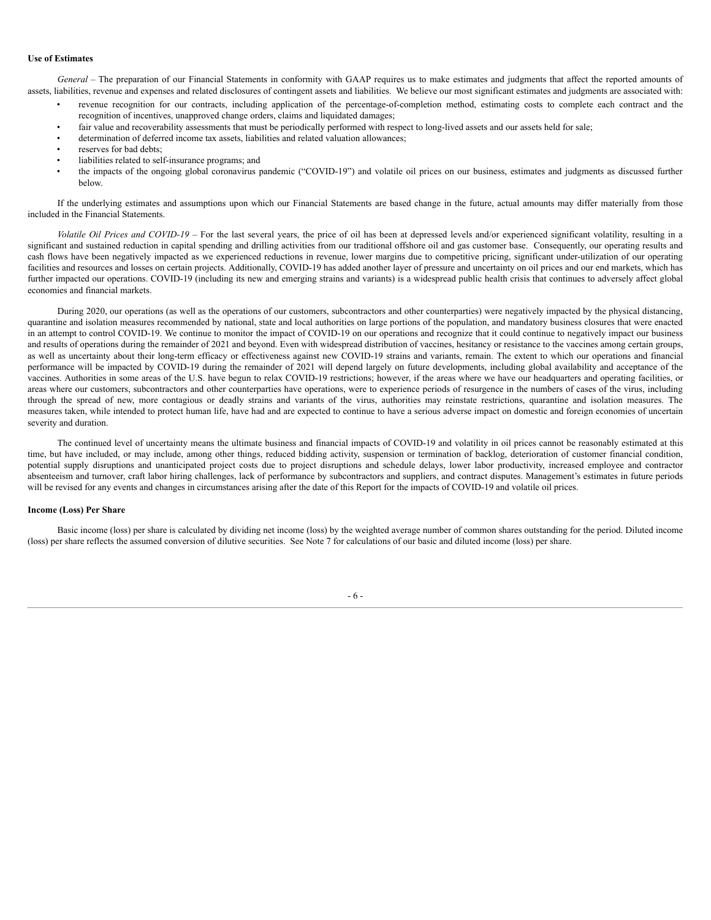#### **Use of Estimates**

*General –* The preparation of our Financial Statements in conformity with GAAP requires us to make estimates and judgments that affect the reported amounts of assets, liabilities, revenue and expenses and related disclosures of contingent assets and liabilities. We believe our most significant estimates and judgments are associated with:

- revenue recognition for our contracts, including application of the percentage-of-completion method, estimating costs to complete each contract and the recognition of incentives, unapproved change orders, claims and liquidated damages;
	- fair value and recoverability assessments that must be periodically performed with respect to long-lived assets and our assets held for sale;
	- determination of deferred income tax assets, liabilities and related valuation allowances;
- reserves for bad debts;
- liabilities related to self-insurance programs; and
- the impacts of the ongoing global coronavirus pandemic ("COVID-19") and volatile oil prices on our business, estimates and judgments as discussed further below.

If the underlying estimates and assumptions upon which our Financial Statements are based change in the future, actual amounts may differ materially from those included in the Financial Statements.

*Volatile Oil Prices and COVID-19* – For the last several years, the price of oil has been at depressed levels and/or experienced significant volatility, resulting in a significant and sustained reduction in capital spending and drilling activities from our traditional offshore oil and gas customer base. Consequently, our operating results and cash flows have been negatively impacted as we experienced reductions in revenue, lower margins due to competitive pricing, significant under-utilization of our operating facilities and resources and losses on certain projects. Additionally, COVID-19 has added another layer of pressure and uncertainty on oil prices and our end markets, which has further impacted our operations. COVID-19 (including its new and emerging strains and variants) is a widespread public health crisis that continues to adversely affect global economies and financial markets.

During 2020, our operations (as well as the operations of our customers, subcontractors and other counterparties) were negatively impacted by the physical distancing, quarantine and isolation measures recommended by national, state and local authorities on large portions of the population, and mandatory business closures that were enacted in an attempt to control COVID-19. We continue to monitor the impact of COVID-19 on our operations and recognize that it could continue to negatively impact our business and results of operations during the remainder of 2021 and beyond. Even with widespread distribution of vaccines, hesitancy or resistance to the vaccines among certain groups, as well as uncertainty about their long-term efficacy or effectiveness against new COVID-19 strains and variants, remain. The extent to which our operations and financial performance will be impacted by COVID-19 during the remainder of 2021 will depend largely on future developments, including global availability and acceptance of the vaccines. Authorities in some areas of the U.S. have begun to relax COVID-19 restrictions; however, if the areas where we have our headquarters and operating facilities, or areas where our customers, subcontractors and other counterparties have operations, were to experience periods of resurgence in the numbers of cases of the virus, including through the spread of new, more contagious or deadly strains and variants of the virus, authorities may reinstate restrictions, quarantine and isolation measures. The measures taken, while intended to protect human life, have had and are expected to continue to have a serious adverse impact on domestic and foreign economies of uncertain severity and duration.

The continued level of uncertainty means the ultimate business and financial impacts of COVID-19 and volatility in oil prices cannot be reasonably estimated at this time, but have included, or may include, among other things, reduced bidding activity, suspension or termination of backlog, deterioration of customer financial condition, potential supply disruptions and unanticipated project costs due to project disruptions and schedule delays, lower labor productivity, increased employee and contractor absenteeism and turnover, craft labor hiring challenges, lack of performance by subcontractors and suppliers, and contract disputes. Management's estimates in future periods will be revised for any events and changes in circumstances arising after the date of this Report for the impacts of COVID-19 and volatile oil prices.

# **Income (Loss) Per Share**

Basic income (loss) per share is calculated by dividing net income (loss) by the weighted average number of common shares outstanding for the period. Diluted income (loss) per share reflects the assumed conversion of dilutive securities. See Note 7 for calculations of our basic and diluted income (loss) per share.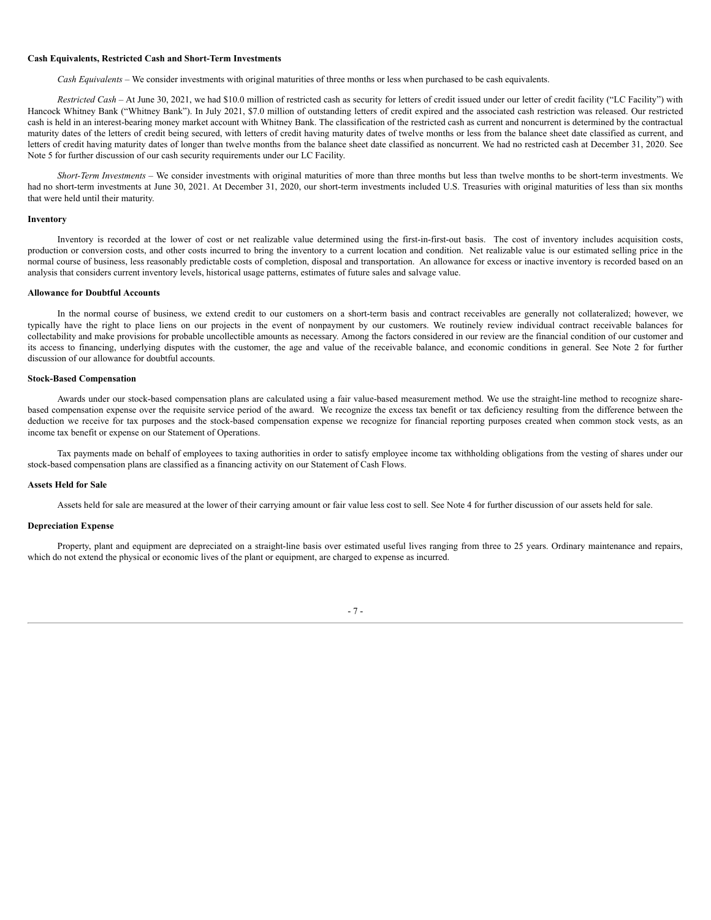#### **Cash Equivalents, Restricted Cash and Short-Term Investments**

*Cash Equivalents –* We consider investments with original maturities of three months or less when purchased to be cash equivalents.

*Restricted Cash –* At June 30, 2021, we had \$10.0 million of restricted cash as security for letters of credit issued under our letter of credit facility ("LC Facility") with Hancock Whitney Bank ("Whitney Bank"). In July 2021, \$7.0 million of outstanding letters of credit expired and the associated cash restriction was released. Our restricted cash is held in an interest-bearing money market account with Whitney Bank. The classification of the restricted cash as current and noncurrent is determined by the contractual maturity dates of the letters of credit being secured, with letters of credit having maturity dates of twelve months or less from the balance sheet date classified as current, and letters of credit having maturity dates of longer than twelve months from the balance sheet date classified as noncurrent. We had no restricted cash at December 31, 2020. See Note 5 for further discussion of our cash security requirements under our LC Facility.

*Short-Term Investments* – We consider investments with original maturities of more than three months but less than twelve months to be short-term investments. We had no short-term investments at June 30, 2021. At December 31, 2020, our short-term investments included U.S. Treasuries with original maturities of less than six months that were held until their maturity.

#### **Inventory**

Inventory is recorded at the lower of cost or net realizable value determined using the first-in-first-out basis. The cost of inventory includes acquisition costs, production or conversion costs, and other costs incurred to bring the inventory to a current location and condition. Net realizable value is our estimated selling price in the normal course of business, less reasonably predictable costs of completion, disposal and transportation. An allowance for excess or inactive inventory is recorded based on an analysis that considers current inventory levels, historical usage patterns, estimates of future sales and salvage value.

#### **Allowance for Doubtful Accounts**

In the normal course of business, we extend credit to our customers on a short-term basis and contract receivables are generally not collateralized; however, we typically have the right to place liens on our projects in the event of nonpayment by our customers. We routinely review individual contract receivable balances for collectability and make provisions for probable uncollectible amounts as necessary. Among the factors considered in our review are the financial condition of our customer and its access to financing, underlying disputes with the customer, the age and value of the receivable balance, and economic conditions in general. See Note 2 for further discussion of our allowance for doubtful accounts.

#### **Stock-Based Compensation**

Awards under our stock-based compensation plans are calculated using a fair value-based measurement method. We use the straight-line method to recognize sharebased compensation expense over the requisite service period of the award. We recognize the excess tax benefit or tax deficiency resulting from the difference between the deduction we receive for tax purposes and the stock-based compensation expense we recognize for financial reporting purposes created when common stock vests, as an income tax benefit or expense on our Statement of Operations.

Tax payments made on behalf of employees to taxing authorities in order to satisfy employee income tax withholding obligations from the vesting of shares under our stock-based compensation plans are classified as a financing activity on our Statement of Cash Flows.

#### **Assets Held for Sale**

Assets held for sale are measured at the lower of their carrying amount or fair value less cost to sell. See Note 4 for further discussion of our assets held for sale.

## **Depreciation Expense**

Property, plant and equipment are depreciated on a straight-line basis over estimated useful lives ranging from three to 25 years. Ordinary maintenance and repairs, which do not extend the physical or economic lives of the plant or equipment, are charged to expense as incurred.

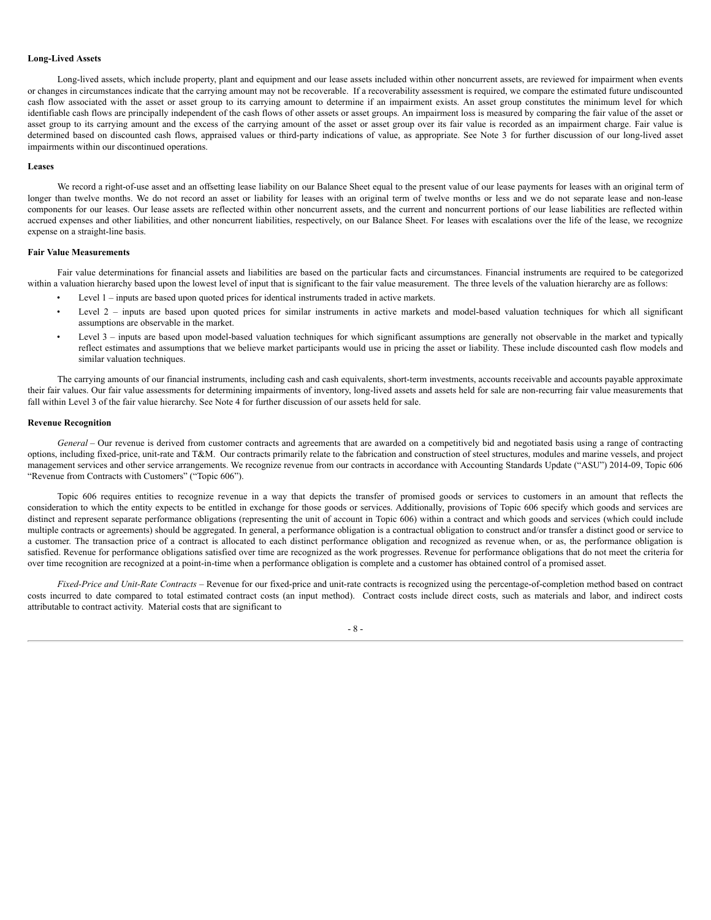#### **Long-Lived Assets**

Long-lived assets, which include property, plant and equipment and our lease assets included within other noncurrent assets, are reviewed for impairment when events or changes in circumstances indicate that the carrying amount may not be recoverable. If a recoverability assessment is required, we compare the estimated future undiscounted cash flow associated with the asset or asset group to its carrying amount to determine if an impairment exists. An asset group constitutes the minimum level for which identifiable cash flows are principally independent of the cash flows of other assets or asset groups. An impairment loss is measured by comparing the fair value of the asset or asset group to its carrying amount and the excess of the carrying amount of the asset or asset group over its fair value is recorded as an impairment charge. Fair value is determined based on discounted cash flows, appraised values or third-party indications of value, as appropriate. See Note 3 for further discussion of our long-lived asset impairments within our discontinued operations.

#### **Leases**

We record a right-of-use asset and an offsetting lease liability on our Balance Sheet equal to the present value of our lease payments for leases with an original term of longer than twelve months. We do not record an asset or liability for leases with an original term of twelve months or less and we do not separate lease and non-lease components for our leases. Our lease assets are reflected within other noncurrent assets, and the current and noncurrent portions of our lease liabilities are reflected within accrued expenses and other liabilities, and other noncurrent liabilities, respectively, on our Balance Sheet. For leases with escalations over the life of the lease, we recognize expense on a straight-line basis.

## **Fair Value Measurements**

Fair value determinations for financial assets and liabilities are based on the particular facts and circumstances. Financial instruments are required to be categorized within a valuation hierarchy based upon the lowest level of input that is significant to the fair value measurement. The three levels of the valuation hierarchy are as follows:

- Level 1 inputs are based upon quoted prices for identical instruments traded in active markets.
- Level 2 inputs are based upon quoted prices for similar instruments in active markets and model-based valuation techniques for which all significant assumptions are observable in the market.
- Level 3 inputs are based upon model-based valuation techniques for which significant assumptions are generally not observable in the market and typically reflect estimates and assumptions that we believe market participants would use in pricing the asset or liability. These include discounted cash flow models and similar valuation techniques.

The carrying amounts of our financial instruments, including cash and cash equivalents, short-term investments, accounts receivable and accounts payable approximate their fair values. Our fair value assessments for determining impairments of inventory, long-lived assets and assets held for sale are non-recurring fair value measurements that fall within Level 3 of the fair value hierarchy. See Note 4 for further discussion of our assets held for sale.

#### **Revenue Recognition**

*General* – Our revenue is derived from customer contracts and agreements that are awarded on a competitively bid and negotiated basis using a range of contracting options, including fixed-price, unit-rate and T&M. Our contracts primarily relate to the fabrication and construction of steel structures, modules and marine vessels, and project management services and other service arrangements. We recognize revenue from our contracts in accordance with Accounting Standards Update ("ASU") 2014-09, Topic 606 "Revenue from Contracts with Customers" ("Topic 606").

Topic 606 requires entities to recognize revenue in a way that depicts the transfer of promised goods or services to customers in an amount that reflects the consideration to which the entity expects to be entitled in exchange for those goods or services. Additionally, provisions of Topic 606 specify which goods and services are distinct and represent separate performance obligations (representing the unit of account in Topic 606) within a contract and which goods and services (which could include multiple contracts or agreements) should be aggregated. In general, a performance obligation is a contractual obligation to construct and/or transfer a distinct good or service to a customer. The transaction price of a contract is allocated to each distinct performance obligation and recognized as revenue when, or as, the performance obligation is satisfied. Revenue for performance obligations satisfied over time are recognized as the work progresses. Revenue for performance obligations that do not meet the criteria for over time recognition are recognized at a point-in-time when a performance obligation is complete and a customer has obtained control of a promised asset.

*Fixed-Price and Unit-Rate Contracts –* Revenue for our fixed-price and unit-rate contracts is recognized using the percentage-of-completion method based on contract costs incurred to date compared to total estimated contract costs (an input method). Contract costs include direct costs, such as materials and labor, and indirect costs attributable to contract activity. Material costs that are significant to

- 8 -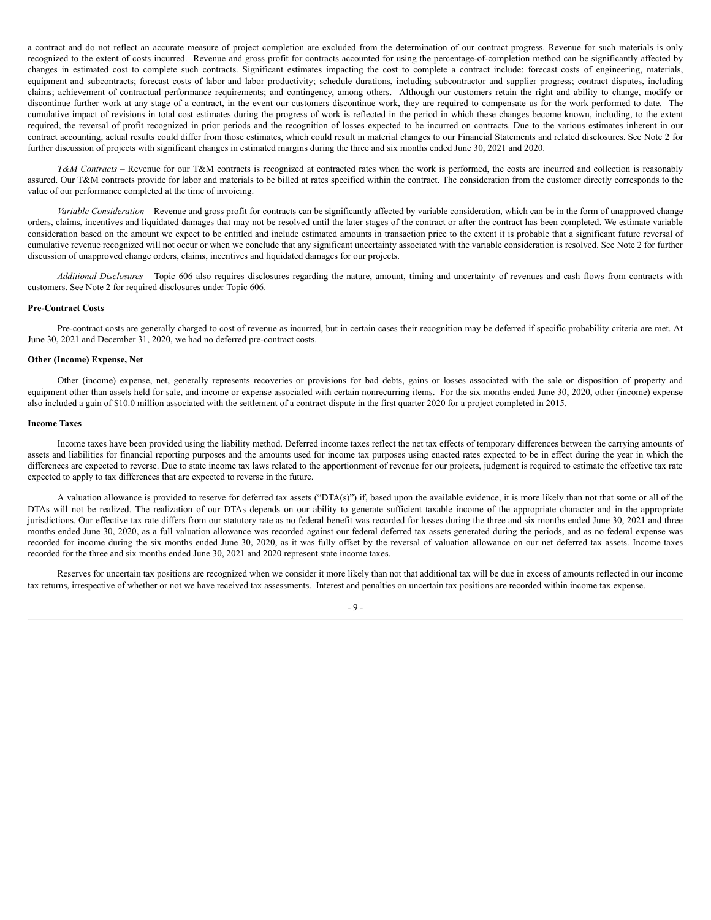a contract and do not reflect an accurate measure of project completion are excluded from the determination of our contract progress. Revenue for such materials is only recognized to the extent of costs incurred. Revenue and gross profit for contracts accounted for using the percentage-of-completion method can be significantly affected by changes in estimated cost to complete such contracts. Significant estimates impacting the cost to complete a contract include: forecast costs of engineering, materials, equipment and subcontracts; forecast costs of labor and labor productivity; schedule durations, including subcontractor and supplier progress; contract disputes, including claims; achievement of contractual performance requirements; and contingency, among others. Although our customers retain the right and ability to change, modify or discontinue further work at any stage of a contract, in the event our customers discontinue work, they are required to compensate us for the work performed to date. The cumulative impact of revisions in total cost estimates during the progress of work is reflected in the period in which these changes become known, including, to the extent required, the reversal of profit recognized in prior periods and the recognition of losses expected to be incurred on contracts. Due to the various estimates inherent in our contract accounting, actual results could differ from those estimates, which could result in material changes to our Financial Statements and related disclosures. See Note 2 for further discussion of projects with significant changes in estimated margins during the three and six months ended June 30, 2021 and 2020.

*T&M Contracts –* Revenue for our T&M contracts is recognized at contracted rates when the work is performed, the costs are incurred and collection is reasonably assured. Our T&M contracts provide for labor and materials to be billed at rates specified within the contract. The consideration from the customer directly corresponds to the value of our performance completed at the time of invoicing.

*Variable Consideration –* Revenue and gross profit for contracts can be significantly affected by variable consideration, which can be in the form of unapproved change orders, claims, incentives and liquidated damages that may not be resolved until the later stages of the contract or after the contract has been completed. We estimate variable consideration based on the amount we expect to be entitled and include estimated amounts in transaction price to the extent it is probable that a significant future reversal of cumulative revenue recognized will not occur or when we conclude that any significant uncertainty associated with the variable consideration is resolved. See Note 2 for further discussion of unapproved change orders, claims, incentives and liquidated damages for our projects.

*Additional Disclosures –* Topic 606 also requires disclosures regarding the nature, amount, timing and uncertainty of revenues and cash flows from contracts with customers. See Note 2 for required disclosures under Topic 606.

#### **Pre-Contract Costs**

Pre-contract costs are generally charged to cost of revenue as incurred, but in certain cases their recognition may be deferred if specific probability criteria are met. At June 30, 2021 and December 31, 2020, we had no deferred pre-contract costs.

#### **Other (Income) Expense, Net**

Other (income) expense, net, generally represents recoveries or provisions for bad debts, gains or losses associated with the sale or disposition of property and equipment other than assets held for sale, and income or expense associated with certain nonrecurring items. For the six months ended June 30, 2020, other (income) expense also included a gain of \$10.0 million associated with the settlement of a contract dispute in the first quarter 2020 for a project completed in 2015.

#### **Income Taxes**

Income taxes have been provided using the liability method. Deferred income taxes reflect the net tax effects of temporary differences between the carrying amounts of assets and liabilities for financial reporting purposes and the amounts used for income tax purposes using enacted rates expected to be in effect during the year in which the differences are expected to reverse. Due to state income tax laws related to the apportionment of revenue for our projects, judgment is required to estimate the effective tax rate expected to apply to tax differences that are expected to reverse in the future.

A valuation allowance is provided to reserve for deferred tax assets ("DTA(s)") if, based upon the available evidence, it is more likely than not that some or all of the DTAs will not be realized. The realization of our DTAs depends on our ability to generate sufficient taxable income of the appropriate character and in the appropriate jurisdictions. Our effective tax rate differs from our statutory rate as no federal benefit was recorded for losses during the three and six months ended June 30, 2021 and three months ended June 30, 2020, as a full valuation allowance was recorded against our federal deferred tax assets generated during the periods, and as no federal expense was recorded for income during the six months ended June 30, 2020, as it was fully offset by the reversal of valuation allowance on our net deferred tax assets. Income taxes recorded for the three and six months ended June 30, 2021 and 2020 represent state income taxes.

Reserves for uncertain tax positions are recognized when we consider it more likely than not that additional tax will be due in excess of amounts reflected in our income tax returns, irrespective of whether or not we have received tax assessments. Interest and penalties on uncertain tax positions are recorded within income tax expense.

- 9 -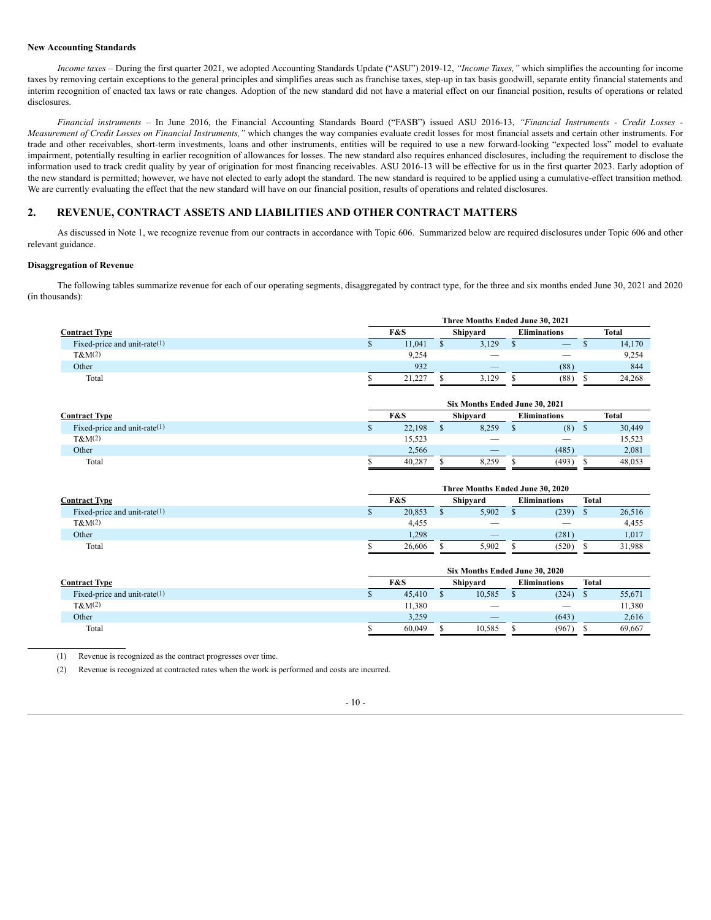#### **New Accounting Standards**

*Income taxes* – During the first quarter 2021, we adopted Accounting Standards Update ("ASU") 2019-12, *"Income Taxes,"* which simplifies the accounting for income taxes by removing certain exceptions to the general principles and simplifies areas such as franchise taxes, step-up in tax basis goodwill, separate entity financial statements and interim recognition of enacted tax laws or rate changes. Adoption of the new standard did not have a material effect on our financial position, results of operations or related disclosures.

*Financial instruments* – In June 2016, the Financial Accounting Standards Board ("FASB") issued ASU 2016-13, *"Financial Instruments - Credit Losses - Measurement of Credit Losses on Financial Instruments,"* which changes the way companies evaluate credit losses for most financial assets and certain other instruments. For trade and other receivables, short-term investments, loans and other instruments, entities will be required to use a new forward-looking "expected loss" model to evaluate impairment, potentially resulting in earlier recognition of allowances for losses. The new standard also requires enhanced disclosures, including the requirement to disclose the information used to track credit quality by year of origination for most financing receivables. ASU 2016-13 will be effective for us in the first quarter 2023. Early adoption of the new standard is permitted; however, we have not elected to early adopt the standard. The new standard is required to be applied using a cumulative-effect transition method. We are currently evaluating the effect that the new standard will have on our financial position, results of operations and related disclosures.

# **2. REVENUE, CONTRACT ASSETS AND LIABILITIES AND OTHER CONTRACT MATTERS**

As discussed in Note 1, we recognize revenue from our contracts in accordance with Topic 606. Summarized below are required disclosures under Topic 606 and other relevant guidance.

#### **Disaggregation of Revenue**

The following tables summarize revenue for each of our operating segments, disaggregated by contract type, for the three and six months ended June 30, 2021 and 2020 (in thousands):

|                                 | Three Months Ended June 30, 2021 |        |  |          |                     |      |       |        |  |  |  |
|---------------------------------|----------------------------------|--------|--|----------|---------------------|------|-------|--------|--|--|--|
| <b>Contract Type</b>            | F&S                              |        |  | Shipyard | <b>Eliminations</b> |      | Total |        |  |  |  |
| Fixed-price and unit-rate $(1)$ |                                  | 11,041 |  | 3,129    |                     | –    |       | 14,170 |  |  |  |
| $T\&M(2)$                       |                                  | 9,254  |  |          |                     |      |       | 9,254  |  |  |  |
| Other                           |                                  | 932    |  |          |                     | (88) |       | 844    |  |  |  |
| Total                           |                                  | 21.227 |  | 3,129    |                     | (88) |       | 24.268 |  |  |  |

|                                 | Six Months Ended June 30, 2021 |        |                 |       |                     |                                 |              |        |  |  |
|---------------------------------|--------------------------------|--------|-----------------|-------|---------------------|---------------------------------|--------------|--------|--|--|
| <b>Contract Type</b>            | <b>F&amp;S</b>                 |        | <b>Shipvard</b> |       | <b>Eliminations</b> |                                 | <b>Total</b> |        |  |  |
| Fixed-price and unit-rate $(1)$ |                                | 22,198 |                 | 8,259 |                     | (8)                             | - 35         | 30,449 |  |  |
| $T\&M(2)$                       |                                | 15,523 |                 |       |                     | $\hspace{0.1mm}-\hspace{0.1mm}$ |              | 15,523 |  |  |
| Other                           |                                | 2.566  |                 |       |                     | (485)                           |              | 2,081  |  |  |
| Total                           |                                | 40,287 |                 | 8,259 |                     | (493)                           |              | 48.053 |  |  |

|                                 | Three Months Ended June 30, 2020 |        |    |          |  |                     |              |        |  |  |
|---------------------------------|----------------------------------|--------|----|----------|--|---------------------|--------------|--------|--|--|
| <b>Contract Type</b>            | <b>F&amp;S</b>                   |        |    | Shipyard |  | <b>Eliminations</b> | <b>Total</b> |        |  |  |
| Fixed-price and unit-rate $(1)$ |                                  | 20,853 | ۰D | 5,902    |  | (239)               |              | 26,516 |  |  |
| $T\&M(2)$                       |                                  | 4,455  |    |          |  |                     |              | 4,455  |  |  |
| Other                           |                                  | 1,298  |    |          |  | (281)               |              | 1,017  |  |  |
| Total                           |                                  | 26,606 |    | 5.902    |  | (520)               |              | 31.988 |  |  |

|                                 | Six Months Ended June 30, 2020 |        |                 |        |                     |       |       |        |
|---------------------------------|--------------------------------|--------|-----------------|--------|---------------------|-------|-------|--------|
| <b>Contract Type</b>            | F&S                            |        | <b>Shipvard</b> |        | <b>Eliminations</b> |       | Total |        |
| Fixed-price and unit-rate $(1)$ |                                | 45,410 |                 | 10,585 |                     | (324) |       | 55,671 |
| $T\&M(2)$                       |                                | 11,380 |                 |        |                     |       |       | 11,380 |
| Other                           |                                | 3,259  |                 |        |                     | (643) |       | 2,616  |
| Total                           |                                | 60.049 |                 | 10.585 |                     | (967  |       | 69.667 |

(1) Revenue is recognized as the contract progresses over time.

(2) Revenue is recognized at contracted rates when the work is performed and costs are incurred.

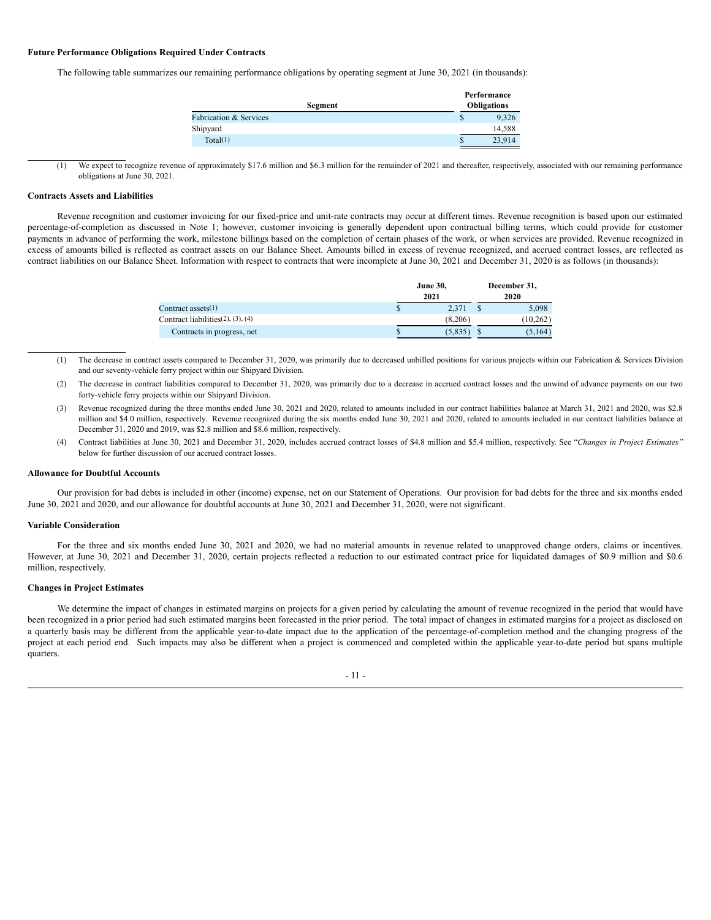## **Future Performance Obligations Required Under Contracts**

The following table summarizes our remaining performance obligations by operating segment at June 30, 2021 (in thousands):

|                                   | Performance        |
|-----------------------------------|--------------------|
| Segment                           | <b>Obligations</b> |
| <b>Fabrication &amp; Services</b> | 9,326<br>Φ         |
| Shipyard                          | 14.588             |
| Total(1)                          | 23,914<br>S        |

We expect to recognize revenue of approximately \$17.6 million and \$6.3 million for the remainder of 2021 and thereafter, respectively, associated with our remaining performance obligations at June 30, 2021.

#### **Contracts Assets and Liabilities**

Revenue recognition and customer invoicing for our fixed-price and unit-rate contracts may occur at different times. Revenue recognition is based upon our estimated percentage-of-completion as discussed in Note 1; however, customer invoicing is generally dependent upon contractual billing terms, which could provide for customer payments in advance of performing the work, milestone billings based on the completion of certain phases of the work, or when services are provided. Revenue recognized in excess of amounts billed is reflected as contract assets on our Balance Sheet. Amounts billed in excess of revenue recognized, and accrued contract losses, are reflected as contract liabilities on our Balance Sheet. Information with respect to contracts that were incomplete at June 30, 2021 and December 31, 2020 is as follows (in thousands):

|                                            | <b>June 30,</b><br>2021 |         |  | December 31,<br>2020 |  |  |  |
|--------------------------------------------|-------------------------|---------|--|----------------------|--|--|--|
| Contract assets $(1)$                      |                         | 2.371   |  | 5,098                |  |  |  |
| Contract liabilities $(2)$ , $(3)$ , $(4)$ |                         | (8.206) |  | (10.262)             |  |  |  |
| Contracts in progress, net                 |                         | (5,835  |  | (5.164)              |  |  |  |

- (1) The decrease in contract assets compared to December 31, 2020, was primarily due to decreased unbilled positions for various projects within our Fabrication & Services Division and our seventy-vehicle ferry project within our Shipyard Division.
- (2) The decrease in contract liabilities compared to December 31, 2020, was primarily due to a decrease in accrued contract losses and the unwind of advance payments on our two forty-vehicle ferry projects within our Shipyard Division.
- (3) Revenue recognized during the three months ended June 30, 2021 and 2020, related to amounts included in our contract liabilities balance at March 31, 2021 and 2020, was \$2.8 million and \$4.0 million, respectively. Revenue recognized during the six months ended June 30, 2021 and 2020, related to amounts included in our contract liabilities balance at December 31, 2020 and 2019, was \$2.8 million and \$8.6 million, respectively.
- (4) Contract liabilities at June 30, 2021 and December 31, 2020, includes accrued contract losses of \$4.8 million and \$5.4 million, respectively. See "*Changes in Project Estimates"* below for further discussion of our accrued contract losses.

# **Allowance for Doubtful Accounts**

Our provision for bad debts is included in other (income) expense, net on our Statement of Operations. Our provision for bad debts for the three and six months ended June 30, 2021 and 2020, and our allowance for doubtful accounts at June 30, 2021 and December 31, 2020, were not significant.

#### **Variable Consideration**

For the three and six months ended June 30, 2021 and 2020, we had no material amounts in revenue related to unapproved change orders, claims or incentives. However, at June 30, 2021 and December 31, 2020, certain projects reflected a reduction to our estimated contract price for liquidated damages of \$0.9 million and \$0.6 million, respectively.

#### **Changes in Project Estimates**

We determine the impact of changes in estimated margins on projects for a given period by calculating the amount of revenue recognized in the period that would have been recognized in a prior period had such estimated margins been forecasted in the prior period. The total impact of changes in estimated margins for a project as disclosed on a quarterly basis may be different from the applicable year-to-date impact due to the application of the percentage-of-completion method and the changing progress of the project at each period end. Such impacts may also be different when a project is commenced and completed within the applicable year-to-date period but spans multiple quarters.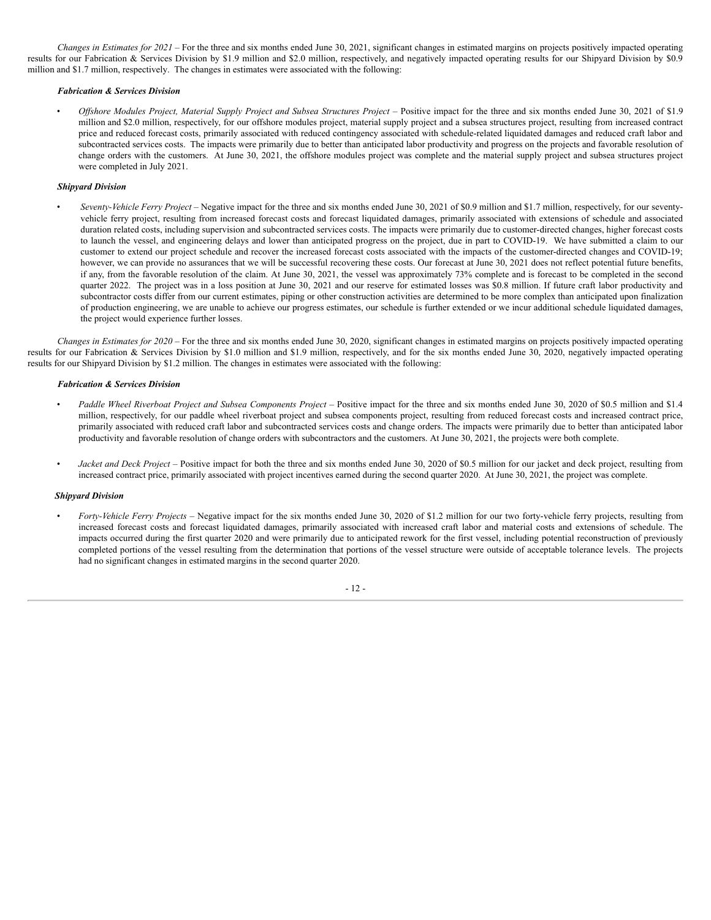*Changes in Estimates for 2021* – For the three and six months ended June 30, 2021, significant changes in estimated margins on projects positively impacted operating results for our Fabrication & Services Division by \$1.9 million and \$2.0 million, respectively, and negatively impacted operating results for our Shipyard Division by \$0.9 million and \$1.7 million, respectively. The changes in estimates were associated with the following:

#### *Fabrication & Services Division*

Offshore Modules Project, Material Supply Project and Subsea Structures Project – Positive impact for the three and six months ended June 30, 2021 of \$1.9 million and \$2.0 million, respectively, for our offshore modules project, material supply project and a subsea structures project, resulting from increased contract price and reduced forecast costs, primarily associated with reduced contingency associated with schedule-related liquidated damages and reduced craft labor and subcontracted services costs. The impacts were primarily due to better than anticipated labor productivity and progress on the projects and favorable resolution of change orders with the customers. At June 30, 2021, the offshore modules project was complete and the material supply project and subsea structures project were completed in July 2021.

#### *Shipyard Division*

• *Seventy-Vehicle Ferry Project –* Negative impact for the three and six months ended June 30, 2021 of \$0.9 million and \$1.7 million, respectively, for our seventyvehicle ferry project, resulting from increased forecast costs and forecast liquidated damages, primarily associated with extensions of schedule and associated duration related costs, including supervision and subcontracted services costs. The impacts were primarily due to customer-directed changes, higher forecast costs to launch the vessel, and engineering delays and lower than anticipated progress on the project, due in part to COVID-19. We have submitted a claim to our customer to extend our project schedule and recover the increased forecast costs associated with the impacts of the customer-directed changes and COVID-19; however, we can provide no assurances that we will be successful recovering these costs. Our forecast at June 30, 2021 does not reflect potential future benefits, if any, from the favorable resolution of the claim. At June 30, 2021, the vessel was approximately 73% complete and is forecast to be completed in the second quarter 2022. The project was in a loss position at June 30, 2021 and our reserve for estimated losses was \$0.8 million. If future craft labor productivity and subcontractor costs differ from our current estimates, piping or other construction activities are determined to be more complex than anticipated upon finalization of production engineering, we are unable to achieve our progress estimates, our schedule is further extended or we incur additional schedule liquidated damages, the project would experience further losses.

*Changes in Estimates for 2020* – For the three and six months ended June 30, 2020, significant changes in estimated margins on projects positively impacted operating results for our Fabrication & Services Division by \$1.0 million and \$1.9 million, respectively, and for the six months ended June 30, 2020, negatively impacted operating results for our Shipyard Division by \$1.2 million. The changes in estimates were associated with the following:

#### *Fabrication & Services Division*

- *Paddle Wheel Riverboat Project and Subsea Components Project* Positive impact for the three and six months ended June 30, 2020 of \$0.5 million and \$1.4 million, respectively, for our paddle wheel riverboat project and subsea components project, resulting from reduced forecast costs and increased contract price, primarily associated with reduced craft labor and subcontracted services costs and change orders. The impacts were primarily due to better than anticipated labor productivity and favorable resolution of change orders with subcontractors and the customers. At June 30, 2021, the projects were both complete.
- *Jacket and Deck Project* Positive impact for both the three and six months ended June 30, 2020 of \$0.5 million for our jacket and deck project, resulting from increased contract price, primarily associated with project incentives earned during the second quarter 2020. At June 30, 2021, the project was complete.

#### *Shipyard Division*

• *Forty-Vehicle Ferry Projects* – Negative impact for the six months ended June 30, 2020 of \$1.2 million for our two forty-vehicle ferry projects, resulting from increased forecast costs and forecast liquidated damages, primarily associated with increased craft labor and material costs and extensions of schedule. The impacts occurred during the first quarter 2020 and were primarily due to anticipated rework for the first vessel, including potential reconstruction of previously completed portions of the vessel resulting from the determination that portions of the vessel structure were outside of acceptable tolerance levels. The projects had no significant changes in estimated margins in the second quarter 2020.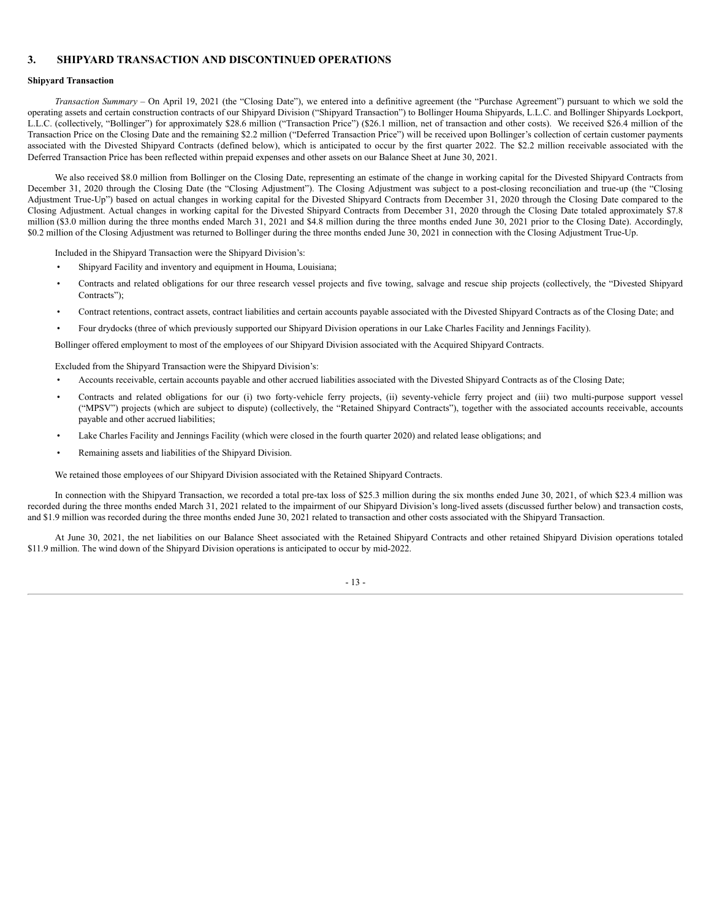# **3. SHIPYARD TRANSACTION AND DISCONTINUED OPERATIONS**

## **Shipyard Transaction**

*Transaction Summary* – On April 19, 2021 (the "Closing Date"), we entered into a definitive agreement (the "Purchase Agreement") pursuant to which we sold the operating assets and certain construction contracts of our Shipyard Division ("Shipyard Transaction") to Bollinger Houma Shipyards, L.L.C. and Bollinger Shipyards Lockport, L.L.C. (collectively, "Bollinger") for approximately \$28.6 million ("Transaction Price") (\$26.1 million, net of transaction and other costs). We received \$26.4 million of the Transaction Price on the Closing Date and the remaining \$2.2 million ("Deferred Transaction Price") will be received upon Bollinger's collection of certain customer payments associated with the Divested Shipyard Contracts (defined below), which is anticipated to occur by the first quarter 2022. The \$2.2 million receivable associated with the Deferred Transaction Price has been reflected within prepaid expenses and other assets on our Balance Sheet at June 30, 2021.

We also received \$8.0 million from Bollinger on the Closing Date, representing an estimate of the change in working capital for the Divested Shipyard Contracts from December 31, 2020 through the Closing Date (the "Closing Adjustment"). The Closing Adjustment was subject to a post-closing reconciliation and true-up (the "Closing Adjustment True-Up") based on actual changes in working capital for the Divested Shipyard Contracts from December 31, 2020 through the Closing Date compared to the Closing Adjustment. Actual changes in working capital for the Divested Shipyard Contracts from December 31, 2020 through the Closing Date totaled approximately \$7.8 million (\$3.0 million during the three months ended March 31, 2021 and \$4.8 million during the three months ended June 30, 2021 prior to the Closing Date). Accordingly, \$0.2 million of the Closing Adjustment was returned to Bollinger during the three months ended June 30, 2021 in connection with the Closing Adjustment True-Up.

Included in the Shipyard Transaction were the Shipyard Division's:

- Shipyard Facility and inventory and equipment in Houma, Louisiana;
- Contracts and related obligations for our three research vessel projects and five towing, salvage and rescue ship projects (collectively, the "Divested Shipyard Contracts");
- Contract retentions, contract assets, contract liabilities and certain accounts payable associated with the Divested Shipyard Contracts as of the Closing Date; and
- Four drydocks (three of which previously supported our Shipyard Division operations in our Lake Charles Facility and Jennings Facility).

Bollinger offered employment to most of the employees of our Shipyard Division associated with the Acquired Shipyard Contracts.

Excluded from the Shipyard Transaction were the Shipyard Division's:

- Accounts receivable, certain accounts payable and other accrued liabilities associated with the Divested Shipyard Contracts as of the Closing Date;
- Contracts and related obligations for our (i) two forty-vehicle ferry projects, (ii) seventy-vehicle ferry project and (iii) two multi-purpose support vessel ("MPSV") projects (which are subject to dispute) (collectively, the "Retained Shipyard Contracts"), together with the associated accounts receivable, accounts payable and other accrued liabilities;
- Lake Charles Facility and Jennings Facility (which were closed in the fourth quarter 2020) and related lease obligations; and
- Remaining assets and liabilities of the Shipyard Division.

We retained those employees of our Shipyard Division associated with the Retained Shipyard Contracts.

In connection with the Shipyard Transaction, we recorded a total pre-tax loss of \$25.3 million during the six months ended June 30, 2021, of which \$23.4 million was recorded during the three months ended March 31, 2021 related to the impairment of our Shipyard Division's long-lived assets (discussed further below) and transaction costs, and \$1.9 million was recorded during the three months ended June 30, 2021 related to transaction and other costs associated with the Shipyard Transaction.

At June 30, 2021, the net liabilities on our Balance Sheet associated with the Retained Shipyard Contracts and other retained Shipyard Division operations totaled \$11.9 million. The wind down of the Shipyard Division operations is anticipated to occur by mid-2022.

- 13 -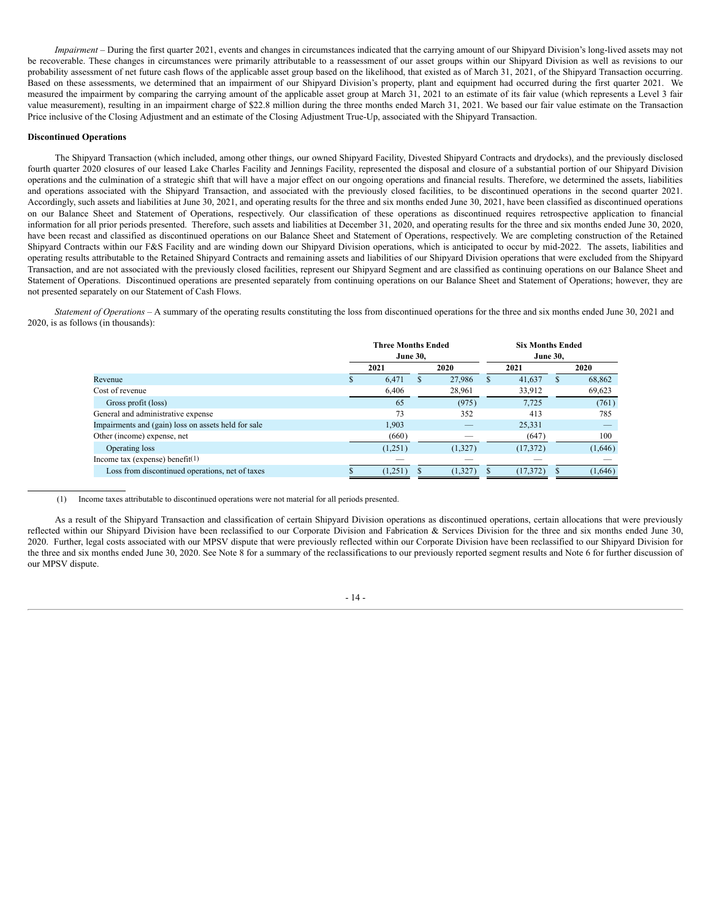*Impairment* – During the first quarter 2021, events and changes in circumstances indicated that the carrying amount of our Shipyard Division's long-lived assets may not be recoverable. These changes in circumstances were primarily attributable to a reassessment of our asset groups within our Shipyard Division as well as revisions to our probability assessment of net future cash flows of the applicable asset group based on the likelihood, that existed as of March 31, 2021, of the Shipyard Transaction occurring. Based on these assessments, we determined that an impairment of our Shipyard Division's property, plant and equipment had occurred during the first quarter 2021. We measured the impairment by comparing the carrying amount of the applicable asset group at March 31, 2021 to an estimate of its fair value (which represents a Level 3 fair value measurement), resulting in an impairment charge of \$22.8 million during the three months ended March 31, 2021. We based our fair value estimate on the Transaction Price inclusive of the Closing Adjustment and an estimate of the Closing Adjustment True-Up, associated with the Shipyard Transaction.

#### **Discontinued Operations**

The Shipyard Transaction (which included, among other things, our owned Shipyard Facility, Divested Shipyard Contracts and drydocks), and the previously disclosed fourth quarter 2020 closures of our leased Lake Charles Facility and Jennings Facility, represented the disposal and closure of a substantial portion of our Shipyard Division operations and the culmination of a strategic shift that will have a major effect on our ongoing operations and financial results. Therefore, we determined the assets, liabilities and operations associated with the Shipyard Transaction, and associated with the previously closed facilities, to be discontinued operations in the second quarter 2021. Accordingly, such assets and liabilities at June 30, 2021, and operating results for the three and six months ended June 30, 2021, have been classified as discontinued operations on our Balance Sheet and Statement of Operations, respectively. Our classification of these operations as discontinued requires retrospective application to financial information for all prior periods presented. Therefore, such assets and liabilities at December 31, 2020, and operating results for the three and six months ended June 30, 2020, have been recast and classified as discontinued operations on our Balance Sheet and Statement of Operations, respectively. We are completing construction of the Retained Shipyard Contracts within our F&S Facility and are winding down our Shipyard Division operations, which is anticipated to occur by mid-2022. The assets, liabilities and operating results attributable to the Retained Shipyard Contracts and remaining assets and liabilities of our Shipyard Division operations that were excluded from the Shipyard Transaction, and are not associated with the previously closed facilities, represent our Shipyard Segment and are classified as continuing operations on our Balance Sheet and Statement of Operations. Discontinued operations are presented separately from continuing operations on our Balance Sheet and Statement of Operations; however, they are not presented separately on our Statement of Cash Flows.

*Statement of Operations* – A summary of the operating results constituting the loss from discontinued operations for the three and six months ended June 30, 2021 and 2020, is as follows (in thousands):

|                                                     |  | <b>Three Months Ended</b><br><b>June 30.</b> |    |         |    | <b>Six Months Ended</b><br><b>June 30.</b> |              |         |  |      |  |
|-----------------------------------------------------|--|----------------------------------------------|----|---------|----|--------------------------------------------|--------------|---------|--|------|--|
|                                                     |  | 2021                                         |    |         |    | 2020                                       |              | 2021    |  | 2020 |  |
| Revenue                                             |  | 6,471                                        | S. | 27,986  | S. | 41.637                                     | <sup>2</sup> | 68,862  |  |      |  |
| Cost of revenue                                     |  | 6,406                                        |    | 28,961  |    | 33,912                                     |              | 69,623  |  |      |  |
| Gross profit (loss)                                 |  | 65                                           |    | (975)   |    | 7,725                                      |              | (761)   |  |      |  |
| General and administrative expense                  |  | 73                                           |    | 352     |    | 413                                        |              | 785     |  |      |  |
| Impairments and (gain) loss on assets held for sale |  | 1.903                                        |    |         |    | 25,331                                     |              |         |  |      |  |
| Other (income) expense, net                         |  | (660)                                        |    |         |    | (647)                                      |              | 100     |  |      |  |
| Operating loss                                      |  | (1,251)                                      |    | (1,327) |    | (17,372)                                   |              | (1,646) |  |      |  |
| Income tax (expense) benefit <sup>(1)</sup>         |  |                                              |    |         |    |                                            |              |         |  |      |  |
| Loss from discontinued operations, net of taxes     |  | (1,251)                                      |    | (1,327) |    | (17, 372)                                  |              | (1,646) |  |      |  |

#### (1) Income taxes attributable to discontinued operations were not material for all periods presented.

As a result of the Shipyard Transaction and classification of certain Shipyard Division operations as discontinued operations, certain allocations that were previously reflected within our Shipyard Division have been reclassified to our Corporate Division and Fabrication & Services Division for the three and six months ended June 30, 2020. Further, legal costs associated with our MPSV dispute that were previously reflected within our Corporate Division have been reclassified to our Shipyard Division for the three and six months ended June 30, 2020. See Note 8 for a summary of the reclassifications to our previously reported segment results and Note 6 for further discussion of our MPSV dispute.

#### - 14 -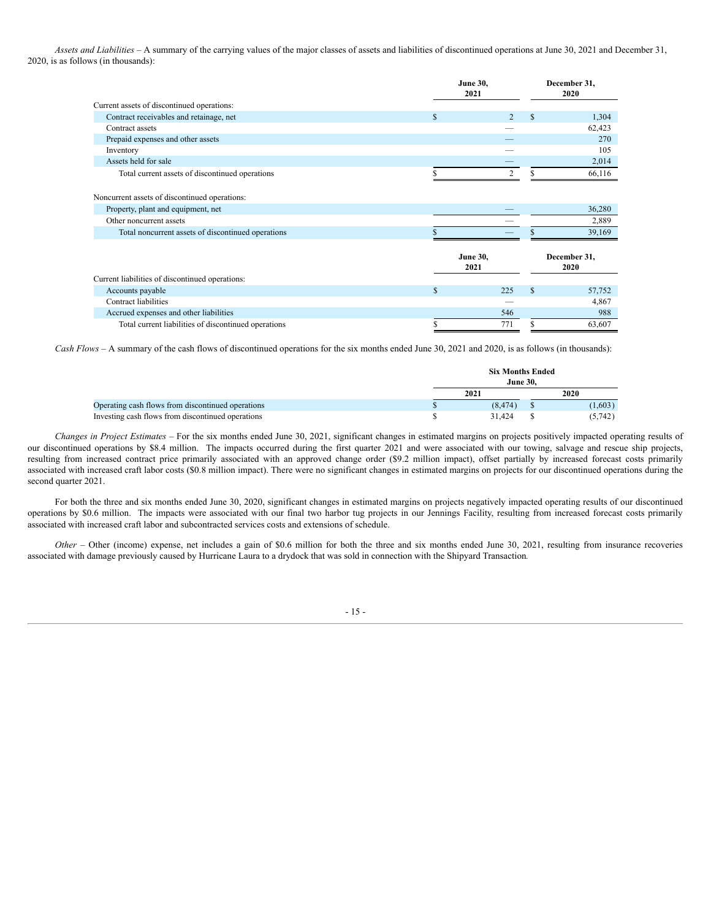*Assets and Liabilities –* A summary of the carrying values of the major classes of assets and liabilities of discontinued operations at June 30, 2021 and December 31, 2020, is as follows (in thousands):

|                                                                                                                |                         | <b>June 30,</b><br>2021 |                    |                      |  |
|----------------------------------------------------------------------------------------------------------------|-------------------------|-------------------------|--------------------|----------------------|--|
| Current assets of discontinued operations:                                                                     |                         |                         |                    | 2020                 |  |
| Contract receivables and retainage, net                                                                        | \$                      | $\overline{2}$          | $\mathbf{\hat{s}}$ | 1,304                |  |
| Contract assets                                                                                                |                         |                         |                    | 62,423               |  |
| Prepaid expenses and other assets                                                                              |                         |                         |                    | 270                  |  |
| Inventory                                                                                                      |                         |                         |                    | 105                  |  |
| Assets held for sale                                                                                           |                         |                         |                    | 2,014                |  |
| Total current assets of discontinued operations                                                                |                         | $\overline{c}$          |                    | 66,116               |  |
| Noncurrent assets of discontinued operations:<br>Property, plant and equipment, net<br>Other noncurrent assets |                         |                         |                    | 36,280<br>2,889      |  |
| Total noncurrent assets of discontinued operations                                                             |                         |                         |                    | 39,169               |  |
|                                                                                                                | <b>June 30,</b><br>2021 |                         |                    | December 31,<br>2020 |  |
| Current liabilities of discontinued operations:                                                                |                         |                         |                    |                      |  |
| Accounts payable                                                                                               | \$                      | 225                     | $\mathbf{\hat{s}}$ | 57,752               |  |
| Contract liabilities                                                                                           |                         |                         |                    | 4,867                |  |
| Accrued expenses and other liabilities                                                                         |                         | 546                     |                    | 988                  |  |
| Total current liabilities of discontinued operations                                                           | \$                      | 771                     | \$                 | 63,607               |  |

*Cash Flows –* A summary of the cash flows of discontinued operations for the six months ended June 30, 2021 and 2020, is as follows (in thousands):

|                                                   | <b>Six Months Ended</b><br><b>June 30.</b> |         |
|---------------------------------------------------|--------------------------------------------|---------|
|                                                   | 2021                                       | 2020    |
| Operating cash flows from discontinued operations | (8.474)                                    | (1,603) |
| Investing cash flows from discontinued operations | 31.424                                     | (5,742) |

*Changes in Project Estimates* – For the six months ended June 30, 2021, significant changes in estimated margins on projects positively impacted operating results of our discontinued operations by \$8.4 million. The impacts occurred during the first quarter 2021 and were associated with our towing, salvage and rescue ship projects, resulting from increased contract price primarily associated with an approved change order (\$9.2 million impact), offset partially by increased forecast costs primarily associated with increased craft labor costs (\$0.8 million impact). There were no significant changes in estimated margins on projects for our discontinued operations during the second quarter 2021.

For both the three and six months ended June 30, 2020, significant changes in estimated margins on projects negatively impacted operating results of our discontinued operations by \$0.6 million. The impacts were associated with our final two harbor tug projects in our Jennings Facility, resulting from increased forecast costs primarily associated with increased craft labor and subcontracted services costs and extensions of schedule.

*Other* – Other (income) expense, net includes a gain of \$0.6 million for both the three and six months ended June 30, 2021, resulting from insurance recoveries associated with damage previously caused by Hurricane Laura to a drydock that was sold in connection with the Shipyard Transaction*.*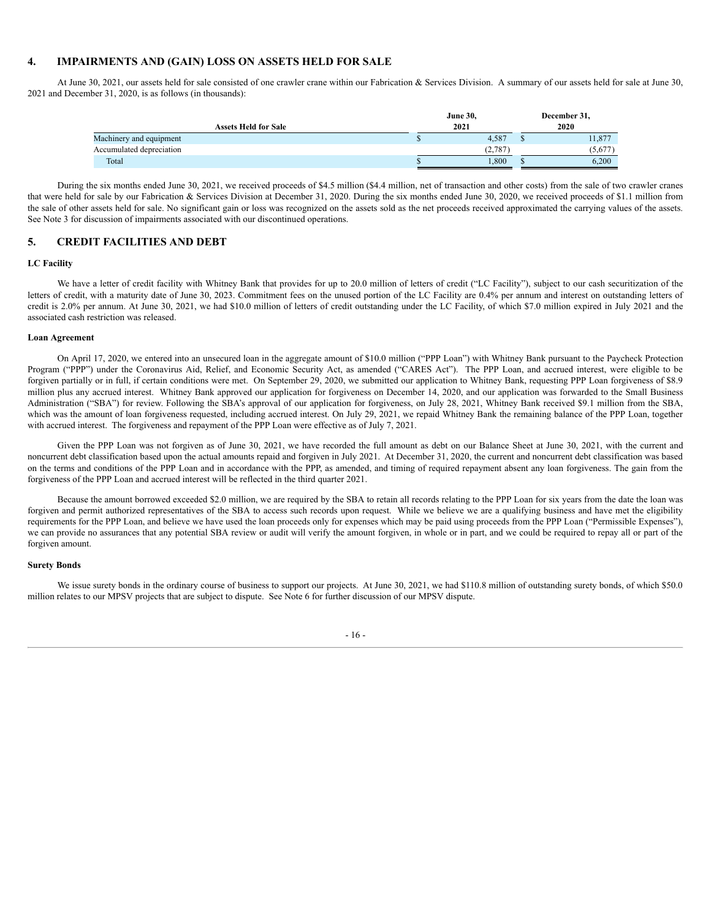# **4. IMPAIRMENTS AND (GAIN) LOSS ON ASSETS HELD FOR SALE**

At June 30, 2021, our assets held for sale consisted of one crawler crane within our Fabrication & Services Division. A summary of our assets held for sale at June 30, 2021 and December 31, 2020, is as follows (in thousands):

|                             | <b>June 30,</b> |          |  | December 31, |
|-----------------------------|-----------------|----------|--|--------------|
| <b>Assets Held for Sale</b> | 2021            |          |  | 2020         |
| Machinery and equipment     |                 | 4,587    |  | 11,877       |
| Accumulated depreciation    |                 | (2, 787) |  | (5,677)      |
| Total                       |                 | .800     |  | 6,200        |

During the six months ended June 30, 2021, we received proceeds of \$4.5 million (\$4.4 million, net of transaction and other costs) from the sale of two crawler cranes that were held for sale by our Fabrication & Services Division at December 31, 2020. During the six months ended June 30, 2020, we received proceeds of \$1.1 million from the sale of other assets held for sale. No significant gain or loss was recognized on the assets sold as the net proceeds received approximated the carrying values of the assets. See Note 3 for discussion of impairments associated with our discontinued operations.

# **5. CREDIT FACILITIES AND DEBT**

#### **LC Facility**

We have a letter of credit facility with Whitney Bank that provides for up to 20.0 million of letters of credit ("LC Facility"), subject to our cash securitization of the letters of credit, with a maturity date of June 30, 2023. Commitment fees on the unused portion of the LC Facility are 0.4% per annum and interest on outstanding letters of credit is 2.0% per annum. At June 30, 2021, we had \$10.0 million of letters of credit outstanding under the LC Facility, of which \$7.0 million expired in July 2021 and the associated cash restriction was released.

#### **Loan Agreement**

On April 17, 2020, we entered into an unsecured loan in the aggregate amount of \$10.0 million ("PPP Loan") with Whitney Bank pursuant to the Paycheck Protection Program ("PPP") under the Coronavirus Aid, Relief, and Economic Security Act, as amended ("CARES Act"). The PPP Loan, and accrued interest, were eligible to be forgiven partially or in full, if certain conditions were met. On September 29, 2020, we submitted our application to Whitney Bank, requesting PPP Loan forgiveness of \$8.9 million plus any accrued interest. Whitney Bank approved our application for forgiveness on December 14, 2020, and our application was forwarded to the Small Business Administration ("SBA") for review. Following the SBA's approval of our application for forgiveness, on July 28, 2021, Whitney Bank received \$9.1 million from the SBA, which was the amount of loan forgiveness requested, including accrued interest. On July 29, 2021, we repaid Whitney Bank the remaining balance of the PPP Loan, together with accrued interest. The forgiveness and repayment of the PPP Loan were effective as of July 7, 2021.

Given the PPP Loan was not forgiven as of June 30, 2021, we have recorded the full amount as debt on our Balance Sheet at June 30, 2021, with the current and noncurrent debt classification based upon the actual amounts repaid and forgiven in July 2021. At December 31, 2020, the current and noncurrent debt classification was based on the terms and conditions of the PPP Loan and in accordance with the PPP, as amended, and timing of required repayment absent any loan forgiveness. The gain from the forgiveness of the PPP Loan and accrued interest will be reflected in the third quarter 2021.

Because the amount borrowed exceeded \$2.0 million, we are required by the SBA to retain all records relating to the PPP Loan for six years from the date the loan was forgiven and permit authorized representatives of the SBA to access such records upon request. While we believe we are a qualifying business and have met the eligibility requirements for the PPP Loan, and believe we have used the loan proceeds only for expenses which may be paid using proceeds from the PPP Loan ("Permissible Expenses"), we can provide no assurances that any potential SBA review or audit will verify the amount forgiven, in whole or in part, and we could be required to repay all or part of the forgiven amount.

#### **Surety Bonds**

We issue surety bonds in the ordinary course of business to support our projects. At June 30, 2021, we had \$110.8 million of outstanding surety bonds, of which \$50.0 million relates to our MPSV projects that are subject to dispute. See Note 6 for further discussion of our MPSV dispute.

- 16 -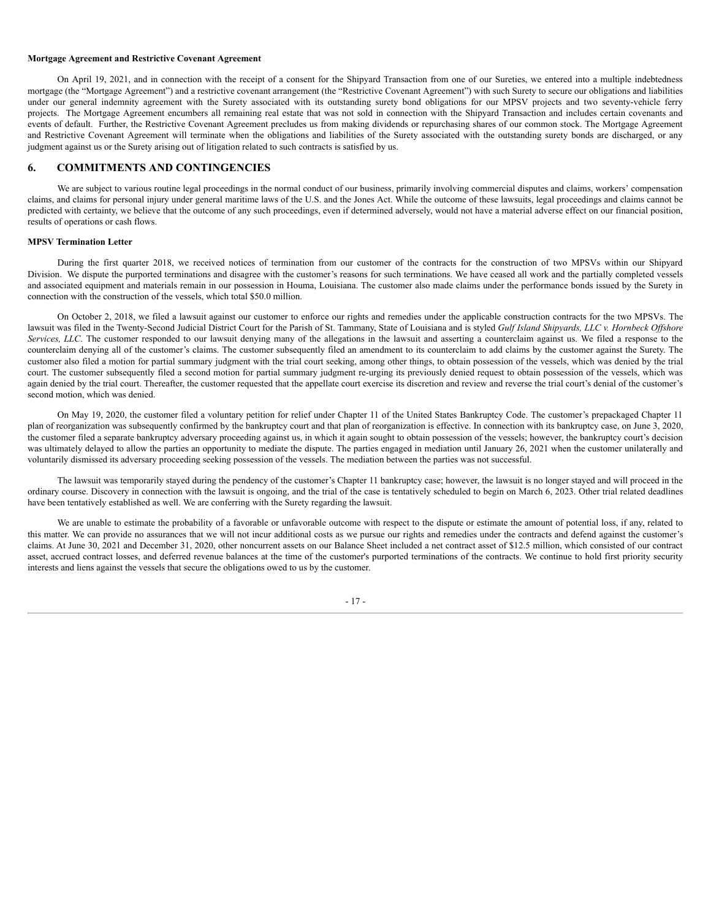## **Mortgage Agreement and Restrictive Covenant Agreement**

On April 19, 2021, and in connection with the receipt of a consent for the Shipyard Transaction from one of our Sureties, we entered into a multiple indebtedness mortgage (the "Mortgage Agreement") and a restrictive covenant arrangement (the "Restrictive Covenant Agreement") with such Surety to secure our obligations and liabilities under our general indemnity agreement with the Surety associated with its outstanding surety bond obligations for our MPSV projects and two seventy-vehicle ferry projects. The Mortgage Agreement encumbers all remaining real estate that was not sold in connection with the Shipyard Transaction and includes certain covenants and events of default. Further, the Restrictive Covenant Agreement precludes us from making dividends or repurchasing shares of our common stock. The Mortgage Agreement and Restrictive Covenant Agreement will terminate when the obligations and liabilities of the Surety associated with the outstanding surety bonds are discharged, or any judgment against us or the Surety arising out of litigation related to such contracts is satisfied by us.

## **6. COMMITMENTS AND CONTINGENCIES**

We are subject to various routine legal proceedings in the normal conduct of our business, primarily involving commercial disputes and claims, workers' compensation claims, and claims for personal injury under general maritime laws of the U.S. and the Jones Act. While the outcome of these lawsuits, legal proceedings and claims cannot be predicted with certainty, we believe that the outcome of any such proceedings, even if determined adversely, would not have a material adverse effect on our financial position, results of operations or cash flows.

#### **MPSV Termination Letter**

During the first quarter 2018, we received notices of termination from our customer of the contracts for the construction of two MPSVs within our Shipyard Division. We dispute the purported terminations and disagree with the customer's reasons for such terminations. We have ceased all work and the partially completed vessels and associated equipment and materials remain in our possession in Houma, Louisiana. The customer also made claims under the performance bonds issued by the Surety in connection with the construction of the vessels, which total \$50.0 million.

On October 2, 2018, we filed a lawsuit against our customer to enforce our rights and remedies under the applicable construction contracts for the two MPSVs. The lawsuit was filed in the Twenty-Second Judicial District Court for the Parish of St. Tammany, State of Louisiana and is styled Gulf Island Shipyards, LLC v. Hornbeck Offshore *Services, LLC*. The customer responded to our lawsuit denying many of the allegations in the lawsuit and asserting a counterclaim against us. We filed a response to the counterclaim denying all of the customer's claims. The customer subsequently filed an amendment to its counterclaim to add claims by the customer against the Surety. The customer also filed a motion for partial summary judgment with the trial court seeking, among other things, to obtain possession of the vessels, which was denied by the trial court. The customer subsequently filed a second motion for partial summary judgment re-urging its previously denied request to obtain possession of the vessels, which was again denied by the trial court. Thereafter, the customer requested that the appellate court exercise its discretion and review and reverse the trial court's denial of the customer's second motion, which was denied.

On May 19, 2020, the customer filed a voluntary petition for relief under Chapter 11 of the United States Bankruptcy Code. The customer's prepackaged Chapter 11 plan of reorganization was subsequently confirmed by the bankruptcy court and that plan of reorganization is effective. In connection with its bankruptcy case, on June 3, 2020, the customer filed a separate bankruptcy adversary proceeding against us, in which it again sought to obtain possession of the vessels; however, the bankruptcy court's decision was ultimately delayed to allow the parties an opportunity to mediate the dispute. The parties engaged in mediation until January 26, 2021 when the customer unilaterally and voluntarily dismissed its adversary proceeding seeking possession of the vessels. The mediation between the parties was not successful.

The lawsuit was temporarily stayed during the pendency of the customer's Chapter 11 bankruptcy case; however, the lawsuit is no longer stayed and will proceed in the ordinary course. Discovery in connection with the lawsuit is ongoing, and the trial of the case is tentatively scheduled to begin on March 6, 2023. Other trial related deadlines have been tentatively established as well. We are conferring with the Surety regarding the lawsuit.

We are unable to estimate the probability of a favorable or unfavorable outcome with respect to the dispute or estimate the amount of potential loss, if any, related to this matter. We can provide no assurances that we will not incur additional costs as we pursue our rights and remedies under the contracts and defend against the customer's claims. At June 30, 2021 and December 31, 2020, other noncurrent assets on our Balance Sheet included a net contract asset of \$12.5 million, which consisted of our contract asset, accrued contract losses, and deferred revenue balances at the time of the customer's purported terminations of the contracts. We continue to hold first priority security interests and liens against the vessels that secure the obligations owed to us by the customer.

- 17 -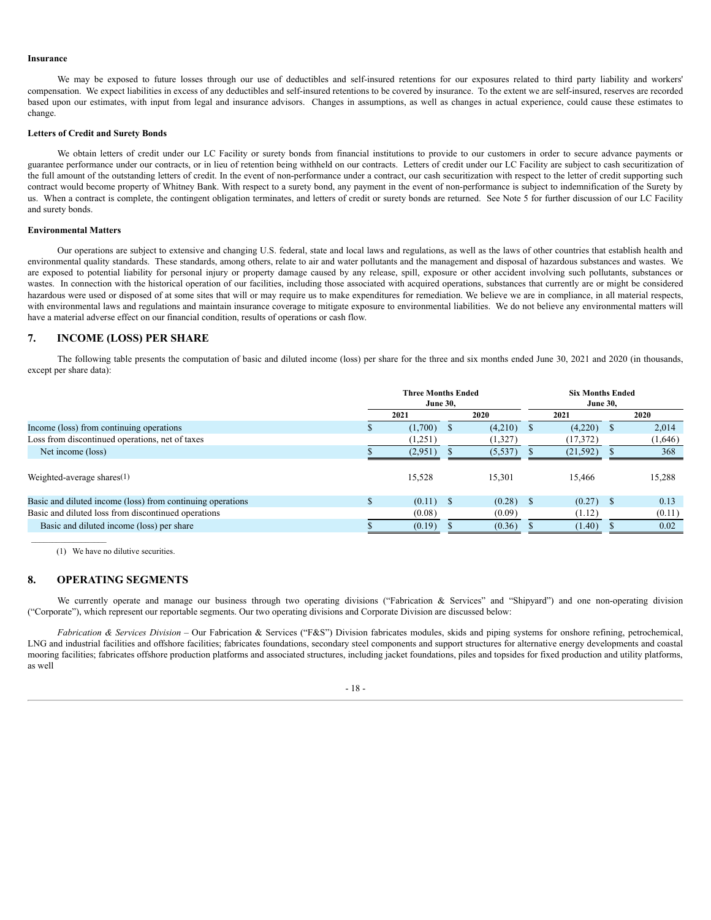#### **Insurance**

We may be exposed to future losses through our use of deductibles and self-insured retentions for our exposures related to third party liability and workers' compensation. We expect liabilities in excess of any deductibles and self-insured retentions to be covered by insurance. To the extent we are self-insured, reserves are recorded based upon our estimates, with input from legal and insurance advisors. Changes in assumptions, as well as changes in actual experience, could cause these estimates to change.

#### **Letters of Credit and Surety Bonds**

We obtain letters of credit under our LC Facility or surety bonds from financial institutions to provide to our customers in order to secure advance payments or guarantee performance under our contracts, or in lieu of retention being withheld on our contracts. Letters of credit under our LC Facility are subject to cash securitization of the full amount of the outstanding letters of credit. In the event of non-performance under a contract, our cash securitization with respect to the letter of credit supporting such contract would become property of Whitney Bank. With respect to a surety bond, any payment in the event of non-performance is subject to indemnification of the Surety by us. When a contract is complete, the contingent obligation terminates, and letters of credit or surety bonds are returned. See Note 5 for further discussion of our LC Facility and surety bonds.

#### **Environmental Matters**

Our operations are subject to extensive and changing U.S. federal, state and local laws and regulations, as well as the laws of other countries that establish health and environmental quality standards. These standards, among others, relate to air and water pollutants and the management and disposal of hazardous substances and wastes. We are exposed to potential liability for personal injury or property damage caused by any release, spill, exposure or other accident involving such pollutants, substances or wastes. In connection with the historical operation of our facilities, including those associated with acquired operations, substances that currently are or might be considered hazardous were used or disposed of at some sites that will or may require us to make expenditures for remediation. We believe we are in compliance, in all material respects, with environmental laws and regulations and maintain insurance coverage to mitigate exposure to environmental liabilities. We do not believe any environmental matters will have a material adverse effect on our financial condition, results of operations or cash flow.

# **7. INCOME (LOSS) PER SHARE**

The following table presents the computation of basic and diluted income (loss) per share for the three and six months ended June 30, 2021 and 2020 (in thousands, except per share data):

|                                                            | <b>Three Months Ended</b><br><b>June 30.</b> |         |    |         |     | <b>Six Months Ended</b> |  |         |
|------------------------------------------------------------|----------------------------------------------|---------|----|---------|-----|-------------------------|--|---------|
|                                                            |                                              | 2021    |    | 2020    |     | 2021                    |  | 2020    |
| Income (loss) from continuing operations                   |                                              | (1,700) |    | (4,210) |     | (4,220)                 |  | 2,014   |
| Loss from discontinued operations, net of taxes            |                                              | (1,251) |    | (1,327) |     | (17,372)                |  | (1,646) |
| Net income (loss)                                          |                                              | (2,951) |    | (5,537) |     | (21, 592)               |  | 368     |
| Weighted-average shares $(1)$                              |                                              | 15,528  |    | 15,301  |     | 15.466                  |  | 15,288  |
| Basic and diluted income (loss) from continuing operations |                                              | (0.11)  | -S | (0.28)  | - S | $(0.27)$ \$             |  | 0.13    |
| Basic and diluted loss from discontinued operations        |                                              | (0.08)  |    | (0.09)  |     | (1.12)                  |  | (0.11)  |
| Basic and diluted income (loss) per share                  |                                              | (0.19)  |    | (0.36)  |     | (1.40)                  |  | 0.02    |

(1) We have no dilutive securities.

## **8. OPERATING SEGMENTS**

We currently operate and manage our business through two operating divisions ("Fabrication & Services" and "Shipyard") and one non-operating division ("Corporate"), which represent our reportable segments. Our two operating divisions and Corporate Division are discussed below:

*Fabrication & Services Division* – Our Fabrication & Services ("F&S") Division fabricates modules, skids and piping systems for onshore refining, petrochemical, LNG and industrial facilities and offshore facilities; fabricates foundations, secondary steel components and support structures for alternative energy developments and coastal mooring facilities; fabricates offshore production platforms and associated structures, including jacket foundations, piles and topsides for fixed production and utility platforms, as well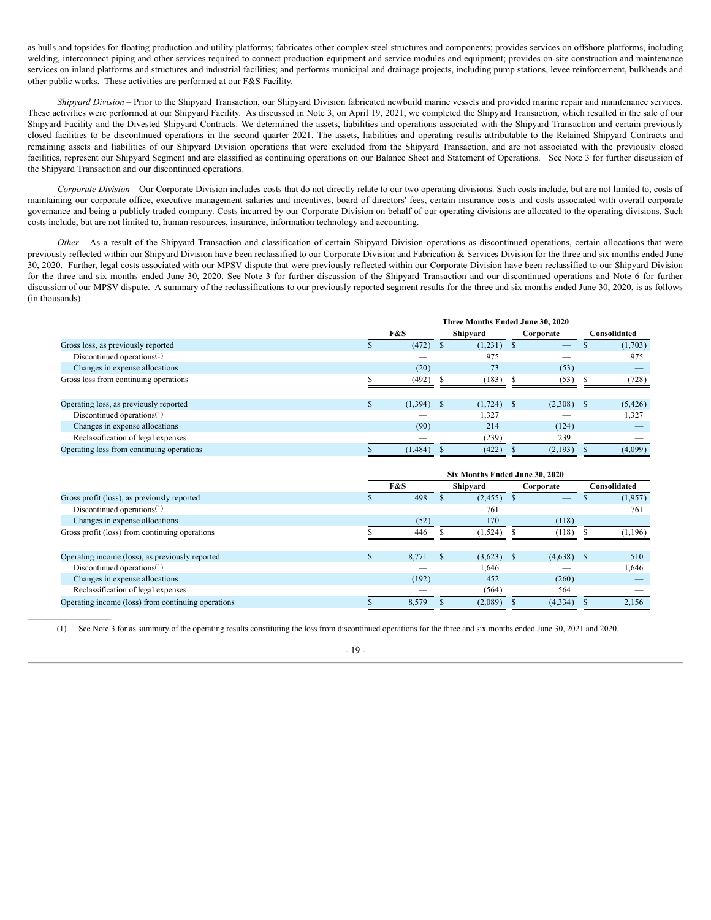as hulls and topsides for floating production and utility platforms; fabricates other complex steel structures and components; provides services on offshore platforms, including welding, interconnect piping and other services required to connect production equipment and service modules and equipment; provides on-site construction and maintenance services on inland platforms and structures and industrial facilities; and performs municipal and drainage projects, including pump stations, levee reinforcement, bulkheads and other public works. These activities are performed at our F&S Facility.

*Shipyard Division* – Prior to the Shipyard Transaction, our Shipyard Division fabricated newbuild marine vessels and provided marine repair and maintenance services. These activities were performed at our Shipyard Facility. As discussed in Note 3, on April 19, 2021, we completed the Shipyard Transaction, which resulted in the sale of our Shipyard Facility and the Divested Shipyard Contracts. We determined the assets, liabilities and operations associated with the Shipyard Transaction and certain previously closed facilities to be discontinued operations in the second quarter 2021. The assets, liabilities and operating results attributable to the Retained Shipyard Contracts and remaining assets and liabilities of our Shipyard Division operations that were excluded from the Shipyard Transaction, and are not associated with the previously closed facilities, represent our Shipyard Segment and are classified as continuing operations on our Balance Sheet and Statement of Operations. See Note 3 for further discussion of the Shipyard Transaction and our discontinued operations.

*Corporate Division* – Our Corporate Division includes costs that do not directly relate to our two operating divisions. Such costs include, but are not limited to, costs of maintaining our corporate office, executive management salaries and incentives, board of directors' fees, certain insurance costs and costs associated with overall corporate governance and being a publicly traded company. Costs incurred by our Corporate Division on behalf of our operating divisions are allocated to the operating divisions. Such costs include, but are not limited to, human resources, insurance, information technology and accounting.

*Other* – As a result of the Shipyard Transaction and classification of certain Shipyard Division operations as discontinued operations, certain allocations that were previously reflected within our Shipyard Division have been reclassified to our Corporate Division and Fabrication & Services Division for the three and six months ended June 30, 2020. Further, legal costs associated with our MPSV dispute that were previously reflected within our Corporate Division have been reclassified to our Shipyard Division for the three and six months ended June 30, 2020. See Note 3 for further discussion of the Shipyard Transaction and our discontinued operations and Note 6 for further discussion of our MPSV dispute. A summary of the reclassifications to our previously reported segment results for the three and six months ended June 30, 2020, is as follows (in thousands):

|                                           |  | Three Months Ended June 30, 2020 |  |              |  |                          |  |              |  |
|-------------------------------------------|--|----------------------------------|--|--------------|--|--------------------------|--|--------------|--|
|                                           |  | F&S                              |  | Shipyard     |  | Corporate                |  | Consolidated |  |
| Gross loss, as previously reported        |  | (472)                            |  | (1,231)      |  | $\overline{\phantom{0}}$ |  | (1,703)      |  |
| Discontinued operations $(1)$             |  |                                  |  | 975          |  |                          |  | 975          |  |
| Changes in expense allocations            |  | (20)                             |  | 73           |  | (53)                     |  |              |  |
| Gross loss from continuing operations     |  | (492)                            |  | (183)        |  | (53)                     |  | (728)        |  |
|                                           |  |                                  |  |              |  |                          |  |              |  |
| Operating loss, as previously reported    |  | $(1,394)$ \$                     |  | $(1,724)$ \$ |  | $(2,308)$ \$             |  | (5, 426)     |  |
| Discontinued operations $(1)$             |  |                                  |  | 1,327        |  |                          |  | 1,327        |  |
| Changes in expense allocations            |  | (90)                             |  | 214          |  | (124)                    |  |              |  |
| Reclassification of legal expenses        |  |                                  |  | (239)        |  | 239                      |  |              |  |
| Operating loss from continuing operations |  | (1, 484)                         |  | (422)        |  | (2,193)                  |  | (4,099)      |  |

|                                                    |   | Six Months Ended June 30, 2020 |               |          |           |              |  |              |  |  |  |
|----------------------------------------------------|---|--------------------------------|---------------|----------|-----------|--------------|--|--------------|--|--|--|
|                                                    |   | F&S                            |               | Shipyard | Corporate |              |  | Consolidated |  |  |  |
| Gross profit (loss), as previously reported        |   | 498                            |               | (2, 455) |           |              |  | (1,957)      |  |  |  |
| Discontinued operations $(1)$                      |   |                                |               | 761      |           |              |  | 761          |  |  |  |
| Changes in expense allocations                     |   | (52)                           |               | 170      |           | (118)        |  |              |  |  |  |
| Gross profit (loss) from continuing operations     |   | 446                            |               | (1,524)  |           | (118)        |  | (1, 196)     |  |  |  |
|                                                    |   |                                |               |          |           |              |  |              |  |  |  |
| Operating income (loss), as previously reported    | æ | 8,771                          | <sup>\$</sup> | (3,623)  | - \$      | $(4,638)$ \$ |  | 510          |  |  |  |
| Discontinued operations $(1)$                      |   |                                |               | 1,646    |           |              |  | 1,646        |  |  |  |
| Changes in expense allocations                     |   | (192)                          |               | 452      |           | (260)        |  |              |  |  |  |
| Reclassification of legal expenses                 |   |                                |               | (564)    |           | 564          |  |              |  |  |  |
| Operating income (loss) from continuing operations |   | 8,579                          |               | (2,089)  |           | (4,334)      |  | 2,156        |  |  |  |

(1) See Note 3 for as summary of the operating results constituting the loss from discontinued operations for the three and six months ended June 30, 2021 and 2020.

## - 19 -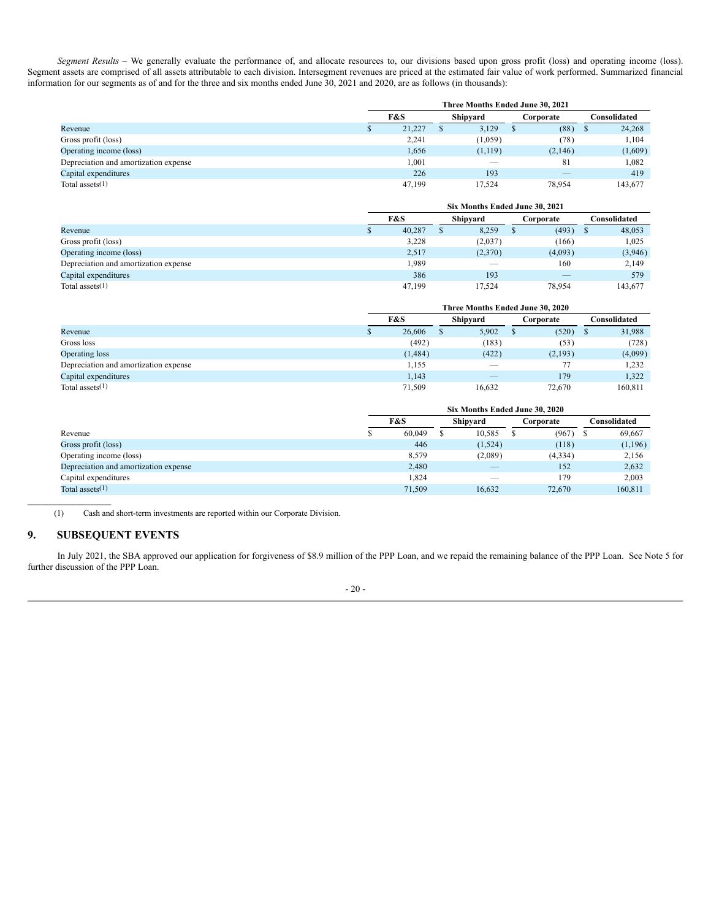*Segment Results* – We generally evaluate the performance of, and allocate resources to, our divisions based upon gross profit (loss) and operating income (loss). Segment assets are comprised of all assets attributable to each division. Intersegment revenues are priced at the estimated fair value of work performed. Summarized financial information for our segments as of and for the three and six months ended June 30, 2021 and 2020, are as follows (in thousands):

|                                       |  | Three Months Ended June 30, 2021 |          |           |              |  |  |  |  |  |  |
|---------------------------------------|--|----------------------------------|----------|-----------|--------------|--|--|--|--|--|--|
|                                       |  | F&S                              | Shipyard | Corporate | Consolidated |  |  |  |  |  |  |
| Revenue                               |  | 21,227                           | 3,129    | (88)      | 24,268<br>D  |  |  |  |  |  |  |
| Gross profit (loss)                   |  | 2,241                            | (1,059)  | (78)      | 1.104        |  |  |  |  |  |  |
| Operating income (loss)               |  | 1,656                            | (1, 119) | (2,146)   | (1,609)      |  |  |  |  |  |  |
| Depreciation and amortization expense |  | 1,001                            |          | 81        | 1,082        |  |  |  |  |  |  |
| Capital expenditures                  |  | 226                              | 193      |           | 419          |  |  |  |  |  |  |
| Total assets $(1)$                    |  | 47.199                           | 17.524   | 78,954    | 143.677      |  |  |  |  |  |  |

|                                       | Six Months Ended June 30, 2021 |          |         |    |           |              |         |  |  |
|---------------------------------------|--------------------------------|----------|---------|----|-----------|--------------|---------|--|--|
|                                       | F&S                            | Shipyard |         |    | Corporate | Consolidated |         |  |  |
| Revenue                               | 40,287                         |          | 8,259   | ۰D | (493)     |              | 48,053  |  |  |
| Gross profit (loss)                   | 3,228                          |          | (2,037) |    | (166)     |              | 1,025   |  |  |
| Operating income (loss)               | 2,517                          |          | (2,370) |    | (4,093)   |              | (3,946) |  |  |
| Depreciation and amortization expense | 1,989                          |          |         |    | 160       |              | 2,149   |  |  |
| Capital expenditures                  | 386                            |          | 193     |    |           |              | 579     |  |  |
| Total assets $(1)$                    | 47.199                         |          | 17.524  |    | 78.954    |              | 143.677 |  |  |

|                                       | Three Months Ended June 30, 2020 |   |        |  |           |              |         |  |  |  |
|---------------------------------------|----------------------------------|---|--------|--|-----------|--------------|---------|--|--|--|
|                                       | F&S                              |   |        |  | Corporate | Consolidated |         |  |  |  |
| Revenue                               | 26,606                           | ъ | 5,902  |  | (520)     |              | 31,988  |  |  |  |
| Gross loss                            | (492)                            |   | (183)  |  | (53)      |              | (728)   |  |  |  |
| Operating loss                        | (1,484)                          |   | (422)  |  | (2,193)   |              | (4,099) |  |  |  |
| Depreciation and amortization expense | 1,155                            |   |        |  | 77        |              | 1,232   |  |  |  |
| Capital expenditures                  | 1.143                            |   |        |  | 179       |              | 1.322   |  |  |  |
| Total assets $(1)$                    | 71.509                           |   | 16.632 |  | 72.670    |              | 160.811 |  |  |  |

|                                       | Six Months Ended June 30, 2020 |  |         |  |           |  |              |  |  |  |
|---------------------------------------|--------------------------------|--|---------|--|-----------|--|--------------|--|--|--|
|                                       | F&S                            |  |         |  | Corporate |  | Consolidated |  |  |  |
| Revenue                               | 60.049                         |  | 10,585  |  | (967)     |  | 69,667       |  |  |  |
| Gross profit (loss)                   | 446                            |  | (1,524) |  | (118)     |  | (1,196)      |  |  |  |
| Operating income (loss)               | 8,579                          |  | (2,089) |  | (4,334)   |  | 2,156        |  |  |  |
| Depreciation and amortization expense | 2,480                          |  |         |  | 152       |  | 2,632        |  |  |  |
| Capital expenditures                  | .824                           |  | __      |  | 179       |  | 2.003        |  |  |  |
| Total assets $(1)$                    | 71.509                         |  | 16,632  |  | 72.670    |  | 160,811      |  |  |  |

(1) Cash and short-term investments are reported within our Corporate Division.

# **9. SUBSEQUENT EVENTS**

 $\mathcal{L}=\mathcal{L}^{\mathcal{L}}$  , where  $\mathcal{L}^{\mathcal{L}}$ 

In July 2021, the SBA approved our application for forgiveness of \$8.9 million of the PPP Loan, and we repaid the remaining balance of the PPP Loan. See Note 5 for further discussion of the PPP Loan.

#### - 20 -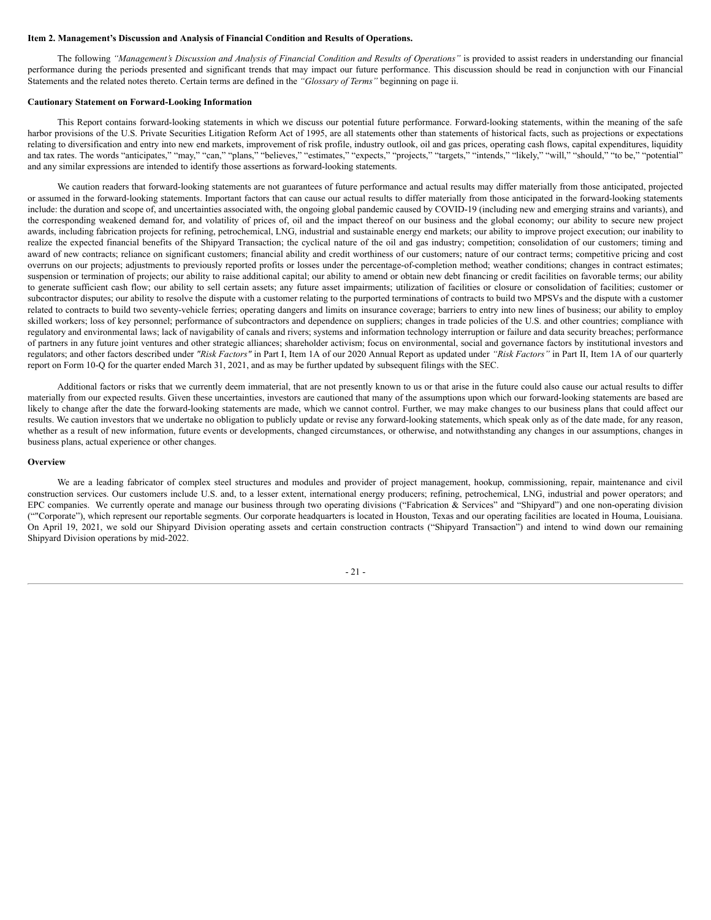#### <span id="page-25-0"></span>**Item 2. Management's Discussion and Analysis of Financial Condition and Results of Operations.**

The following "Management's Discussion and Analysis of Financial Condition and Results of Operations" is provided to assist readers in understanding our financial performance during the periods presented and significant trends that may impact our future performance. This discussion should be read in conjunction with our Financial Statements and the related notes thereto. Certain terms are defined in the *"Glossary of Terms"* beginning on page ii.

#### **Cautionary Statement on Forward-Looking Information**

This Report contains forward-looking statements in which we discuss our potential future performance. Forward-looking statements, within the meaning of the safe harbor provisions of the U.S. Private Securities Litigation Reform Act of 1995, are all statements other than statements of historical facts, such as projections or expectations relating to diversification and entry into new end markets, improvement of risk profile, industry outlook, oil and gas prices, operating cash flows, capital expenditures, liquidity and tax rates. The words "anticipates," "may," "can," "plans," "believes," "estimates," "expects," "projects," "targets," "intends," "likely," "will," "should," "to be," "potential" and any similar expressions are intended to identify those assertions as forward-looking statements.

We caution readers that forward-looking statements are not guarantees of future performance and actual results may differ materially from those anticipated, projected or assumed in the forward-looking statements. Important factors that can cause our actual results to differ materially from those anticipated in the forward-looking statements include: the duration and scope of, and uncertainties associated with, the ongoing global pandemic caused by COVID-19 (including new and emerging strains and variants), and the corresponding weakened demand for, and volatility of prices of, oil and the impact thereof on our business and the global economy; our ability to secure new project awards, including fabrication projects for refining, petrochemical, LNG, industrial and sustainable energy end markets; our ability to improve project execution; our inability to realize the expected financial benefits of the Shipyard Transaction; the cyclical nature of the oil and gas industry; competition; consolidation of our customers; timing and award of new contracts; reliance on significant customers; financial ability and credit worthiness of our customers; nature of our contract terms; competitive pricing and cost overruns on our projects; adjustments to previously reported profits or losses under the percentage-of-completion method; weather conditions; changes in contract estimates; suspension or termination of projects; our ability to raise additional capital; our ability to amend or obtain new debt financing or credit facilities on favorable terms; our ability to generate sufficient cash flow; our ability to sell certain assets; any future asset impairments; utilization of facilities or closure or consolidation of facilities; customer or subcontractor disputes; our ability to resolve the dispute with a customer relating to the purported terminations of contracts to build two MPSVs and the dispute with a customer related to contracts to build two seventy-vehicle ferries; operating dangers and limits on insurance coverage; barriers to entry into new lines of business; our ability to employ skilled workers; loss of key personnel; performance of subcontractors and dependence on suppliers; changes in trade policies of the U.S. and other countries; compliance with regulatory and environmental laws; lack of navigability of canals and rivers; systems and information technology interruption or failure and data security breaches; performance of partners in any future joint ventures and other strategic alliances; shareholder activism; focus on environmental, social and governance factors by institutional investors and regulators; and other factors described under *"Risk Factors"* in Part I, Item 1A of our 2020 Annual Report as updated under *"Risk Factors"* in Part II, Item 1A of our quarterly report on Form 10-Q for the quarter ended March 31, 2021, and as may be further updated by subsequent filings with the SEC.

Additional factors or risks that we currently deem immaterial, that are not presently known to us or that arise in the future could also cause our actual results to differ materially from our expected results. Given these uncertainties, investors are cautioned that many of the assumptions upon which our forward-looking statements are based are likely to change after the date the forward-looking statements are made, which we cannot control. Further, we may make changes to our business plans that could affect our results. We caution investors that we undertake no obligation to publicly update or revise any forward-looking statements, which speak only as of the date made, for any reason, whether as a result of new information, future events or developments, changed circumstances, or otherwise, and notwithstanding any changes in our assumptions, changes in business plans, actual experience or other changes.

#### **Overview**

We are a leading fabricator of complex steel structures and modules and provider of project management, hookup, commissioning, repair, maintenance and civil construction services. Our customers include U.S. and, to a lesser extent, international energy producers; refining, petrochemical, LNG, industrial and power operators; and EPC companies. We currently operate and manage our business through two operating divisions ("Fabrication & Services" and "Shipyard") and one non-operating division (""Corporate"), which represent our reportable segments. Our corporate headquarters is located in Houston, Texas and our operating facilities are located in Houma, Louisiana. On April 19, 2021, we sold our Shipyard Division operating assets and certain construction contracts ("Shipyard Transaction") and intend to wind down our remaining Shipyard Division operations by mid-2022.

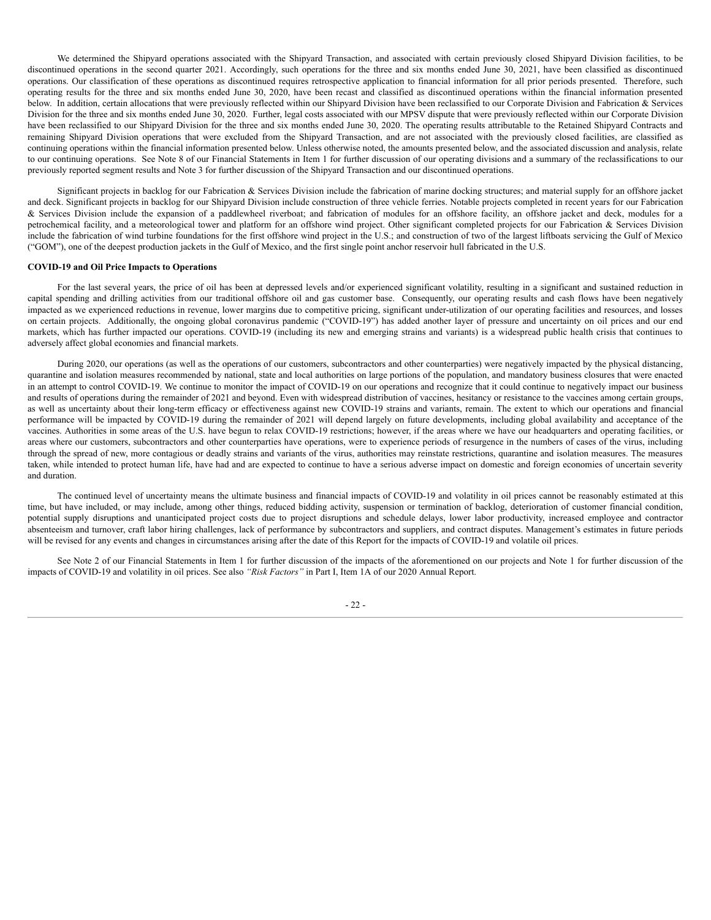We determined the Shipyard operations associated with the Shipyard Transaction, and associated with certain previously closed Shipyard Division facilities, to be discontinued operations in the second quarter 2021. Accordingly, such operations for the three and six months ended June 30, 2021, have been classified as discontinued operations. Our classification of these operations as discontinued requires retrospective application to financial information for all prior periods presented. Therefore, such operating results for the three and six months ended June 30, 2020, have been recast and classified as discontinued operations within the financial information presented below. In addition, certain allocations that were previously reflected within our Shipyard Division have been reclassified to our Corporate Division and Fabrication & Services Division for the three and six months ended June 30, 2020. Further, legal costs associated with our MPSV dispute that were previously reflected within our Corporate Division have been reclassified to our Shipyard Division for the three and six months ended June 30, 2020. The operating results attributable to the Retained Shipyard Contracts and remaining Shipyard Division operations that were excluded from the Shipyard Transaction, and are not associated with the previously closed facilities, are classified as continuing operations within the financial information presented below. Unless otherwise noted, the amounts presented below, and the associated discussion and analysis, relate to our continuing operations. See Note 8 of our Financial Statements in Item 1 for further discussion of our operating divisions and a summary of the reclassifications to our previously reported segment results and Note 3 for further discussion of the Shipyard Transaction and our discontinued operations.

Significant projects in backlog for our Fabrication & Services Division include the fabrication of marine docking structures; and material supply for an offshore jacket and deck. Significant projects in backlog for our Shipyard Division include construction of three vehicle ferries. Notable projects completed in recent years for our Fabrication & Services Division include the expansion of a paddlewheel riverboat; and fabrication of modules for an offshore facility, an offshore jacket and deck, modules for a petrochemical facility, and a meteorological tower and platform for an offshore wind project. Other significant completed projects for our Fabrication & Services Division include the fabrication of wind turbine foundations for the first offshore wind project in the U.S.; and construction of two of the largest liftboats servicing the Gulf of Mexico ("GOM"), one of the deepest production jackets in the Gulf of Mexico, and the first single point anchor reservoir hull fabricated in the U.S.

#### **COVID-19 and Oil Price Impacts to Operations**

For the last several years, the price of oil has been at depressed levels and/or experienced significant volatility, resulting in a significant and sustained reduction in capital spending and drilling activities from our traditional offshore oil and gas customer base. Consequently, our operating results and cash flows have been negatively impacted as we experienced reductions in revenue, lower margins due to competitive pricing, significant under-utilization of our operating facilities and resources, and losses on certain projects. Additionally, the ongoing global coronavirus pandemic ("COVID-19") has added another layer of pressure and uncertainty on oil prices and our end markets, which has further impacted our operations. COVID-19 (including its new and emerging strains and variants) is a widespread public health crisis that continues to adversely affect global economies and financial markets.

During 2020, our operations (as well as the operations of our customers, subcontractors and other counterparties) were negatively impacted by the physical distancing, quarantine and isolation measures recommended by national, state and local authorities on large portions of the population, and mandatory business closures that were enacted in an attempt to control COVID-19. We continue to monitor the impact of COVID-19 on our operations and recognize that it could continue to negatively impact our business and results of operations during the remainder of 2021 and beyond. Even with widespread distribution of vaccines, hesitancy or resistance to the vaccines among certain groups, as well as uncertainty about their long-term efficacy or effectiveness against new COVID-19 strains and variants, remain. The extent to which our operations and financial performance will be impacted by COVID-19 during the remainder of 2021 will depend largely on future developments, including global availability and acceptance of the vaccines. Authorities in some areas of the U.S. have begun to relax COVID-19 restrictions; however, if the areas where we have our headquarters and operating facilities, or areas where our customers, subcontractors and other counterparties have operations, were to experience periods of resurgence in the numbers of cases of the virus, including through the spread of new, more contagious or deadly strains and variants of the virus, authorities may reinstate restrictions, quarantine and isolation measures. The measures taken, while intended to protect human life, have had and are expected to continue to have a serious adverse impact on domestic and foreign economies of uncertain severity and duration.

The continued level of uncertainty means the ultimate business and financial impacts of COVID-19 and volatility in oil prices cannot be reasonably estimated at this time, but have included, or may include, among other things, reduced bidding activity, suspension or termination of backlog, deterioration of customer financial condition, potential supply disruptions and unanticipated project costs due to project disruptions and schedule delays, lower labor productivity, increased employee and contractor absenteeism and turnover, craft labor hiring challenges, lack of performance by subcontractors and suppliers, and contract disputes. Management's estimates in future periods will be revised for any events and changes in circumstances arising after the date of this Report for the impacts of COVID-19 and volatile oil prices.

See Note 2 of our Financial Statements in Item 1 for further discussion of the impacts of the aforementioned on our projects and Note 1 for further discussion of the impacts of COVID-19 and volatility in oil prices. See also *"Risk Factors"* in Part I, Item 1A of our 2020 Annual Report.

#### - 22 -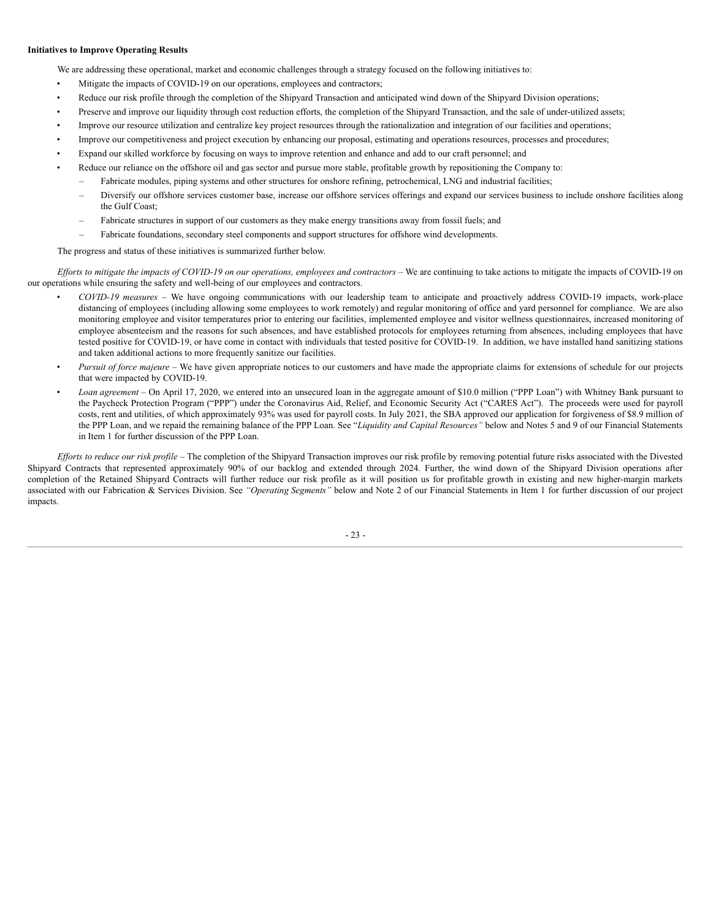# **Initiatives to Improve Operating Results**

We are addressing these operational, market and economic challenges through a strategy focused on the following initiatives to:

- Mitigate the impacts of COVID-19 on our operations, employees and contractors;
- Reduce our risk profile through the completion of the Shipyard Transaction and anticipated wind down of the Shipyard Division operations;
- Preserve and improve our liquidity through cost reduction efforts, the completion of the Shipyard Transaction, and the sale of under-utilized assets;
- Improve our resource utilization and centralize key project resources through the rationalization and integration of our facilities and operations;
- Improve our competitiveness and project execution by enhancing our proposal, estimating and operations resources, processes and procedures;
- Expand our skilled workforce by focusing on ways to improve retention and enhance and add to our craft personnel; and
	- Reduce our reliance on the offshore oil and gas sector and pursue more stable, profitable growth by repositioning the Company to:
	- Fabricate modules, piping systems and other structures for onshore refining, petrochemical, LNG and industrial facilities;
	- Diversify our offshore services customer base, increase our offshore services offerings and expand our services business to include onshore facilities along the Gulf Coast;
	- Fabricate structures in support of our customers as they make energy transitions away from fossil fuels; and
	- Fabricate foundations, secondary steel components and support structures for offshore wind developments.

The progress and status of these initiatives is summarized further below.

Efforts to mitigate the impacts of COVID-19 on our operations, employees and contractors – We are continuing to take actions to mitigate the impacts of COVID-19 on our operations while ensuring the safety and well-being of our employees and contractors.

- *COVID-19 measures* We have ongoing communications with our leadership team to anticipate and proactively address COVID-19 impacts, work-place distancing of employees (including allowing some employees to work remotely) and regular monitoring of office and yard personnel for compliance. We are also monitoring employee and visitor temperatures prior to entering our facilities, implemented employee and visitor wellness questionnaires, increased monitoring of employee absenteeism and the reasons for such absences, and have established protocols for employees returning from absences, including employees that have tested positive for COVID-19, or have come in contact with individuals that tested positive for COVID-19. In addition, we have installed hand sanitizing stations and taken additional actions to more frequently sanitize our facilities.
- *Pursuit of force majeure* We have given appropriate notices to our customers and have made the appropriate claims for extensions of schedule for our projects that were impacted by COVID-19.
- *Loan agreement* On April 17, 2020, we entered into an unsecured loan in the aggregate amount of \$10.0 million ("PPP Loan") with Whitney Bank pursuant to the Paycheck Protection Program ("PPP") under the Coronavirus Aid, Relief, and Economic Security Act ("CARES Act"). The proceeds were used for payroll costs, rent and utilities, of which approximately 93% was used for payroll costs. In July 2021, the SBA approved our application for forgiveness of \$8.9 million of the PPP Loan, and we repaid the remaining balance of the PPP Loan. See "*Liquidity and Capital Resources"* below and Notes 5 and 9 of our Financial Statements in Item 1 for further discussion of the PPP Loan.

Efforts to reduce our risk profile – The completion of the Shipyard Transaction improves our risk profile by removing potential future risks associated with the Divested Shipyard Contracts that represented approximately 90% of our backlog and extended through 2024. Further, the wind down of the Shipyard Division operations after completion of the Retained Shipyard Contracts will further reduce our risk profile as it will position us for profitable growth in existing and new higher-margin markets associated with our Fabrication & Services Division. See *"Operating Segments"* below and Note 2 of our Financial Statements in Item 1 for further discussion of our project impacts.

- 23 -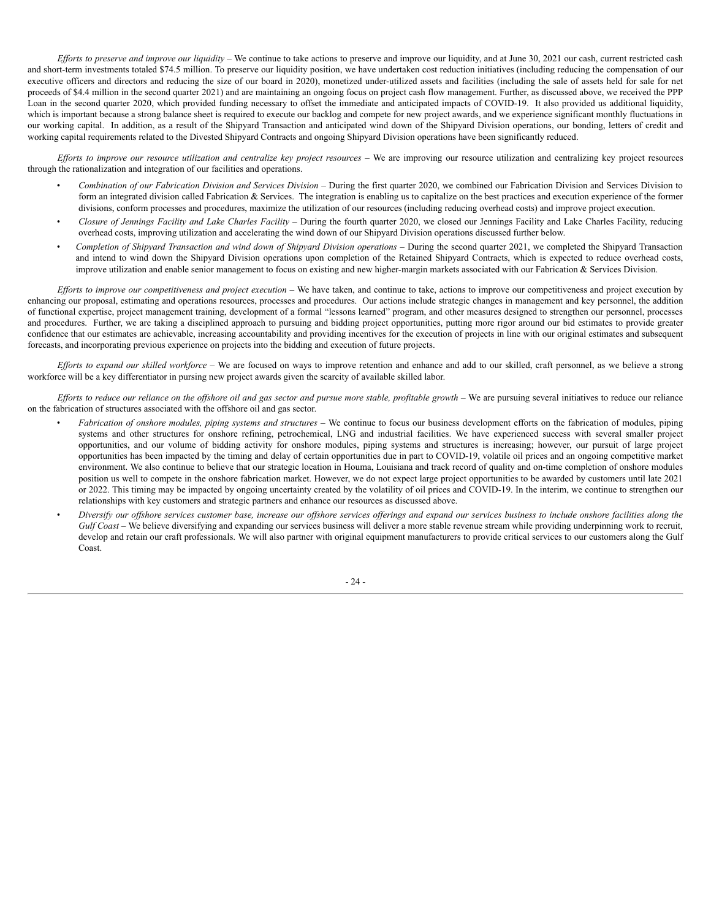Efforts to preserve and improve our liquidity – We continue to take actions to preserve and improve our liquidity, and at June 30, 2021 our cash, current restricted cash and short-term investments totaled \$74.5 million. To preserve our liquidity position, we have undertaken cost reduction initiatives (including reducing the compensation of our executive officers and directors and reducing the size of our board in 2020), monetized under-utilized assets and facilities (including the sale of assets held for sale for net proceeds of \$4.4 million in the second quarter 2021) and are maintaining an ongoing focus on project cash flow management. Further, as discussed above, we received the PPP Loan in the second quarter 2020, which provided funding necessary to offset the immediate and anticipated impacts of COVID-19. It also provided us additional liquidity, which is important because a strong balance sheet is required to execute our backlog and compete for new project awards, and we experience significant monthly fluctuations in our working capital. In addition, as a result of the Shipyard Transaction and anticipated wind down of the Shipyard Division operations, our bonding, letters of credit and working capital requirements related to the Divested Shipyard Contracts and ongoing Shipyard Division operations have been significantly reduced.

Efforts to improve our resource utilization and centralize key project resources - We are improving our resource utilization and centralizing key project resources through the rationalization and integration of our facilities and operations.

- *Combination of our Fabrication Division and Services Division –* During the first quarter 2020, we combined our Fabrication Division and Services Division to form an integrated division called Fabrication  $\&$  Services. The integration is enabling us to capitalize on the best practices and execution experience of the former divisions, conform processes and procedures, maximize the utilization of our resources (including reducing overhead costs) and improve project execution.
- *Closure of Jennings Facility and Lake Charles Facility* During the fourth quarter 2020, we closed our Jennings Facility and Lake Charles Facility, reducing overhead costs, improving utilization and accelerating the wind down of our Shipyard Division operations discussed further below.
- Completion of Shipyard Transaction and wind down of Shipyard Division operations During the second quarter 2021, we completed the Shipyard Transaction and intend to wind down the Shipyard Division operations upon completion of the Retained Shipyard Contracts, which is expected to reduce overhead costs, improve utilization and enable senior management to focus on existing and new higher-margin markets associated with our Fabrication & Services Division.

Efforts to improve our competitiveness and project execution – We have taken, and continue to take, actions to improve our competitiveness and project execution by enhancing our proposal, estimating and operations resources, processes and procedures. Our actions include strategic changes in management and key personnel, the addition of functional expertise, project management training, development of a formal "lessons learned" program, and other measures designed to strengthen our personnel, processes and procedures. Further, we are taking a disciplined approach to pursuing and bidding project opportunities, putting more rigor around our bid estimates to provide greater confidence that our estimates are achievable, increasing accountability and providing incentives for the execution of projects in line with our original estimates and subsequent forecasts, and incorporating previous experience on projects into the bidding and execution of future projects.

*Ef orts to expand our skilled workforce* – We are focused on ways to improve retention and enhance and add to our skilled, craft personnel, as we believe a strong workforce will be a key differentiator in pursing new project awards given the scarcity of available skilled labor.

Efforts to reduce our reliance on the offshore oil and gas sector and pursue more stable, profitable growth - We are pursuing several initiatives to reduce our reliance on the fabrication of structures associated with the offshore oil and gas sector.

- *Fabrication of onshore modules, piping systems and structures* We continue to focus our business development efforts on the fabrication of modules, piping systems and other structures for onshore refining, petrochemical, LNG and industrial facilities. We have experienced success with several smaller project opportunities, and our volume of bidding activity for onshore modules, piping systems and structures is increasing; however, our pursuit of large project opportunities has been impacted by the timing and delay of certain opportunities due in part to COVID-19, volatile oil prices and an ongoing competitive market environment. We also continue to believe that our strategic location in Houma, Louisiana and track record of quality and on-time completion of onshore modules position us well to compete in the onshore fabrication market. However, we do not expect large project opportunities to be awarded by customers until late 2021 or 2022. This timing may be impacted by ongoing uncertainty created by the volatility of oil prices and COVID-19. In the interim, we continue to strengthen our relationships with key customers and strategic partners and enhance our resources as discussed above.
- Diversify our offshore services customer base, increase our offshore services offerings and expand our services business to include onshore facilities along the *Gulf Coast* – We believe diversifying and expanding our services business will deliver a more stable revenue stream while providing underpinning work to recruit, develop and retain our craft professionals. We will also partner with original equipment manufacturers to provide critical services to our customers along the Gulf Coast.

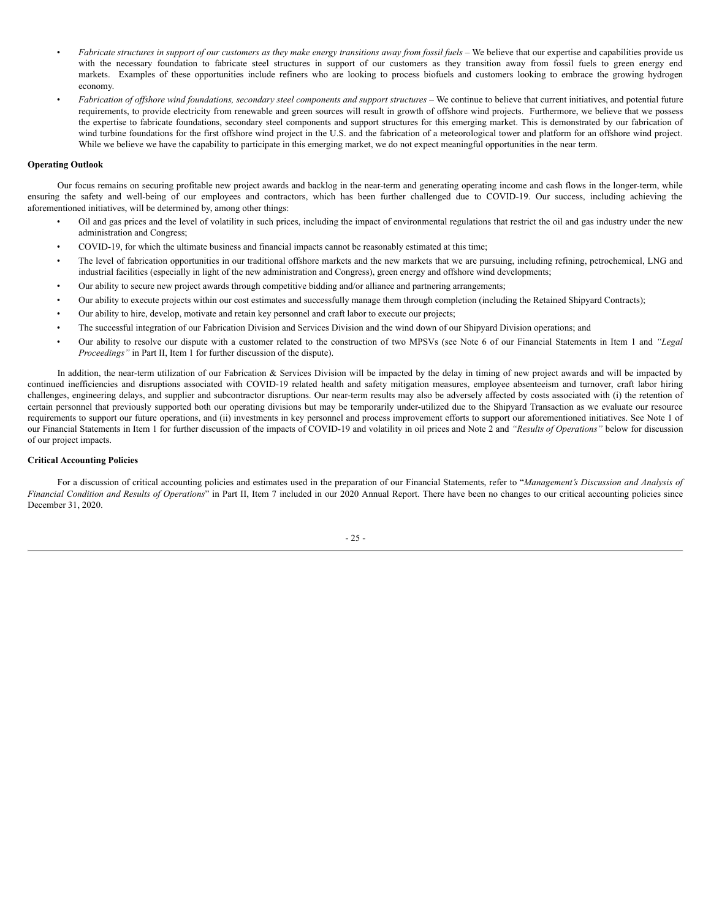- Fabricate structures in support of our customers as they make energy transitions away from fossil fuels We believe that our expertise and capabilities provide us with the necessary foundation to fabricate steel structures in support of our customers as they transition away from fossil fuels to green energy end markets. Examples of these opportunities include refiners who are looking to process biofuels and customers looking to embrace the growing hydrogen economy.
- Fabrication of offshore wind foundations, secondary steel components and support structures We continue to believe that current initiatives, and potential future requirements, to provide electricity from renewable and green sources will result in growth of offshore wind projects. Furthermore, we believe that we possess the expertise to fabricate foundations, secondary steel components and support structures for this emerging market. This is demonstrated by our fabrication of wind turbine foundations for the first offshore wind project in the U.S. and the fabrication of a meteorological tower and platform for an offshore wind project. While we believe we have the capability to participate in this emerging market, we do not expect meaningful opportunities in the near term.

#### **Operating Outlook**

Our focus remains on securing profitable new project awards and backlog in the near-term and generating operating income and cash flows in the longer-term, while ensuring the safety and well-being of our employees and contractors, which has been further challenged due to COVID-19. Our success, including achieving the aforementioned initiatives, will be determined by, among other things:

- Oil and gas prices and the level of volatility in such prices, including the impact of environmental regulations that restrict the oil and gas industry under the new administration and Congress;
- COVID-19, for which the ultimate business and financial impacts cannot be reasonably estimated at this time;
- The level of fabrication opportunities in our traditional offshore markets and the new markets that we are pursuing, including refining, petrochemical, LNG and industrial facilities (especially in light of the new administration and Congress), green energy and offshore wind developments;
- Our ability to secure new project awards through competitive bidding and/or alliance and partnering arrangements;
- Our ability to execute projects within our cost estimates and successfully manage them through completion (including the Retained Shipyard Contracts);
- Our ability to hire, develop, motivate and retain key personnel and craft labor to execute our projects;
- The successful integration of our Fabrication Division and Services Division and the wind down of our Shipyard Division operations; and
- Our ability to resolve our dispute with a customer related to the construction of two MPSVs (see Note 6 of our Financial Statements in Item 1 and *"Legal Proceedings"* in Part II, Item 1 for further discussion of the dispute).

In addition, the near-term utilization of our Fabrication & Services Division will be impacted by the delay in timing of new project awards and will be impacted by continued inefficiencies and disruptions associated with COVID-19 related health and safety mitigation measures, employee absenteeism and turnover, craft labor hiring challenges, engineering delays, and supplier and subcontractor disruptions. Our near-term results may also be adversely affected by costs associated with (i) the retention of certain personnel that previously supported both our operating divisions but may be temporarily under-utilized due to the Shipyard Transaction as we evaluate our resource requirements to support our future operations, and (ii) investments in key personnel and process improvement efforts to support our aforementioned initiatives. See Note 1 of our Financial Statements in Item 1 for further discussion of the impacts of COVID-19 and volatility in oil prices and Note 2 and *"Results of Operations"* below for discussion of our project impacts.

## **Critical Accounting Policies**

For a discussion of critical accounting policies and estimates used in the preparation of our Financial Statements, refer to "*Management's Discussion and Analysis of Financial Condition and Results of Operations*" in Part II, Item 7 included in our 2020 Annual Report. There have been no changes to our critical accounting policies since December 31, 2020.

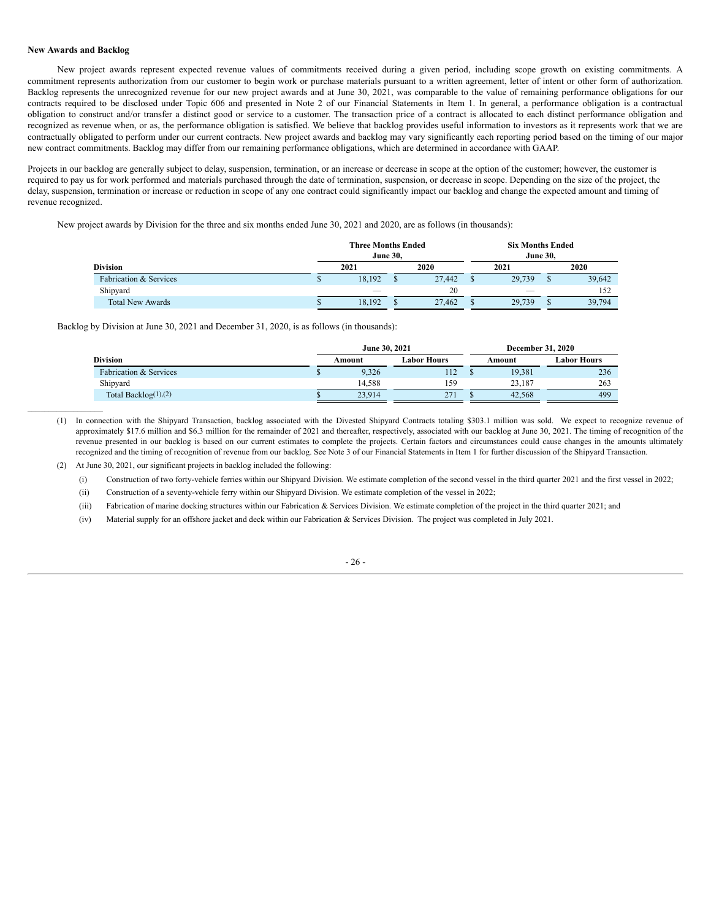## **New Awards and Backlog**

 $\mathcal{L}_\text{max}$ 

New project awards represent expected revenue values of commitments received during a given period, including scope growth on existing commitments. A commitment represents authorization from our customer to begin work or purchase materials pursuant to a written agreement, letter of intent or other form of authorization. Backlog represents the unrecognized revenue for our new project awards and at June 30, 2021, was comparable to the value of remaining performance obligations for our contracts required to be disclosed under Topic 606 and presented in Note 2 of our Financial Statements in Item 1. In general, a performance obligation is a contractual obligation to construct and/or transfer a distinct good or service to a customer. The transaction price of a contract is allocated to each distinct performance obligation and recognized as revenue when, or as, the performance obligation is satisfied. We believe that backlog provides useful information to investors as it represents work that we are contractually obligated to perform under our current contracts. New project awards and backlog may vary significantly each reporting period based on the timing of our major new contract commitments. Backlog may differ from our remaining performance obligations, which are determined in accordance with GAAP.

Projects in our backlog are generally subject to delay, suspension, termination, or an increase or decrease in scope at the option of the customer; however, the customer is required to pay us for work performed and materials purchased through the date of termination, suspension, or decrease in scope. Depending on the size of the project, the delay, suspension, termination or increase or reduction in scope of any one contract could significantly impact our backlog and change the expected amount and timing of revenue recognized.

New project awards by Division for the three and six months ended June 30, 2021 and 2020, are as follows (in thousands):

|                         |    | <b>Three Months Ended</b><br><b>June 30.</b> |  |        |        | <b>Six Months Ended</b><br><b>June 30.</b> |        |  |
|-------------------------|----|----------------------------------------------|--|--------|--------|--------------------------------------------|--------|--|
| <b>Division</b>         |    | 2020<br>2021                                 |  |        | 2021   |                                            | 2020   |  |
| Fabrication & Services  | w  | 18.192                                       |  | 27,442 | 29,739 |                                            | 39,642 |  |
| Shipyard                |    |                                              |  | 20     |        |                                            | 152    |  |
| <b>Total New Awards</b> | ۵D | 18,192                                       |  | 27,462 | 29,739 |                                            | 39,794 |  |

Backlog by Division at June 30, 2021 and December 31, 2020, is as follows (in thousands):

|                                   | June 30, 2021 |             | <b>December 31, 2020</b> |             |
|-----------------------------------|---------------|-------------|--------------------------|-------------|
| <b>Division</b>                   | Amount        | Labor Hours | Amount                   | Labor Hours |
| <b>Fabrication &amp; Services</b> | 9.326         | 112         | 19.381                   | 236         |
| Shipyard                          | 14.588        | 159         | 23.187                   | 263         |
| Total Backlog $(1)$ , $(2)$       | 23.914        | 271         | 42.568                   | 499         |

(1) In connection with the Shipyard Transaction, backlog associated with the Divested Shipyard Contracts totaling \$303.1 million was sold. We expect to recognize revenue of approximately \$17.6 million and \$6.3 million for the remainder of 2021 and thereafter, respectively, associated with our backlog at June 30, 2021. The timing of recognition of the revenue presented in our backlog is based on our current estimates to complete the projects. Certain factors and circumstances could cause changes in the amounts ultimately recognized and the timing of recognition of revenue from our backlog. See Note 3 of our Financial Statements in Item 1 for further discussion of the Shipyard Transaction.

(2) At June 30, 2021, our significant projects in backlog included the following:

(i) Construction of two forty-vehicle ferries within our Shipyard Division. We estimate completion of the second vessel in the third quarter 2021 and the first vessel in 2022;

(ii) Construction of a seventy-vehicle ferry within our Shipyard Division. We estimate completion of the vessel in 2022;

(iii) Fabrication of marine docking structures within our Fabrication & Services Division. We estimate completion of the project in the third quarter 2021; and

(iv) Material supply for an offshore jacket and deck within our Fabrication & Services Division. The project was completed in July 2021.

- 26 -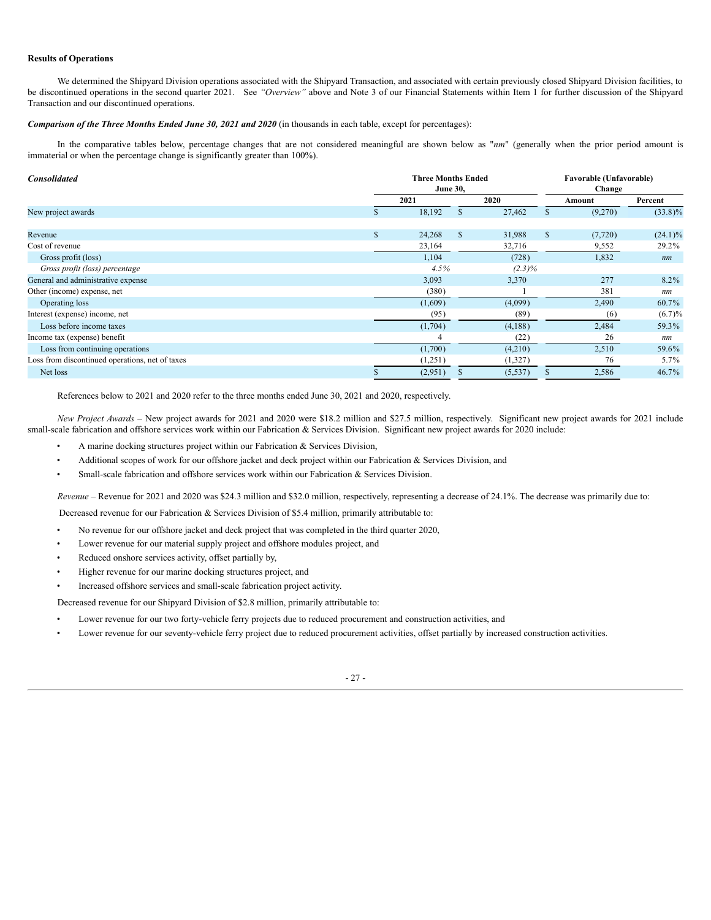# **Results of Operations**

We determined the Shipyard Division operations associated with the Shipyard Transaction, and associated with certain previously closed Shipyard Division facilities, to be discontinued operations in the second quarter 2021. See *"Overview"* above and Note 3 of our Financial Statements within Item 1 for further discussion of the Shipyard Transaction and our discontinued operations.

## *Comparison of the Three Months Ended June 30, 2021 and 2020* (in thousands in each table, except for percentages):

In the comparative tables below, percentage changes that are not considered meaningful are shown below as "*nm*" (generally when the prior period amount is immaterial or when the percentage change is significantly greater than 100%).

| <b>Consolidated</b>                             |    | <b>Three Months Ended</b><br><b>June 30,</b> | Favorable (Unfavorable)<br>Change |           |    |          |            |  |
|-------------------------------------------------|----|----------------------------------------------|-----------------------------------|-----------|----|----------|------------|--|
|                                                 |    | 2021                                         | 2020                              |           |    | Amount   | Percent    |  |
| New project awards                              |    | 18,192                                       | $\mathbf{s}$                      | 27,462    |    | (9,270)  | $(33.8)\%$ |  |
| Revenue                                         | \$ | 24,268                                       | S                                 | 31,988    | S. | (7, 720) | $(24.1)\%$ |  |
| Cost of revenue                                 |    | 23,164                                       |                                   | 32,716    |    | 9,552    | 29.2%      |  |
| Gross profit (loss)                             |    | 1,104                                        |                                   | (728)     |    | 1,832    | nm         |  |
| Gross profit (loss) percentage                  |    | 4.5%                                         |                                   | $(2.3)\%$ |    |          |            |  |
| General and administrative expense              |    | 3,093                                        |                                   | 3,370     |    | 277      | 8.2%       |  |
| Other (income) expense, net                     |    | (380)                                        |                                   |           |    | 381      | nm         |  |
| Operating loss                                  |    | (1,609)                                      |                                   | (4,099)   |    | 2,490    | 60.7%      |  |
| Interest (expense) income, net                  |    | (95)                                         |                                   | (89)      |    | (6)      | (6.7)%     |  |
| Loss before income taxes                        |    | (1,704)                                      |                                   | (4,188)   |    | 2,484    | 59.3%      |  |
| Income tax (expense) benefit                    |    | 4                                            |                                   | (22)      |    | 26       | nm         |  |
| Loss from continuing operations                 |    | (1,700)                                      |                                   | (4,210)   |    | 2,510    | 59.6%      |  |
| Loss from discontinued operations, net of taxes |    | (1,251)                                      |                                   | (1,327)   |    | 76       | $5.7\%$    |  |
| Net loss                                        |    | (2,951)                                      |                                   | (5, 537)  |    | 2,586    | 46.7%      |  |

References below to 2021 and 2020 refer to the three months ended June 30, 2021 and 2020, respectively.

*New Project Awards* – New project awards for 2021 and 2020 were \$18.2 million and \$27.5 million, respectively. Significant new project awards for 2021 include small-scale fabrication and offshore services work within our Fabrication & Services Division. Significant new project awards for 2020 include:

- A marine docking structures project within our Fabrication & Services Division,
- Additional scopes of work for our offshore jacket and deck project within our Fabrication & Services Division, and
- Small-scale fabrication and offshore services work within our Fabrication & Services Division.

*Revenue* – Revenue for 2021 and 2020 was \$24.3 million and \$32.0 million, respectively, representing a decrease of 24.1%. The decrease was primarily due to:

Decreased revenue for our Fabrication & Services Division of \$5.4 million, primarily attributable to:

- No revenue for our offshore jacket and deck project that was completed in the third quarter 2020,
- Lower revenue for our material supply project and offshore modules project, and
- Reduced onshore services activity, offset partially by,
- Higher revenue for our marine docking structures project, and
- Increased offshore services and small-scale fabrication project activity.

Decreased revenue for our Shipyard Division of \$2.8 million, primarily attributable to:

- Lower revenue for our two forty-vehicle ferry projects due to reduced procurement and construction activities, and
- Lower revenue for our seventy-vehicle ferry project due to reduced procurement activities, offset partially by increased construction activities.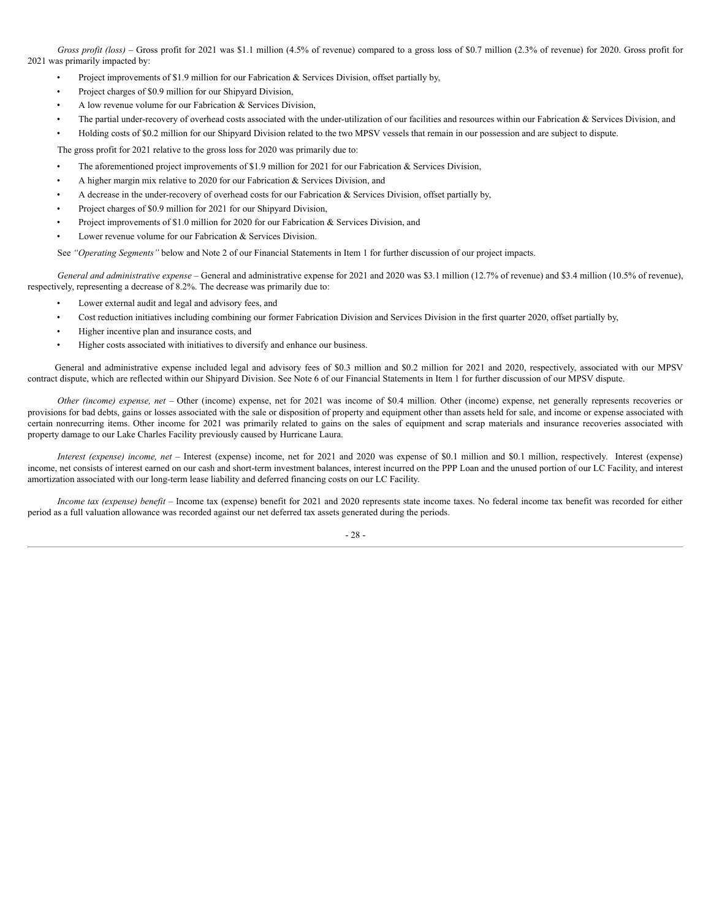*Gross profit (loss)* – Gross profit for 2021 was \$1.1 million (4.5% of revenue) compared to a gross loss of \$0.7 million (2.3% of revenue) for 2020. Gross profit for 2021 was primarily impacted by:

- Project improvements of \$1.9 million for our Fabrication & Services Division, offset partially by,
- Project charges of \$0.9 million for our Shipyard Division,
- A low revenue volume for our Fabrication & Services Division,
- The partial under-recovery of overhead costs associated with the under-utilization of our facilities and resources within our Fabrication  $\&$  Services Division, and
- Holding costs of \$0.2 million for our Shipyard Division related to the two MPSV vessels that remain in our possession and are subject to dispute.

The gross profit for 2021 relative to the gross loss for 2020 was primarily due to:

- The aforementioned project improvements of \$1.9 million for 2021 for our Fabrication & Services Division,
- A higher margin mix relative to 2020 for our Fabrication & Services Division, and
- A decrease in the under-recovery of overhead costs for our Fabrication & Services Division, offset partially by,
- Project charges of \$0.9 million for 2021 for our Shipyard Division,
- Project improvements of \$1.0 million for 2020 for our Fabrication & Services Division, and
- Lower revenue volume for our Fabrication & Services Division.

See *"Operating Segments"* below and Note 2 of our Financial Statements in Item 1 for further discussion of our project impacts.

*General and administrative expense* – General and administrative expense for 2021 and 2020 was \$3.1 million (12.7% of revenue) and \$3.4 million (10.5% of revenue), respectively, representing a decrease of 8.2%. The decrease was primarily due to:

- Lower external audit and legal and advisory fees, and
- Cost reduction initiatives including combining our former Fabrication Division and Services Division in the first quarter 2020, offset partially by,
- Higher incentive plan and insurance costs, and
- Higher costs associated with initiatives to diversify and enhance our business.

General and administrative expense included legal and advisory fees of \$0.3 million and \$0.2 million for 2021 and 2020, respectively, associated with our MPSV contract dispute, which are reflected within our Shipyard Division. See Note 6 of our Financial Statements in Item 1 for further discussion of our MPSV dispute.

*Other (income) expense, net* – Other (income) expense, net for 2021 was income of \$0.4 million. Other (income) expense, net generally represents recoveries or provisions for bad debts, gains or losses associated with the sale or disposition of property and equipment other than assets held for sale, and income or expense associated with certain nonrecurring items. Other income for 2021 was primarily related to gains on the sales of equipment and scrap materials and insurance recoveries associated with property damage to our Lake Charles Facility previously caused by Hurricane Laura.

*Interest (expense) income, net* – Interest (expense) income, net for 2021 and 2020 was expense of \$0.1 million and \$0.1 million, respectively. Interest (expense) income, net consists of interest earned on our cash and short-term investment balances, interest incurred on the PPP Loan and the unused portion of our LC Facility, and interest amortization associated with our long-term lease liability and deferred financing costs on our LC Facility.

*Income tax (expense) benefit* – Income tax (expense) benefit for 2021 and 2020 represents state income taxes. No federal income tax benefit was recorded for either period as a full valuation allowance was recorded against our net deferred tax assets generated during the periods.

- 28 -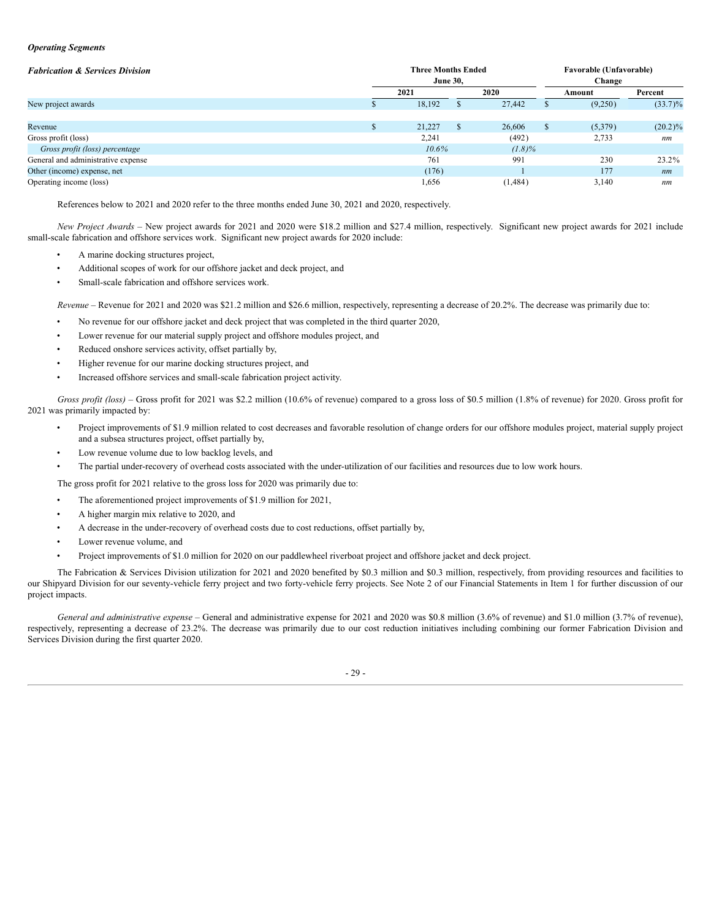#### *Operating Segments*

| <b>Fabrication &amp; Services Division</b> |  | <b>Three Months Ended</b><br><b>June 30,</b> | <b>Favorable (Unfavorable)</b><br>Change |         |  |         |            |     |    |
|--------------------------------------------|--|----------------------------------------------|------------------------------------------|---------|--|---------|------------|-----|----|
|                                            |  | 2021                                         |                                          | 2020    |  | Amount  | Percent    |     |    |
| New project awards                         |  | 18,192                                       |                                          | 27,442  |  | (9,250) | $(33.7)\%$ |     |    |
|                                            |  |                                              |                                          |         |  |         |            |     |    |
| Revenue                                    |  | 21,227                                       | ъ                                        | 26,606  |  | (5,379) | $(20.2)\%$ |     |    |
| Gross profit (loss)                        |  | 2,241                                        | (492)                                    |         |  |         | nm         |     |    |
| Gross profit (loss) percentage             |  | $10.6\%$                                     | $(1.8)\%$                                |         |  |         |            |     |    |
| General and administrative expense         |  | 761                                          |                                          | 991     |  | 230     | 23.2%      |     |    |
| Other (income) expense, net                |  | (176)                                        |                                          |         |  |         |            | 177 | nm |
| Operating income (loss)                    |  | 1,656                                        |                                          | (1,484) |  | 3,140   | nm         |     |    |

References below to 2021 and 2020 refer to the three months ended June 30, 2021 and 2020, respectively.

*New Project Awards* – New project awards for 2021 and 2020 were \$18.2 million and \$27.4 million, respectively. Significant new project awards for 2021 include small-scale fabrication and offshore services work. Significant new project awards for 2020 include:

- A marine docking structures project,
- Additional scopes of work for our offshore jacket and deck project, and
- Small-scale fabrication and offshore services work.

*Revenue* – Revenue for 2021 and 2020 was \$21.2 million and \$26.6 million, respectively, representing a decrease of 20.2%. The decrease was primarily due to:

- No revenue for our offshore jacket and deck project that was completed in the third quarter 2020,
- Lower revenue for our material supply project and offshore modules project, and
- Reduced onshore services activity, offset partially by,
- Higher revenue for our marine docking structures project, and
- Increased offshore services and small-scale fabrication project activity.

*Gross profit (loss)* – Gross profit for 2021 was \$2.2 million (10.6% of revenue) compared to a gross loss of \$0.5 million (1.8% of revenue) for 2020. Gross profit for 2021 was primarily impacted by:

- Project improvements of \$1.9 million related to cost decreases and favorable resolution of change orders for our offshore modules project, material supply project and a subsea structures project, offset partially by,
- Low revenue volume due to low backlog levels, and
- The partial under-recovery of overhead costs associated with the under-utilization of our facilities and resources due to low work hours.

The gross profit for 2021 relative to the gross loss for 2020 was primarily due to:

- The aforementioned project improvements of \$1.9 million for 2021,
- A higher margin mix relative to 2020, and
- A decrease in the under-recovery of overhead costs due to cost reductions, offset partially by,
- Lower revenue volume, and
- Project improvements of \$1.0 million for 2020 on our paddlewheel riverboat project and offshore jacket and deck project.

The Fabrication & Services Division utilization for 2021 and 2020 benefited by \$0.3 million and \$0.3 million, respectively, from providing resources and facilities to our Shipyard Division for our seventy-vehicle ferry project and two forty-vehicle ferry projects. See Note 2 of our Financial Statements in Item 1 for further discussion of our project impacts.

*General and administrative expense* – General and administrative expense for 2021 and 2020 was \$0.8 million (3.6% of revenue) and \$1.0 million (3.7% of revenue), respectively, representing a decrease of 23.2%. The decrease was primarily due to our cost reduction initiatives including combining our former Fabrication Division and Services Division during the first quarter 2020.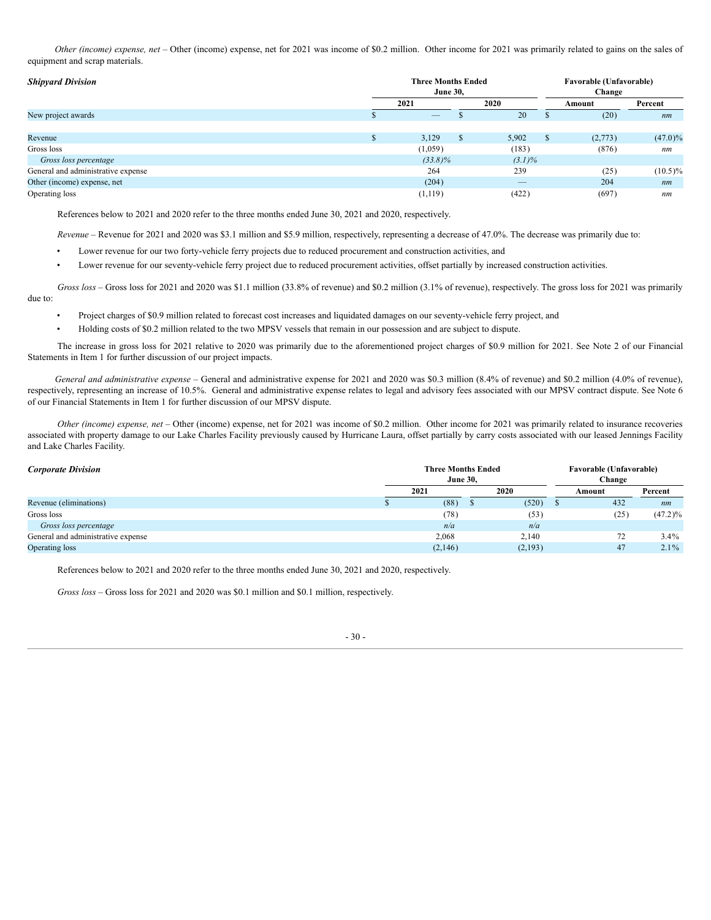*Other (income) expense, net –* Other (income) expense, net for 2021 was income of \$0.2 million. Other income for 2021 was primarily related to gains on the sales of equipment and scrap materials.

| <b>Shipyard Division</b>           | <b>Three Months Ended</b><br><b>June 30,</b> |               | <b>Favorable (Unfavorable)</b> |       |         |            |
|------------------------------------|----------------------------------------------|---------------|--------------------------------|-------|---------|------------|
|                                    | 2021                                         | 2020          |                                |       | Amount  | Percent    |
| New project awards                 |                                              |               | 20                             |       | (20)    | nm         |
|                                    |                                              |               |                                |       |         |            |
| Revenue                            | 3,129                                        | <sup>\$</sup> | 5,902                          | J.    | (2,773) | $(47.0)\%$ |
| Gross loss                         | (1,059)                                      |               | (183)                          |       | (876)   | nm         |
| Gross loss percentage              | $(33.8)\%$                                   |               | $(3.1)\%$                      |       |         |            |
| General and administrative expense | 264                                          |               | 239                            |       | (25)    | $(10.5)\%$ |
| Other (income) expense, net        | (204)                                        |               | $\overbrace{\phantom{13333}}$  |       | 204     | nm         |
| Operating loss                     | (1, 119)                                     | (422)         |                                | (697) | nm      |            |

References below to 2021 and 2020 refer to the three months ended June 30, 2021 and 2020, respectively.

*Revenue* – Revenue for 2021 and 2020 was \$3.1 million and \$5.9 million, respectively, representing a decrease of 47.0%. The decrease was primarily due to:

- Lower revenue for our two forty-vehicle ferry projects due to reduced procurement and construction activities, and
- Lower revenue for our seventy-vehicle ferry project due to reduced procurement activities, offset partially by increased construction activities.

*Gross loss* – Gross loss for 2021 and 2020 was \$1.1 million (33.8% of revenue) and \$0.2 million (3.1% of revenue), respectively. The gross loss for 2021 was primarily due to:

- Project charges of \$0.9 million related to forecast cost increases and liquidated damages on our seventy-vehicle ferry project, and
- Holding costs of \$0.2 million related to the two MPSV vessels that remain in our possession and are subject to dispute.

The increase in gross loss for 2021 relative to 2020 was primarily due to the aforementioned project charges of \$0.9 million for 2021. See Note 2 of our Financial Statements in Item 1 for further discussion of our project impacts.

*General and administrative expense* – General and administrative expense for 2021 and 2020 was \$0.3 million (8.4% of revenue) and \$0.2 million (4.0% of revenue), respectively, representing an increase of 10.5%. General and administrative expense relates to legal and advisory fees associated with our MPSV contract dispute. See Note 6 of our Financial Statements in Item 1 for further discussion of our MPSV dispute.

*Other (income) expense, net* – Other (income) expense, net for 2021 was income of \$0.2 million. Other income for 2021 was primarily related to insurance recoveries associated with property damage to our Lake Charles Facility previously caused by Hurricane Laura, offset partially by carry costs associated with our leased Jennings Facility and Lake Charles Facility.

| <b>Three Months Ended</b><br><b>Corporate Division</b><br><b>June 30.</b> |      |         |  |         |  | <b>Favorable (Unfavorable)</b><br>Change |            |  |  |
|---------------------------------------------------------------------------|------|---------|--|---------|--|------------------------------------------|------------|--|--|
|                                                                           | 2021 |         |  | 2020    |  | Amount                                   | Percent    |  |  |
| Revenue (eliminations)                                                    |      | (88)    |  | (520)   |  | 432                                      | nm         |  |  |
| Gross loss                                                                |      | (78)    |  | (53)    |  | (25)                                     | $(47.2)\%$ |  |  |
| Gross loss percentage                                                     |      | n/a     |  | n/a     |  |                                          |            |  |  |
| General and administrative expense                                        |      | 2,068   |  | 2,140   |  | 72                                       | $3.4\%$    |  |  |
| Operating loss                                                            |      | (2,146) |  | (2,193) |  | 47                                       | $2.1\%$    |  |  |

References below to 2021 and 2020 refer to the three months ended June 30, 2021 and 2020, respectively.

*Gross loss* – Gross loss for 2021 and 2020 was \$0.1 million and \$0.1 million, respectively.

- 30 -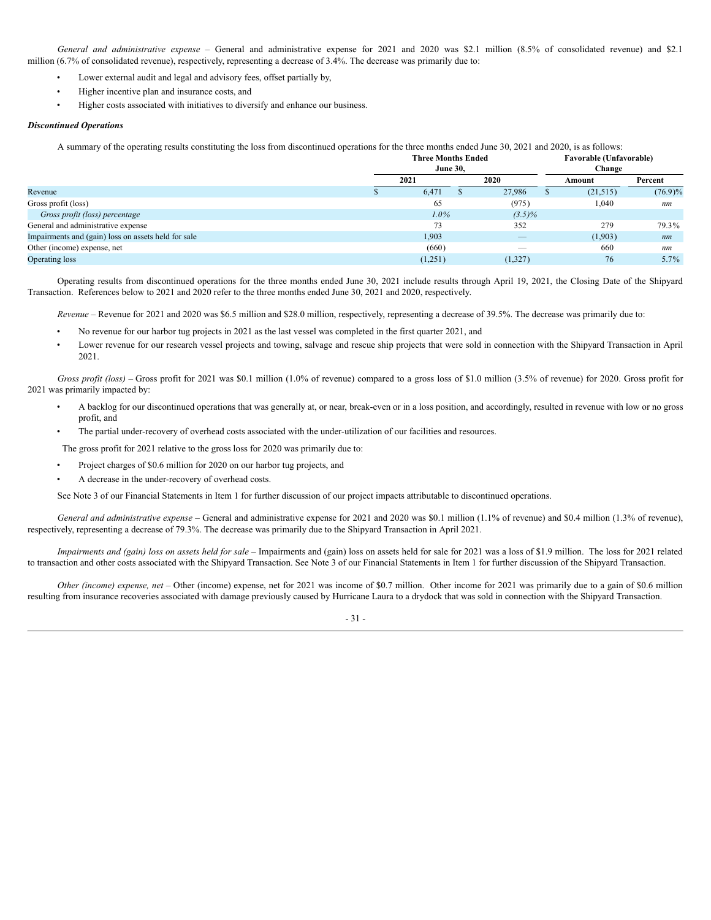*General and administrative expense* – General and administrative expense for 2021 and 2020 was \$2.1 million (8.5% of consolidated revenue) and \$2.1 million (6.7% of consolidated revenue), respectively, representing a decrease of 3.4%. The decrease was primarily due to:

- Lower external audit and legal and advisory fees, offset partially by,
- Higher incentive plan and insurance costs, and
- Higher costs associated with initiatives to diversify and enhance our business.

## *Discontinued Operations*

A summary of the operating results constituting the loss from discontinued operations for the three months ended June 30, 2021 and 2020, is as follows:

|                                                     |  | <b>Three Months Ended</b><br><b>June 30,</b> |     | <b>Favorable (Unfavorable)</b><br>Change |     |           |            |  |
|-----------------------------------------------------|--|----------------------------------------------|-----|------------------------------------------|-----|-----------|------------|--|
|                                                     |  | 2021                                         |     | 2020                                     |     | Amount    | Percent    |  |
| Revenue                                             |  | 6,471                                        |     | 27,986                                   |     | (21, 515) | $(76.9)\%$ |  |
| Gross profit (loss)                                 |  | 65                                           |     | (975)                                    |     | 1,040     | nm         |  |
| Gross profit (loss) percentage                      |  | $1.0\%$                                      |     | $(3.5)\%$                                |     |           |            |  |
| General and administrative expense                  |  | 73                                           | 352 |                                          | 279 |           | 79.3%      |  |
| Impairments and (gain) loss on assets held for sale |  | 1,903                                        |     |                                          |     | (1,903)   | nm         |  |
| Other (income) expense, net                         |  | (660)                                        |     |                                          |     | 660       | nm         |  |
| Operating loss                                      |  | (1,251)                                      |     | (1,327)                                  |     | 76        | $5.7\%$    |  |

Operating results from discontinued operations for the three months ended June 30, 2021 include results through April 19, 2021, the Closing Date of the Shipyard Transaction. References below to 2021 and 2020 refer to the three months ended June 30, 2021 and 2020, respectively.

*Revenue* – Revenue for 2021 and 2020 was \$6.5 million and \$28.0 million, respectively, representing a decrease of 39.5%. The decrease was primarily due to:

- No revenue for our harbor tug projects in 2021 as the last vessel was completed in the first quarter 2021, and
- Lower revenue for our research vessel projects and towing, salvage and rescue ship projects that were sold in connection with the Shipyard Transaction in April 2021.

*Gross profit (loss)* – Gross profit for 2021 was \$0.1 million (1.0% of revenue) compared to a gross loss of \$1.0 million (3.5% of revenue) for 2020. Gross profit for 2021 was primarily impacted by:

- A backlog for our discontinued operations that was generally at, or near, break-even or in a loss position, and accordingly, resulted in revenue with low or no gross profit, and
- The partial under-recovery of overhead costs associated with the under-utilization of our facilities and resources.

The gross profit for 2021 relative to the gross loss for 2020 was primarily due to:

- Project charges of \$0.6 million for 2020 on our harbor tug projects, and
- A decrease in the under-recovery of overhead costs.

See Note 3 of our Financial Statements in Item 1 for further discussion of our project impacts attributable to discontinued operations.

*General and administrative expense* – General and administrative expense for 2021 and 2020 was \$0.1 million (1.1% of revenue) and \$0.4 million (1.3% of revenue), respectively, representing a decrease of 79.3%. The decrease was primarily due to the Shipyard Transaction in April 2021.

Impairments and (gain) loss on assets held for sale - Impairments and (gain) loss on assets held for sale for 2021 was a loss of \$1.9 million. The loss for 2021 related to transaction and other costs associated with the Shipyard Transaction. See Note 3 of our Financial Statements in Item 1 for further discussion of the Shipyard Transaction.

*Other (income) expense, net* – Other (income) expense, net for 2021 was income of \$0.7 million. Other income for 2021 was primarily due to a gain of \$0.6 million resulting from insurance recoveries associated with damage previously caused by Hurricane Laura to a drydock that was sold in connection with the Shipyard Transaction.

- 31 -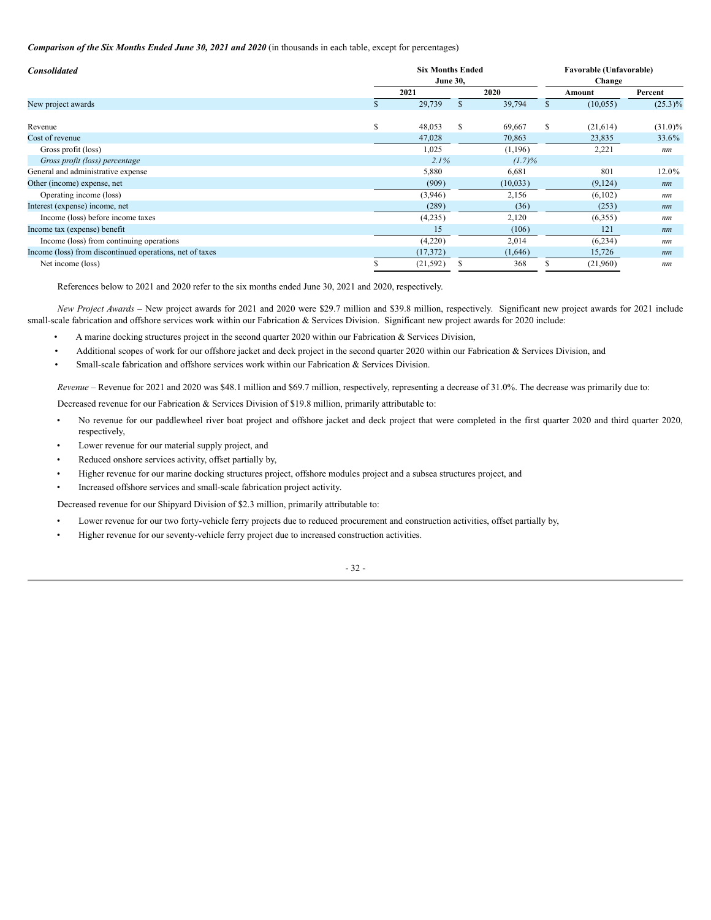*Comparison of the Six Months Ended June 30, 2021 and 2020* (in thousands in each table, except for percentages)

| <b>Consolidated</b>                                      | <b>Six Months Ended</b><br><b>June 30,</b> |      |           |     |          | Favorable (Unfavorable)<br>Change |           |            |  |
|----------------------------------------------------------|--------------------------------------------|------|-----------|-----|----------|-----------------------------------|-----------|------------|--|
|                                                          |                                            | 2021 |           |     | 2020     |                                   | Amount    | Percent    |  |
| New project awards                                       |                                            |      | 29,739    | \$. | 39,794   |                                   | (10, 055) | $(25.3)\%$ |  |
| Revenue                                                  | \$                                         |      | 48,053    | S   | 69,667   | S.                                | (21,614)  | $(31.0)\%$ |  |
| Cost of revenue                                          |                                            |      | 47,028    |     | 70,863   |                                   | 23,835    | 33.6%      |  |
| Gross profit (loss)                                      |                                            |      | 1,025     |     | (1,196)  |                                   | 2,221     | nm         |  |
| Gross profit (loss) percentage                           |                                            |      | 2.1%      |     | (1.7)%   |                                   |           |            |  |
| General and administrative expense                       |                                            |      | 5,880     |     | 6,681    |                                   | 801       | 12.0%      |  |
| Other (income) expense, net                              |                                            |      | (909)     |     | (10,033) |                                   | (9,124)   | nm         |  |
| Operating income (loss)                                  |                                            |      | (3,946)   |     | 2,156    |                                   | (6,102)   | nm         |  |
| Interest (expense) income, net                           |                                            |      | (289)     |     | (36)     |                                   | (253)     | nm         |  |
| Income (loss) before income taxes                        |                                            |      | (4,235)   |     | 2,120    |                                   | (6,355)   | nm         |  |
| Income tax (expense) benefit                             |                                            |      | 15        |     | (106)    |                                   | 121       | nm         |  |
| Income (loss) from continuing operations                 |                                            |      | (4,220)   |     | 2,014    |                                   | (6,234)   | nm         |  |
| Income (loss) from discontinued operations, net of taxes |                                            |      | (17, 372) |     | (1,646)  |                                   | 15,726    | nm         |  |
| Net income (loss)                                        |                                            |      | (21, 592) |     | 368      |                                   | (21,960)  | nm         |  |

References below to 2021 and 2020 refer to the six months ended June 30, 2021 and 2020, respectively.

*New Project Awards* – New project awards for 2021 and 2020 were \$29.7 million and \$39.8 million, respectively. Significant new project awards for 2021 include small-scale fabrication and offshore services work within our Fabrication & Services Division. Significant new project awards for 2020 include:

- A marine docking structures project in the second quarter 2020 within our Fabrication & Services Division,
- Additional scopes of work for our offshore jacket and deck project in the second quarter 2020 within our Fabrication & Services Division, and
- Small-scale fabrication and offshore services work within our Fabrication & Services Division.

*Revenue* – Revenue for 2021 and 2020 was \$48.1 million and \$69.7 million, respectively, representing a decrease of 31.0%. The decrease was primarily due to:

Decreased revenue for our Fabrication & Services Division of \$19.8 million, primarily attributable to:

- No revenue for our paddlewheel river boat project and offshore jacket and deck project that were completed in the first quarter 2020 and third quarter 2020, respectively,
- Lower revenue for our material supply project, and
- Reduced onshore services activity, offset partially by,
- Higher revenue for our marine docking structures project, offshore modules project and a subsea structures project, and
- Increased offshore services and small-scale fabrication project activity.

Decreased revenue for our Shipyard Division of \$2.3 million, primarily attributable to:

- Lower revenue for our two forty-vehicle ferry projects due to reduced procurement and construction activities, offset partially by,
- Higher revenue for our seventy-vehicle ferry project due to increased construction activities.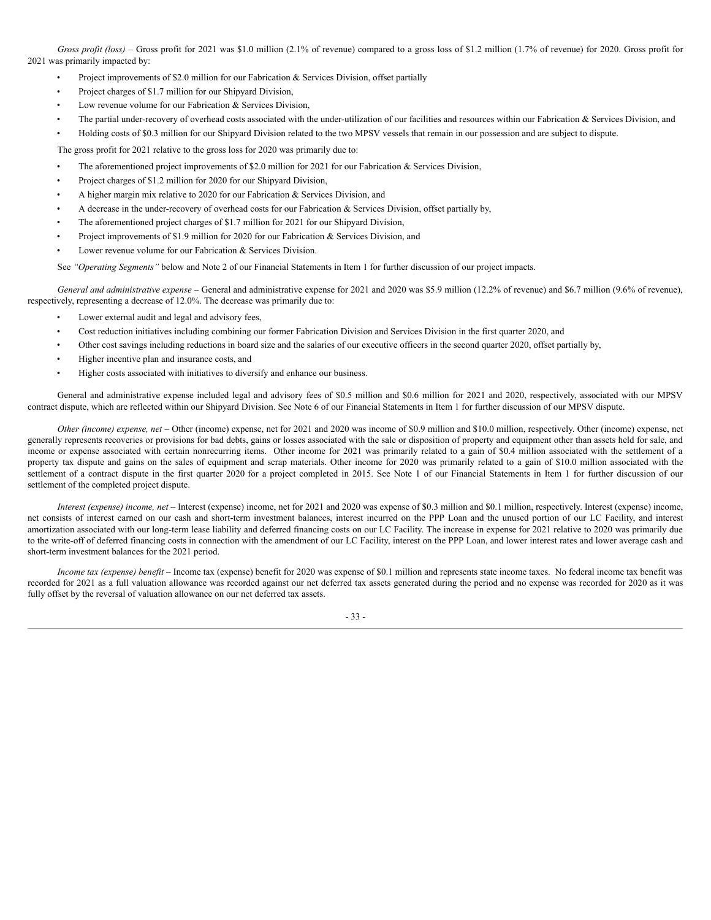*Gross profit (loss)* – Gross profit for 2021 was \$1.0 million (2.1% of revenue) compared to a gross loss of \$1.2 million (1.7% of revenue) for 2020. Gross profit for 2021 was primarily impacted by:

- Project improvements of \$2.0 million for our Fabrication & Services Division, offset partially
- Project charges of \$1.7 million for our Shipyard Division,
- Low revenue volume for our Fabrication & Services Division,
- The partial under-recovery of overhead costs associated with the under-utilization of our facilities and resources within our Fabrication  $\&$  Services Division, and
- Holding costs of \$0.3 million for our Shipyard Division related to the two MPSV vessels that remain in our possession and are subject to dispute.

The gross profit for 2021 relative to the gross loss for 2020 was primarily due to:

- The aforementioned project improvements of \$2.0 million for 2021 for our Fabrication & Services Division,
- Project charges of \$1.2 million for 2020 for our Shipyard Division,
- A higher margin mix relative to 2020 for our Fabrication & Services Division, and
- A decrease in the under-recovery of overhead costs for our Fabrication & Services Division, offset partially by,
- The aforementioned project charges of \$1.7 million for 2021 for our Shipyard Division,
- Project improvements of \$1.9 million for 2020 for our Fabrication & Services Division, and
- Lower revenue volume for our Fabrication & Services Division.

See *"Operating Segments"* below and Note 2 of our Financial Statements in Item 1 for further discussion of our project impacts.

*General and administrative expense* – General and administrative expense for 2021 and 2020 was \$5.9 million (12.2% of revenue) and \$6.7 million (9.6% of revenue), respectively, representing a decrease of 12.0%. The decrease was primarily due to:

- Lower external audit and legal and advisory fees,
- Cost reduction initiatives including combining our former Fabrication Division and Services Division in the first quarter 2020, and
- Other cost savings including reductions in board size and the salaries of our executive officers in the second quarter 2020, offset partially by,
- Higher incentive plan and insurance costs, and
- Higher costs associated with initiatives to diversify and enhance our business.

General and administrative expense included legal and advisory fees of \$0.5 million and \$0.6 million for 2021 and 2020, respectively, associated with our MPSV contract dispute, which are reflected within our Shipyard Division. See Note 6 of our Financial Statements in Item 1 for further discussion of our MPSV dispute.

*Other (income) expense, net* – Other (income) expense, net for 2021 and 2020 was income of \$0.9 million and \$10.0 million, respectively. Other (income) expense, net generally represents recoveries or provisions for bad debts, gains or losses associated with the sale or disposition of property and equipment other than assets held for sale, and income or expense associated with certain nonrecurring items. Other income for 2021 was primarily related to a gain of \$0.4 million associated with the settlement of a property tax dispute and gains on the sales of equipment and scrap materials. Other income for 2020 was primarily related to a gain of \$10.0 million associated with the settlement of a contract dispute in the first quarter 2020 for a project completed in 2015. See Note 1 of our Financial Statements in Item 1 for further discussion of our settlement of the completed project dispute.

*Interest (expense) income, net* – Interest (expense) income, net for 2021 and 2020 was expense of \$0.3 million and \$0.1 million, respectively. Interest (expense) income, net consists of interest earned on our cash and short-term investment balances, interest incurred on the PPP Loan and the unused portion of our LC Facility, and interest amortization associated with our long-term lease liability and deferred financing costs on our LC Facility. The increase in expense for 2021 relative to 2020 was primarily due to the write-off of deferred financing costs in connection with the amendment of our LC Facility, interest on the PPP Loan, and lower interest rates and lower average cash and short-term investment balances for the 2021 period.

*Income tax (expense) benefit* – Income tax (expense) benefit for 2020 was expense of \$0.1 million and represents state income taxes. No federal income tax benefit was recorded for 2021 as a full valuation allowance was recorded against our net deferred tax assets generated during the period and no expense was recorded for 2020 as it was fully offset by the reversal of valuation allowance on our net deferred tax assets.

- 33 -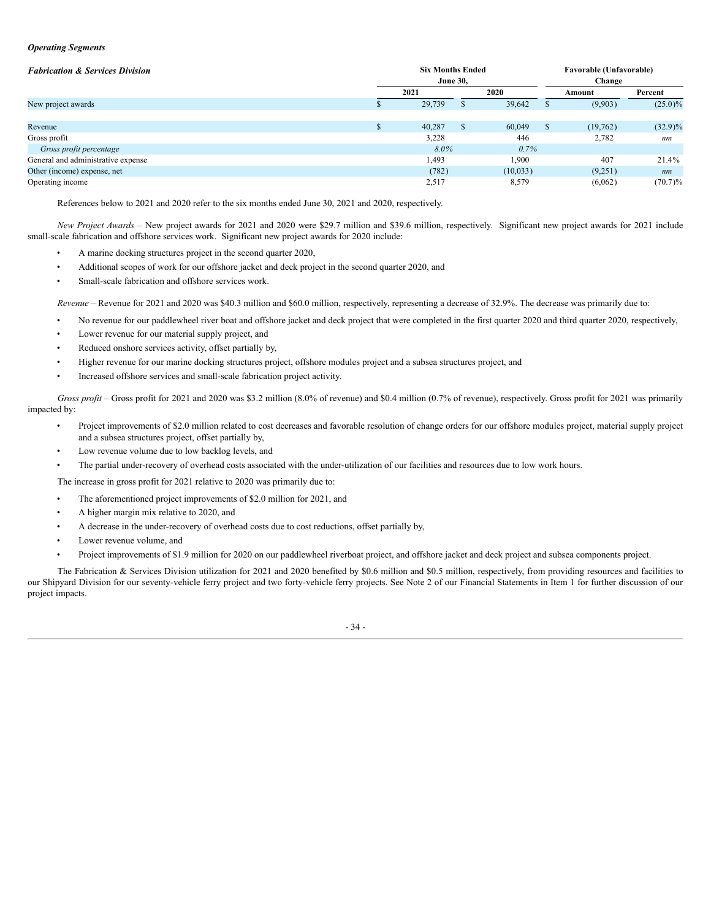#### *Operating Segments*

| <b>Fabrication &amp; Services Division</b> |   | <b>Six Months Ended</b> | <b>June 30,</b> | Favorable (Unfavorable)<br>Change |   |          |            |
|--------------------------------------------|---|-------------------------|-----------------|-----------------------------------|---|----------|------------|
|                                            |   | 2021                    |                 | 2020                              |   | Amount   | Percent    |
| New project awards                         |   | 29,739                  |                 | 39,642                            |   | (9,903)  | $(25.0)\%$ |
|                                            |   |                         |                 |                                   |   |          |            |
| Revenue                                    | ъ | 40,287                  | \$              | 60,049                            | Ж | (19,762) | $(32.9)\%$ |
| Gross profit                               |   | 3,228                   |                 | 446                               |   | 2,782    | nm         |
| Gross profit percentage                    |   | 8.0%                    |                 | $0.7\%$                           |   |          |            |
| General and administrative expense         |   | 1,493                   |                 | 1,900                             |   | 407      | 21.4%      |
| Other (income) expense, net                |   | (782)                   |                 | (10,033)                          |   | (9,251)  | nm         |
| Operating income                           |   | 2,517                   |                 | 8,579                             |   | (6,062)  | $(70.7)\%$ |

References below to 2021 and 2020 refer to the six months ended June 30, 2021 and 2020, respectively.

*New Project Awards* – New project awards for 2021 and 2020 were \$29.7 million and \$39.6 million, respectively. Significant new project awards for 2021 include small-scale fabrication and offshore services work. Significant new project awards for 2020 include:

- A marine docking structures project in the second quarter 2020,
- Additional scopes of work for our offshore jacket and deck project in the second quarter 2020, and
- Small-scale fabrication and offshore services work.

*Revenue* – Revenue for 2021 and 2020 was \$40.3 million and \$60.0 million, respectively, representing a decrease of 32.9%. The decrease was primarily due to:

- No revenue for our paddlewheel river boat and offshore jacket and deck project that were completed in the first quarter 2020 and third quarter 2020, respectively,
- Lower revenue for our material supply project, and
- Reduced onshore services activity, offset partially by,
- Higher revenue for our marine docking structures project, offshore modules project and a subsea structures project, and
- Increased offshore services and small-scale fabrication project activity.

*Gross profit* – Gross profit for 2021 and 2020 was \$3.2 million (8.0% of revenue) and \$0.4 million (0.7% of revenue), respectively. Gross profit for 2021 was primarily impacted by:

- Project improvements of \$2.0 million related to cost decreases and favorable resolution of change orders for our offshore modules project, material supply project and a subsea structures project, offset partially by,
- Low revenue volume due to low backlog levels, and
- The partial under-recovery of overhead costs associated with the under-utilization of our facilities and resources due to low work hours.

The increase in gross profit for 2021 relative to 2020 was primarily due to:

- The aforementioned project improvements of \$2.0 million for 2021, and
- A higher margin mix relative to 2020, and
- A decrease in the under-recovery of overhead costs due to cost reductions, offset partially by,
- Lower revenue volume, and
- Project improvements of \$1.9 million for 2020 on our paddlewheel riverboat project, and offshore jacket and deck project and subsea components project.

The Fabrication & Services Division utilization for 2021 and 2020 benefited by \$0.6 million and \$0.5 million, respectively, from providing resources and facilities to our Shipyard Division for our seventy-vehicle ferry project and two forty-vehicle ferry projects. See Note 2 of our Financial Statements in Item 1 for further discussion of our project impacts.

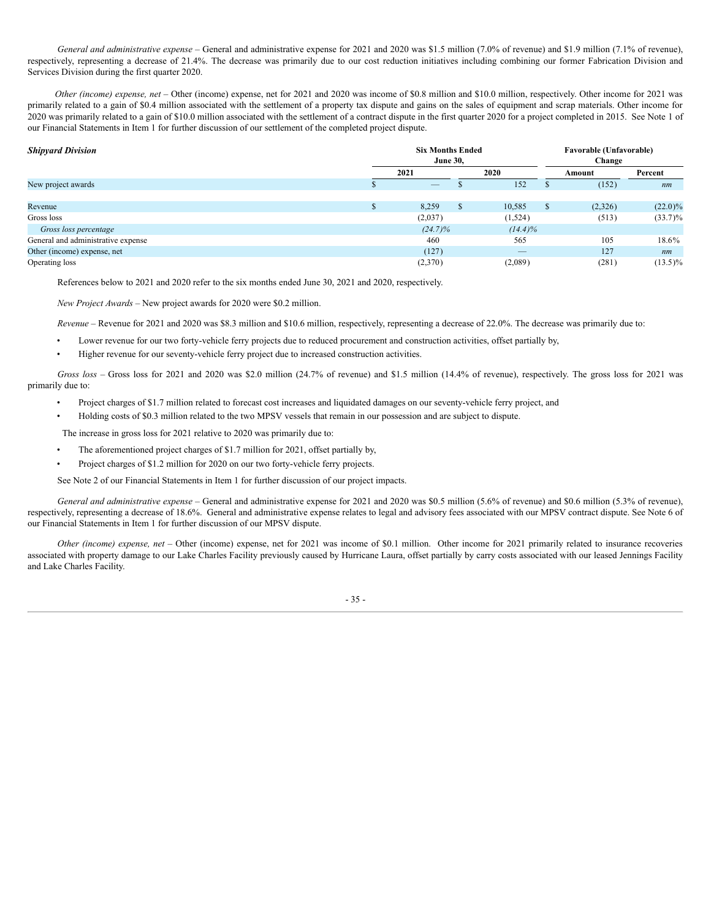*General and administrative expense* – General and administrative expense for 2021 and 2020 was \$1.5 million (7.0% of revenue) and \$1.9 million (7.1% of revenue), respectively, representing a decrease of 21.4%. The decrease was primarily due to our cost reduction initiatives including combining our former Fabrication Division and Services Division during the first quarter 2020.

*Other (income) expense, net –* Other (income) expense, net for 2021 and 2020 was income of \$0.8 million and \$10.0 million, respectively. Other income for 2021 was primarily related to a gain of \$0.4 million associated with the settlement of a property tax dispute and gains on the sales of equipment and scrap materials. Other income for 2020 was primarily related to a gain of \$10.0 million associated with the settlement of a contract dispute in the first quarter 2020 for a project completed in 2015. See Note 1 of our Financial Statements in Item 1 for further discussion of our settlement of the completed project dispute.

| <b>Shipyard Division</b>           | <b>Six Months Ended</b><br><b>June 30,</b> |                                 |   |            | <b>Favorable (Unfavorable)</b><br>Change |         |            |  |
|------------------------------------|--------------------------------------------|---------------------------------|---|------------|------------------------------------------|---------|------------|--|
|                                    |                                            | 2021                            |   | 2020       |                                          | Amount  | Percent    |  |
| New project awards                 |                                            | $\hspace{0.1mm}-\hspace{0.1mm}$ |   | 152        |                                          | (152)   | nm         |  |
|                                    |                                            |                                 |   |            |                                          |         |            |  |
| Revenue                            |                                            | 8,259                           | ъ | 10,585     | D.                                       | (2,326) | $(22.0)\%$ |  |
| Gross loss                         |                                            | (2,037)                         |   | (1,524)    |                                          | (513)   | $(33.7)\%$ |  |
| Gross loss percentage              |                                            | $(24.7)\%$                      |   | $(14.4)\%$ |                                          |         |            |  |
| General and administrative expense |                                            | 460                             |   | 565        |                                          | 105     | 18.6%      |  |
| Other (income) expense, net        |                                            | (127)                           |   |            |                                          | 127     | nm         |  |
| Operating loss                     |                                            | (2,370)                         |   | (2,089)    |                                          | (281)   | $(13.5)\%$ |  |

References below to 2021 and 2020 refer to the six months ended June 30, 2021 and 2020, respectively.

*New Project Awards –* New project awards for 2020 were \$0.2 million.

*Revenue* – Revenue for 2021 and 2020 was \$8.3 million and \$10.6 million, respectively, representing a decrease of 22.0%. The decrease was primarily due to:

- Lower revenue for our two forty-vehicle ferry projects due to reduced procurement and construction activities, offset partially by,
- Higher revenue for our seventy-vehicle ferry project due to increased construction activities.

*Gross loss* – Gross loss for 2021 and 2020 was \$2.0 million (24.7% of revenue) and \$1.5 million (14.4% of revenue), respectively. The gross loss for 2021 was primarily due to:

- Project charges of \$1.7 million related to forecast cost increases and liquidated damages on our seventy-vehicle ferry project, and
- Holding costs of \$0.3 million related to the two MPSV vessels that remain in our possession and are subject to dispute.

The increase in gross loss for 2021 relative to 2020 was primarily due to:

- The aforementioned project charges of \$1.7 million for 2021, offset partially by,
- Project charges of \$1.2 million for 2020 on our two forty-vehicle ferry projects.

See Note 2 of our Financial Statements in Item 1 for further discussion of our project impacts.

*General and administrative expense* – General and administrative expense for 2021 and 2020 was \$0.5 million (5.6% of revenue) and \$0.6 million (5.3% of revenue), respectively, representing a decrease of 18.6%. General and administrative expense relates to legal and advisory fees associated with our MPSV contract dispute. See Note 6 of our Financial Statements in Item 1 for further discussion of our MPSV dispute.

*Other (income) expense, net –* Other (income) expense, net for 2021 was income of \$0.1 million. Other income for 2021 primarily related to insurance recoveries associated with property damage to our Lake Charles Facility previously caused by Hurricane Laura, offset partially by carry costs associated with our leased Jennings Facility and Lake Charles Facility.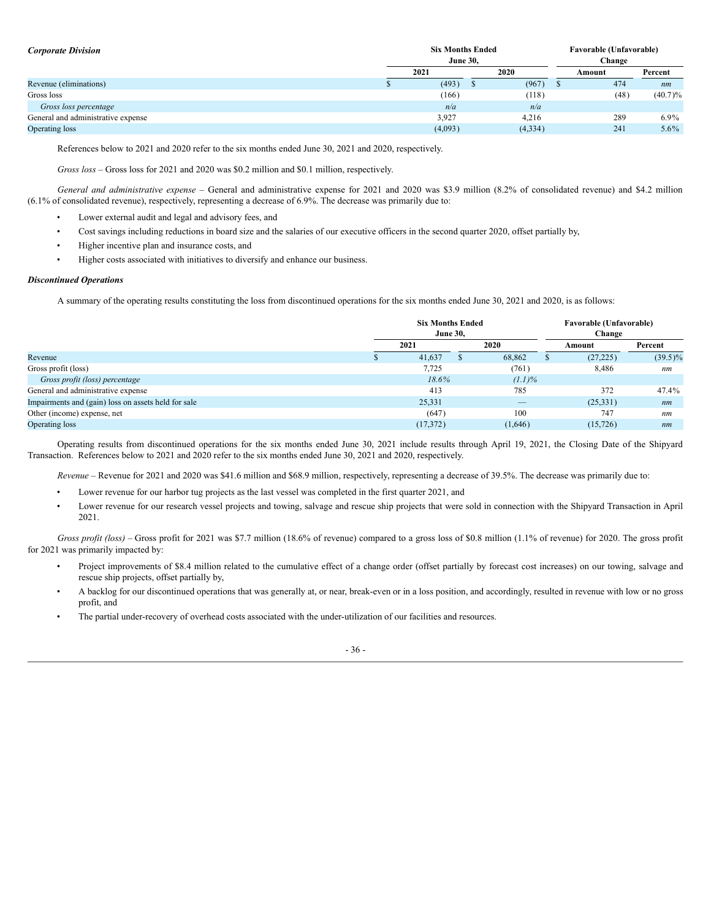| <b>Corporate Division</b>          | <b>Six Months Ended</b><br><b>June 30.</b> |         |  | Favorable (Unfavorable)<br>Change |        |            |
|------------------------------------|--------------------------------------------|---------|--|-----------------------------------|--------|------------|
|                                    |                                            | 2021    |  | 2020                              | Amount | Percent    |
| Revenue (eliminations)             |                                            | (493)   |  | (967)                             | 474    | nm         |
| Gross loss                         |                                            | (166)   |  | (118)                             | (48)   | $(40.7)\%$ |
| Gross loss percentage              |                                            | n/a     |  | n/a                               |        |            |
| General and administrative expense |                                            | 3,927   |  | 4,216                             | 289    | $6.9\%$    |
| Operating loss                     |                                            | (4,093) |  | (4,334)                           | 241    | $5.6\%$    |

References below to 2021 and 2020 refer to the six months ended June 30, 2021 and 2020, respectively.

*Gross loss* – Gross loss for 2021 and 2020 was \$0.2 million and \$0.1 million, respectively.

*General and administrative expense* – General and administrative expense for 2021 and 2020 was \$3.9 million (8.2% of consolidated revenue) and \$4.2 million (6.1% of consolidated revenue), respectively, representing a decrease of 6.9%. The decrease was primarily due to:

- Lower external audit and legal and advisory fees, and
- Cost savings including reductions in board size and the salaries of our executive officers in the second quarter 2020, offset partially by,
- Higher incentive plan and insurance costs, and
- Higher costs associated with initiatives to diversify and enhance our business.

### *Discontinued Operations*

A summary of the operating results constituting the loss from discontinued operations for the six months ended June 30, 2021 and 2020, is as follows:

|                                                     | <b>Six Months Ended</b><br><b>June 30.</b> |  |           |  | Favorable (Unfavorable)<br>Change |            |  |  |
|-----------------------------------------------------|--------------------------------------------|--|-----------|--|-----------------------------------|------------|--|--|
|                                                     | 2021                                       |  | 2020      |  | Amount                            | Percent    |  |  |
| Revenue                                             | 41,637                                     |  | 68,862    |  | (27, 225)                         | $(39.5)\%$ |  |  |
| Gross profit (loss)                                 | 7,725                                      |  | (761)     |  | 8,486                             | nm         |  |  |
| Gross profit (loss) percentage                      | $18.6\%$                                   |  | $(1.1)\%$ |  |                                   |            |  |  |
| General and administrative expense                  | 413                                        |  | 785       |  | 372                               | 47.4%      |  |  |
| Impairments and (gain) loss on assets held for sale | 25,331                                     |  | __        |  | (25,331)                          | nm         |  |  |
| Other (income) expense, net                         | (647)                                      |  | 100       |  | 747                               | nm         |  |  |
| Operating loss                                      | (17, 372)                                  |  | (1,646)   |  | (15, 726)                         | nm         |  |  |

Operating results from discontinued operations for the six months ended June 30, 2021 include results through April 19, 2021, the Closing Date of the Shipyard Transaction. References below to 2021 and 2020 refer to the six months ended June 30, 2021 and 2020, respectively.

*Revenue* – Revenue for 2021 and 2020 was \$41.6 million and \$68.9 million, respectively, representing a decrease of 39.5%. The decrease was primarily due to:

- Lower revenue for our harbor tug projects as the last vessel was completed in the first quarter 2021, and
- Lower revenue for our research vessel projects and towing, salvage and rescue ship projects that were sold in connection with the Shipyard Transaction in April 2021.

*Gross profit (loss)* – Gross profit for 2021 was \$7.7 million (18.6% of revenue) compared to a gross loss of \$0.8 million (1.1% of revenue) for 2020. The gross profit for 2021 was primarily impacted by:

- Project improvements of \$8.4 million related to the cumulative effect of a change order (offset partially by forecast cost increases) on our towing, salvage and rescue ship projects, offset partially by,
- A backlog for our discontinued operations that was generally at, or near, break-even or in a loss position, and accordingly, resulted in revenue with low or no gross profit, and
- The partial under-recovery of overhead costs associated with the under-utilization of our facilities and resources.

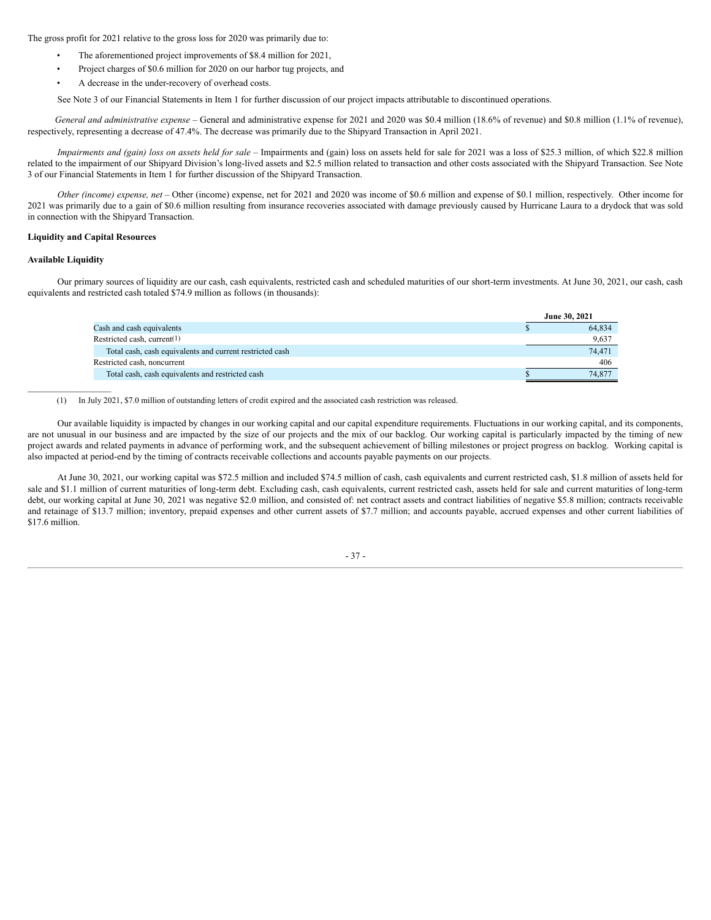The gross profit for 2021 relative to the gross loss for 2020 was primarily due to:

- The aforementioned project improvements of \$8.4 million for 2021,
- Project charges of \$0.6 million for 2020 on our harbor tug projects, and
- A decrease in the under-recovery of overhead costs.

See Note 3 of our Financial Statements in Item 1 for further discussion of our project impacts attributable to discontinued operations.

*General and administrative expense* – General and administrative expense for 2021 and 2020 was \$0.4 million (18.6% of revenue) and \$0.8 million (1.1% of revenue), respectively, representing a decrease of 47.4%. The decrease was primarily due to the Shipyard Transaction in April 2021.

Impairments and (gain) loss on assets held for sale - Impairments and (gain) loss on assets held for sale for 2021 was a loss of \$25.3 million, of which \$22.8 million related to the impairment of our Shipyard Division's long-lived assets and \$2.5 million related to transaction and other costs associated with the Shipyard Transaction. See Note 3 of our Financial Statements in Item 1 for further discussion of the Shipyard Transaction.

*Other (income) expense, net –* Other (income) expense, net for 2021 and 2020 was income of \$0.6 million and expense of \$0.1 million, respectively. Other income for 2021 was primarily due to a gain of \$0.6 million resulting from insurance recoveries associated with damage previously caused by Hurricane Laura to a drydock that was sold in connection with the Shipyard Transaction.

#### **Liquidity and Capital Resources**

#### **Available Liquidity**

Our primary sources of liquidity are our cash, cash equivalents, restricted cash and scheduled maturities of our short-term investments. At June 30, 2021, our cash, cash equivalents and restricted cash totaled \$74.9 million as follows (in thousands):

|                                                          | June 30, 2021 |
|----------------------------------------------------------|---------------|
| Cash and cash equivalents                                | 64,834        |
| Restricted cash, current $(1)$                           | 9,637         |
| Total cash, cash equivalents and current restricted cash | 74,471        |
| Restricted cash, noncurrent                              | 406           |
| Total cash, cash equivalents and restricted cash         | 74,877        |
|                                                          |               |

(1) In July 2021, \$7.0 million of outstanding letters of credit expired and the associated cash restriction was released.

Our available liquidity is impacted by changes in our working capital and our capital expenditure requirements. Fluctuations in our working capital, and its components, are not unusual in our business and are impacted by the size of our projects and the mix of our backlog. Our working capital is particularly impacted by the timing of new project awards and related payments in advance of performing work, and the subsequent achievement of billing milestones or project progress on backlog. Working capital is also impacted at period-end by the timing of contracts receivable collections and accounts payable payments on our projects.

At June 30, 2021, our working capital was \$72.5 million and included \$74.5 million of cash, cash equivalents and current restricted cash, \$1.8 million of assets held for sale and \$1.1 million of current maturities of long-term debt. Excluding cash, cash equivalents, current restricted cash, assets held for sale and current maturities of long-term debt, our working capital at June 30, 2021 was negative \$2.0 million, and consisted of: net contract assets and contract liabilities of negative \$5.8 million; contracts receivable and retainage of \$13.7 million; inventory, prepaid expenses and other current assets of \$7.7 million; and accounts payable, accrued expenses and other current liabilities of \$17.6 million.

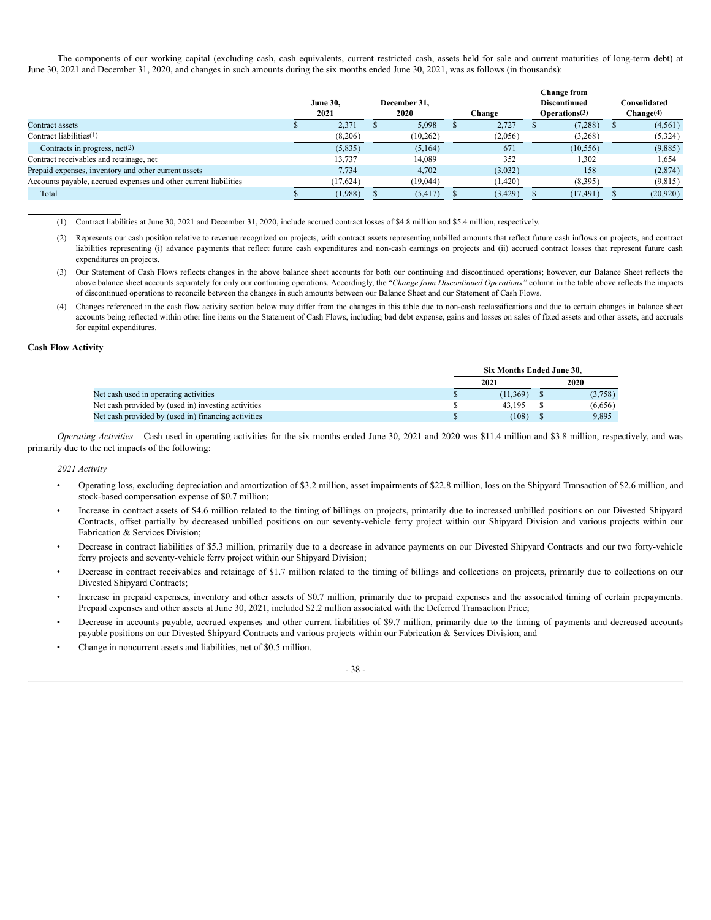The components of our working capital (excluding cash, cash equivalents, current restricted cash, assets held for sale and current maturities of long-term debt) at June 30, 2021 and December 31, 2020, and changes in such amounts during the six months ended June 30, 2021, was as follows (in thousands):

|                                                                  | <b>June 30.</b><br>2021 |           | December 31.<br>2020 |           | Change |          | Change from<br><b>Discontinued</b><br>Operations <sup>(3)</sup> |           | Consolidated<br>Change <sup>(4)</sup> |          |
|------------------------------------------------------------------|-------------------------|-----------|----------------------|-----------|--------|----------|-----------------------------------------------------------------|-----------|---------------------------------------|----------|
| Contract assets                                                  |                         | 2,371     |                      | 5,098     |        | 2,727    |                                                                 | (7,288)   |                                       | (4, 561) |
| Contract liabilities $(1)$                                       |                         | (8,206)   |                      | (10, 262) |        | (2,056)  |                                                                 | (3,268)   |                                       | (5,324)  |
| Contracts in progress, $net(2)$                                  |                         | (5,835)   |                      | (5,164)   |        | 671      |                                                                 | (10, 556) |                                       | (9,885)  |
| Contract receivables and retainage, net                          |                         | 13,737    |                      | 14,089    |        | 352      |                                                                 | 1,302     |                                       | 1,654    |
| Prepaid expenses, inventory and other current assets             |                         | 7,734     |                      | 4,702     |        | (3,032)  |                                                                 | 158       |                                       | (2,874)  |
| Accounts payable, accrued expenses and other current liabilities |                         | (17, 624) |                      | (19, 044) |        | (1, 420) |                                                                 | (8,395)   |                                       | (9,815)  |
| Total                                                            |                         | (1,988)   |                      | (5, 417)  |        | (3, 429) |                                                                 | (17, 491) |                                       | (20,920) |

(1) Contract liabilities at June 30, 2021 and December 31, 2020, include accrued contract losses of \$4.8 million and \$5.4 million, respectively.

- (2) Represents our cash position relative to revenue recognized on projects, with contract assets representing unbilled amounts that reflect future cash inflows on projects, and contract liabilities representing (i) advance payments that reflect future cash expenditures and non-cash earnings on projects and (ii) accrued contract losses that represent future cash expenditures on projects.
- (3) Our Statement of Cash Flows reflects changes in the above balance sheet accounts for both our continuing and discontinued operations; however, our Balance Sheet reflects the above balance sheet accounts separately for only our continuing operations. Accordingly, the "*Change from Discontinued Operations"* column in the table above reflects the impacts of discontinued operations to reconcile between the changes in such amounts between our Balance Sheet and our Statement of Cash Flows.
- (4) Changes referenced in the cash flow activity section below may differ from the changes in this table due to non-cash reclassifications and due to certain changes in balance sheet accounts being reflected within other line items on the Statement of Cash Flows, including bad debt expense, gains and losses on sales of fixed assets and other assets, and accruals for capital expenditures.

#### **Cash Flow Activity**

|                                                     | Six Months Ended June 30. |  |         |  |  |  |
|-----------------------------------------------------|---------------------------|--|---------|--|--|--|
|                                                     | 2021                      |  | 2020    |  |  |  |
| Net cash used in operating activities               | (11.369)                  |  | (3,758) |  |  |  |
| Net cash provided by (used in) investing activities | 43 195                    |  | (6,656) |  |  |  |
| Net cash provided by (used in) financing activities | (108)                     |  | 9.895   |  |  |  |

*Operating Activities* – Cash used in operating activities for the six months ended June 30, 2021 and 2020 was \$11.4 million and \$3.8 million, respectively, and was primarily due to the net impacts of the following:

*2021 Activity*

- Operating loss, excluding depreciation and amortization of \$3.2 million, asset impairments of \$22.8 million, loss on the Shipyard Transaction of \$2.6 million, and stock-based compensation expense of \$0.7 million;
- Increase in contract assets of \$4.6 million related to the timing of billings on projects, primarily due to increased unbilled positions on our Divested Shipyard Contracts, offset partially by decreased unbilled positions on our seventy-vehicle ferry project within our Shipyard Division and various projects within our Fabrication & Services Division;
- Decrease in contract liabilities of \$5.3 million, primarily due to a decrease in advance payments on our Divested Shipyard Contracts and our two forty-vehicle ferry projects and seventy-vehicle ferry project within our Shipyard Division;
- Decrease in contract receivables and retainage of \$1.7 million related to the timing of billings and collections on projects, primarily due to collections on our Divested Shipyard Contracts;
- Increase in prepaid expenses, inventory and other assets of \$0.7 million, primarily due to prepaid expenses and the associated timing of certain prepayments. Prepaid expenses and other assets at June 30, 2021, included \$2.2 million associated with the Deferred Transaction Price;
- Decrease in accounts payable, accrued expenses and other current liabilities of \$9.7 million, primarily due to the timing of payments and decreased accounts payable positions on our Divested Shipyard Contracts and various projects within our Fabrication & Services Division; and
- Change in noncurrent assets and liabilities, net of \$0.5 million.

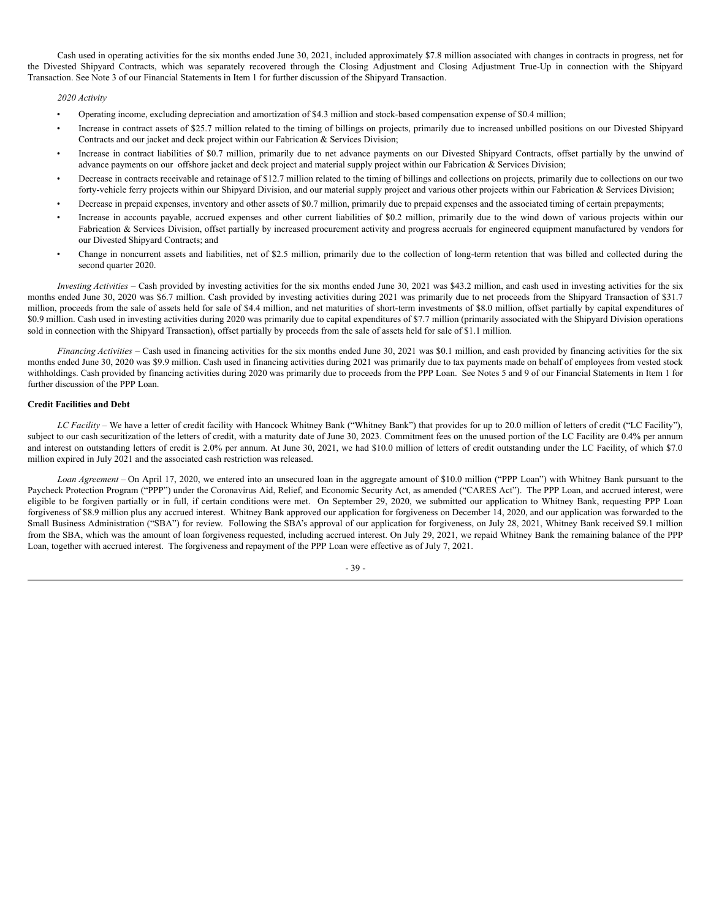Cash used in operating activities for the six months ended June 30, 2021, included approximately \$7.8 million associated with changes in contracts in progress, net for the Divested Shipyard Contracts, which was separately recovered through the Closing Adjustment and Closing Adjustment True-Up in connection with the Shipyard Transaction. See Note 3 of our Financial Statements in Item 1 for further discussion of the Shipyard Transaction.

#### *2020 Activity*

- Operating income, excluding depreciation and amortization of \$4.3 million and stock-based compensation expense of \$0.4 million;
- Increase in contract assets of \$25.7 million related to the timing of billings on projects, primarily due to increased unbilled positions on our Divested Shipyard Contracts and our jacket and deck project within our Fabrication & Services Division;
- Increase in contract liabilities of \$0.7 million, primarily due to net advance payments on our Divested Shipyard Contracts, offset partially by the unwind of advance payments on our offshore jacket and deck project and material supply project within our Fabrication & Services Division;
- Decrease in contracts receivable and retainage of \$12.7 million related to the timing of billings and collections on projects, primarily due to collections on our two forty-vehicle ferry projects within our Shipyard Division, and our material supply project and various other projects within our Fabrication & Services Division;
- Decrease in prepaid expenses, inventory and other assets of \$0.7 million, primarily due to prepaid expenses and the associated timing of certain prepayments;
- Increase in accounts payable, accrued expenses and other current liabilities of \$0.2 million, primarily due to the wind down of various projects within our Fabrication & Services Division, offset partially by increased procurement activity and progress accruals for engineered equipment manufactured by vendors for our Divested Shipyard Contracts; and
- Change in noncurrent assets and liabilities, net of \$2.5 million, primarily due to the collection of long-term retention that was billed and collected during the second quarter 2020.

*Investing Activities* – Cash provided by investing activities for the six months ended June 30, 2021 was \$43.2 million, and cash used in investing activities for the six months ended June 30, 2020 was \$6.7 million. Cash provided by investing activities during 2021 was primarily due to net proceeds from the Shipyard Transaction of \$31.7 million, proceeds from the sale of assets held for sale of \$4.4 million, and net maturities of short-term investments of \$8.0 million, offset partially by capital expenditures of \$0.9 million. Cash used in investing activities during 2020 was primarily due to capital expenditures of \$7.7 million (primarily associated with the Shipyard Division operations sold in connection with the Shipyard Transaction), offset partially by proceeds from the sale of assets held for sale of \$1.1 million.

*Financing Activities* – Cash used in financing activities for the six months ended June 30, 2021 was \$0.1 million, and cash provided by financing activities for the six months ended June 30, 2020 was \$9.9 million. Cash used in financing activities during 2021 was primarily due to tax payments made on behalf of employees from vested stock withholdings. Cash provided by financing activities during 2020 was primarily due to proceeds from the PPP Loan. See Notes 5 and 9 of our Financial Statements in Item 1 for further discussion of the PPP Loan.

#### **Credit Facilities and Debt**

*LC Facility* – We have a letter of credit facility with Hancock Whitney Bank ("Whitney Bank") that provides for up to 20.0 million of letters of credit ("LC Facility"), subject to our cash securitization of the letters of credit, with a maturity date of June 30, 2023. Commitment fees on the unused portion of the LC Facility are 0.4% per annum and interest on outstanding letters of credit is 2.0% per annum. At June 30, 2021, we had \$10.0 million of letters of credit outstanding under the LC Facility, of which \$7.0 million expired in July 2021 and the associated cash restriction was released.

*Loan Agreement* – On April 17, 2020, we entered into an unsecured loan in the aggregate amount of \$10.0 million ("PPP Loan") with Whitney Bank pursuant to the Paycheck Protection Program ("PPP") under the Coronavirus Aid, Relief, and Economic Security Act, as amended ("CARES Act"). The PPP Loan, and accrued interest, were eligible to be forgiven partially or in full, if certain conditions were met. On September 29, 2020, we submitted our application to Whitney Bank, requesting PPP Loan forgiveness of \$8.9 million plus any accrued interest. Whitney Bank approved our application for forgiveness on December 14, 2020, and our application was forwarded to the Small Business Administration ("SBA") for review. Following the SBA's approval of our application for forgiveness, on July 28, 2021, Whitney Bank received \$9.1 million from the SBA, which was the amount of loan forgiveness requested, including accrued interest. On July 29, 2021, we repaid Whitney Bank the remaining balance of the PPP Loan, together with accrued interest. The forgiveness and repayment of the PPP Loan were effective as of July 7, 2021.

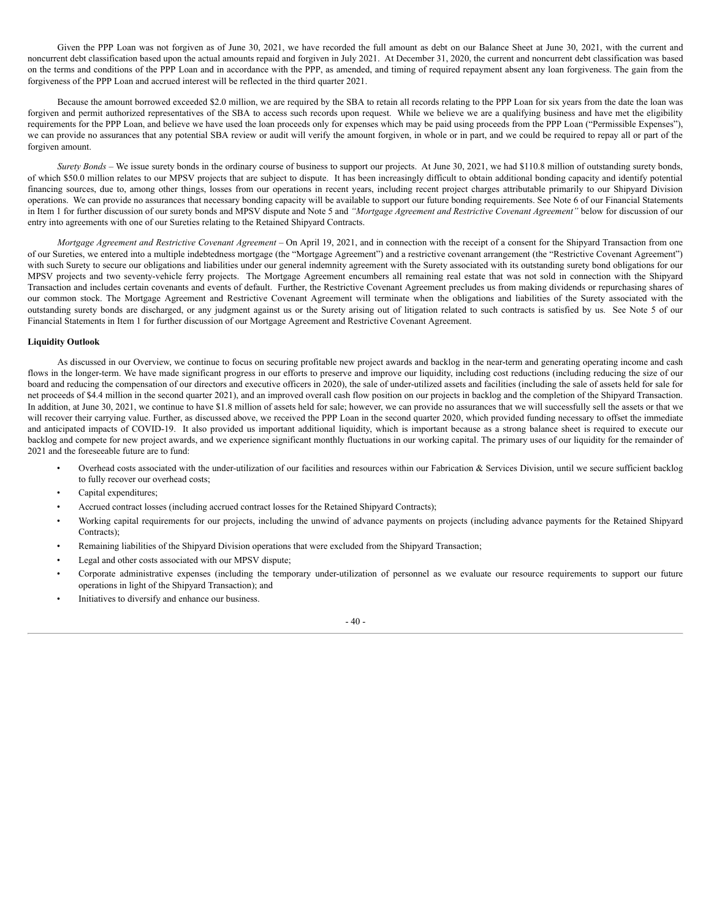Given the PPP Loan was not forgiven as of June 30, 2021, we have recorded the full amount as debt on our Balance Sheet at June 30, 2021, with the current and noncurrent debt classification based upon the actual amounts repaid and forgiven in July 2021. At December 31, 2020, the current and noncurrent debt classification was based on the terms and conditions of the PPP Loan and in accordance with the PPP, as amended, and timing of required repayment absent any loan forgiveness. The gain from the forgiveness of the PPP Loan and accrued interest will be reflected in the third quarter 2021.

Because the amount borrowed exceeded \$2.0 million, we are required by the SBA to retain all records relating to the PPP Loan for six years from the date the loan was forgiven and permit authorized representatives of the SBA to access such records upon request. While we believe we are a qualifying business and have met the eligibility requirements for the PPP Loan, and believe we have used the loan proceeds only for expenses which may be paid using proceeds from the PPP Loan ("Permissible Expenses"), we can provide no assurances that any potential SBA review or audit will verify the amount forgiven, in whole or in part, and we could be required to repay all or part of the forgiven amount.

*Surety Bonds* – We issue surety bonds in the ordinary course of business to support our projects. At June 30, 2021, we had \$110.8 million of outstanding surety bonds, of which \$50.0 million relates to our MPSV projects that are subject to dispute. It has been increasingly difficult to obtain additional bonding capacity and identify potential financing sources, due to, among other things, losses from our operations in recent years, including recent project charges attributable primarily to our Shipyard Division operations. We can provide no assurances that necessary bonding capacity will be available to support our future bonding requirements. See Note 6 of our Financial Statements in Item 1 for further discussion of our surety bonds and MPSV dispute and Note 5 and *"Mortgage Agreement and Restrictive Covenant Agreement"* below for discussion of our entry into agreements with one of our Sureties relating to the Retained Shipyard Contracts.

*Mortgage Agreement and Restrictive Covenant Agreement* – On April 19, 2021, and in connection with the receipt of a consent for the Shipyard Transaction from one of our Sureties, we entered into a multiple indebtedness mortgage (the "Mortgage Agreement") and a restrictive covenant arrangement (the "Restrictive Covenant Agreement") with such Surety to secure our obligations and liabilities under our general indemnity agreement with the Surety associated with its outstanding surety bond obligations for our MPSV projects and two seventy-vehicle ferry projects. The Mortgage Agreement encumbers all remaining real estate that was not sold in connection with the Shipyard Transaction and includes certain covenants and events of default. Further, the Restrictive Covenant Agreement precludes us from making dividends or repurchasing shares of our common stock. The Mortgage Agreement and Restrictive Covenant Agreement will terminate when the obligations and liabilities of the Surety associated with the outstanding surety bonds are discharged, or any judgment against us or the Surety arising out of litigation related to such contracts is satisfied by us. See Note 5 of our Financial Statements in Item 1 for further discussion of our Mortgage Agreement and Restrictive Covenant Agreement.

#### **Liquidity Outlook**

As discussed in our Overview, we continue to focus on securing profitable new project awards and backlog in the near-term and generating operating income and cash flows in the longer-term. We have made significant progress in our efforts to preserve and improve our liquidity, including cost reductions (including reducing the size of our board and reducing the compensation of our directors and executive officers in 2020), the sale of under-utilized assets and facilities (including the sale of assets held for sale for net proceeds of \$4.4 million in the second quarter 2021), and an improved overall cash flow position on our projects in backlog and the completion of the Shipyard Transaction. In addition, at June 30, 2021, we continue to have \$1.8 million of assets held for sale; however, we can provide no assurances that we will successfully sell the assets or that we will recover their carrying value. Further, as discussed above, we received the PPP Loan in the second quarter 2020, which provided funding necessary to offset the immediate and anticipated impacts of COVID-19. It also provided us important additional liquidity, which is important because as a strong balance sheet is required to execute our backlog and compete for new project awards, and we experience significant monthly fluctuations in our working capital. The primary uses of our liquidity for the remainder of 2021 and the foreseeable future are to fund:

- Overhead costs associated with the under-utilization of our facilities and resources within our Fabrication & Services Division, until we secure sufficient backlog to fully recover our overhead costs;
- Capital expenditures;
- Accrued contract losses (including accrued contract losses for the Retained Shipyard Contracts);
- Working capital requirements for our projects, including the unwind of advance payments on projects (including advance payments for the Retained Shipyard Contracts);
- Remaining liabilities of the Shipyard Division operations that were excluded from the Shipyard Transaction;
- Legal and other costs associated with our MPSV dispute;
- Corporate administrative expenses (including the temporary under-utilization of personnel as we evaluate our resource requirements to support our future operations in light of the Shipyard Transaction); and
- Initiatives to diversify and enhance our business.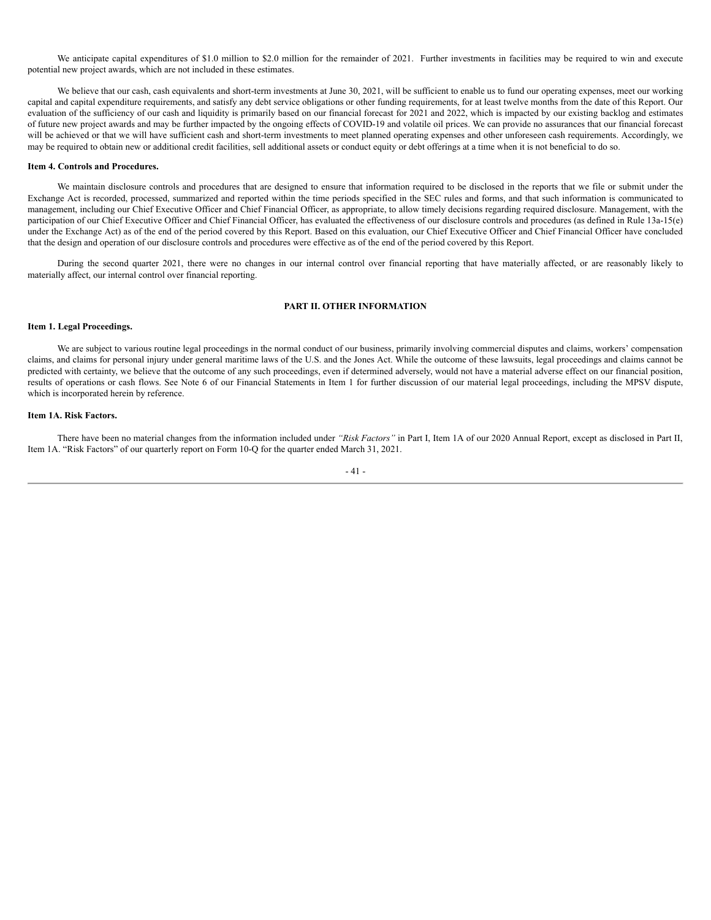We anticipate capital expenditures of \$1.0 million to \$2.0 million for the remainder of 2021. Further investments in facilities may be required to win and execute potential new project awards, which are not included in these estimates.

We believe that our cash, cash equivalents and short-term investments at June 30, 2021, will be sufficient to enable us to fund our operating expenses, meet our working capital and capital expenditure requirements, and satisfy any debt service obligations or other funding requirements, for at least twelve months from the date of this Report. Our evaluation of the sufficiency of our cash and liquidity is primarily based on our financial forecast for 2021 and 2022, which is impacted by our existing backlog and estimates of future new project awards and may be further impacted by the ongoing effects of COVID-19 and volatile oil prices. We can provide no assurances that our financial forecast will be achieved or that we will have sufficient cash and short-term investments to meet planned operating expenses and other unforeseen cash requirements. Accordingly, we may be required to obtain new or additional credit facilities, sell additional assets or conduct equity or debt offerings at a time when it is not beneficial to do so.

#### **Item 4. Controls and Procedures.**

We maintain disclosure controls and procedures that are designed to ensure that information required to be disclosed in the reports that we file or submit under the Exchange Act is recorded, processed, summarized and reported within the time periods specified in the SEC rules and forms, and that such information is communicated to management, including our Chief Executive Officer and Chief Financial Officer, as appropriate, to allow timely decisions regarding required disclosure. Management, with the participation of our Chief Executive Officer and Chief Financial Officer, has evaluated the effectiveness of our disclosure controls and procedures (as defined in Rule 13a-15(e) under the Exchange Act) as of the end of the period covered by this Report. Based on this evaluation, our Chief Executive Officer and Chief Financial Officer have concluded that the design and operation of our disclosure controls and procedures were effective as of the end of the period covered by this Report.

During the second quarter 2021, there were no changes in our internal control over financial reporting that have materially affected, or are reasonably likely to materially affect, our internal control over financial reporting.

### **PART II. OTHER INFORMATION**

#### **Item 1. Legal Proceedings.**

We are subject to various routine legal proceedings in the normal conduct of our business, primarily involving commercial disputes and claims, workers' compensation claims, and claims for personal injury under general maritime laws of the U.S. and the Jones Act. While the outcome of these lawsuits, legal proceedings and claims cannot be predicted with certainty, we believe that the outcome of any such proceedings, even if determined adversely, would not have a material adverse effect on our financial position, results of operations or cash flows. See Note 6 of our Financial Statements in Item 1 for further discussion of our material legal proceedings, including the MPSV dispute, which is incorporated herein by reference.

#### **Item 1A. Risk Factors.**

There have been no material changes from the information included under *"Risk Factors"* in Part I, Item 1A of our 2020 Annual Report, except as disclosed in Part II, Item 1A. "Risk Factors" of our quarterly report on Form 10-Q for the quarter ended March 31, 2021.

#### - 41 -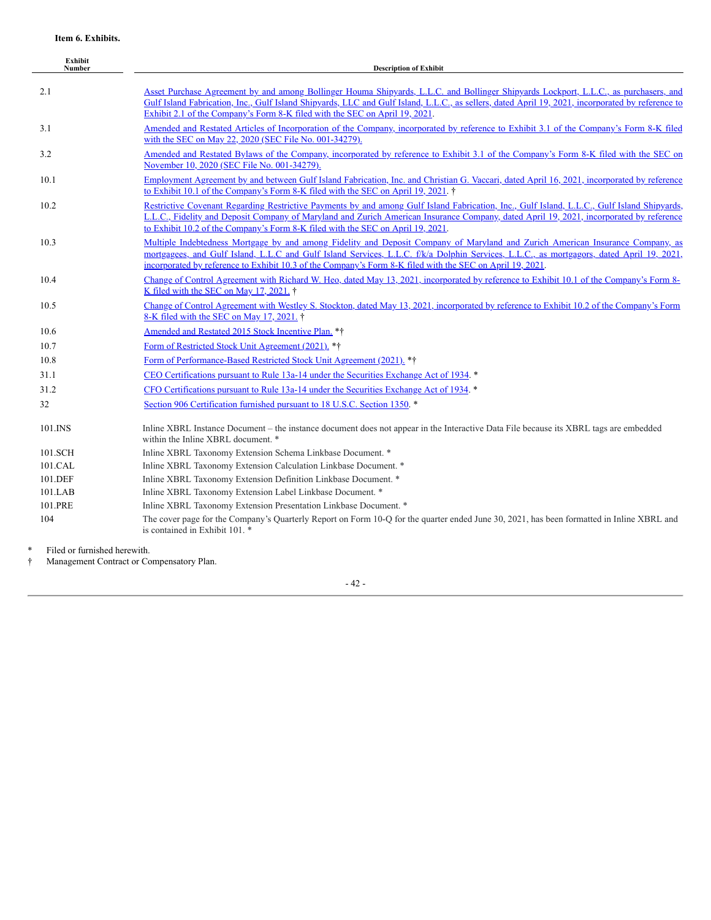| Exhibit<br><b>Number</b> | <b>Description of Exhibit</b>                                                                                                                                                                                                                                                                                                                                                           |
|--------------------------|-----------------------------------------------------------------------------------------------------------------------------------------------------------------------------------------------------------------------------------------------------------------------------------------------------------------------------------------------------------------------------------------|
| 2.1                      | Asset Purchase Agreement by and among Bollinger Houma Shipyards, L.L.C. and Bollinger Shipyards Lockport, L.L.C., as purchasers, and<br>Gulf Island Fabrication, Inc., Gulf Island Shipyards, LLC and Gulf Island, L.L.C., as sellers, dated April 19, 2021, incorporated by reference to<br>Exhibit 2.1 of the Company's Form 8-K filed with the SEC on April 19, 2021.                |
| 3.1                      | Amended and Restated Articles of Incorporation of the Company, incorporated by reference to Exhibit 3.1 of the Company's Form 8-K filed<br>with the SEC on May 22, 2020 (SEC File No. 001-34279).                                                                                                                                                                                       |
| 3.2                      | Amended and Restated Bylaws of the Company, incorporated by reference to Exhibit 3.1 of the Company's Form 8-K filed with the SEC on<br>November 10, 2020 (SEC File No. 001-34279).                                                                                                                                                                                                     |
| 10.1                     | Employment Agreement by and between Gulf Island Fabrication, Inc. and Christian G. Vaccari, dated April 16, 2021, incorporated by reference<br>to Exhibit 10.1 of the Company's Form 8-K filed with the SEC on April 19, 2021. †                                                                                                                                                        |
| 10.2                     | Restrictive Covenant Regarding Restrictive Payments by and among Gulf Island Fabrication, Inc., Gulf Island, L.L.C., Gulf Island Shipyards,<br>L.L.C., Fidelity and Deposit Company of Maryland and Zurich American Insurance Company, dated April 19, 2021, incorporated by reference<br>to Exhibit 10.2 of the Company's Form 8-K filed with the SEC on April 19, 2021.               |
| 10.3                     | Multiple Indebtedness Mortgage by and among Fidelity and Deposit Company of Maryland and Zurich American Insurance Company, as<br>mortgagees, and Gulf Island, L.L.C and Gulf Island Services, L.L.C. f/k/a Dolphin Services, L.L.C., as mortgagors, dated April 19, 2021,<br>incorporated by reference to Exhibit 10.3 of the Company's Form 8-K filed with the SEC on April 19, 2021. |
| 10.4                     | Change of Control Agreement with Richard W. Heo, dated May 13, 2021, incorporated by reference to Exhibit 10.1 of the Company's Form 8-<br>K filed with the SEC on May 17, 2021. †                                                                                                                                                                                                      |
| 10.5                     | Change of Control Agreement with Westley S. Stockton, dated May 13, 2021, incorporated by reference to Exhibit 10.2 of the Company's Form<br>8-K filed with the SEC on May 17, 2021. †                                                                                                                                                                                                  |
| 10.6                     | Amended and Restated 2015 Stock Incentive Plan. **                                                                                                                                                                                                                                                                                                                                      |
| 10.7                     | Form of Restricted Stock Unit Agreement (2021). **                                                                                                                                                                                                                                                                                                                                      |
| 10.8                     | Form of Performance-Based Restricted Stock Unit Agreement (2021). **                                                                                                                                                                                                                                                                                                                    |
| 31.1                     | CEO Certifications pursuant to Rule 13a-14 under the Securities Exchange Act of 1934.                                                                                                                                                                                                                                                                                                   |
| 31.2                     | CFO Certifications pursuant to Rule 13a-14 under the Securities Exchange Act of 1934.                                                                                                                                                                                                                                                                                                   |
| 32                       | Section 906 Certification furnished pursuant to 18 U.S.C. Section 1350.                                                                                                                                                                                                                                                                                                                 |
| 101.INS                  | Inline XBRL Instance Document – the instance document does not appear in the Interactive Data File because its XBRL tags are embedded<br>within the Inline XBRL document. *                                                                                                                                                                                                             |
| 101.SCH                  | Inline XBRL Taxonomy Extension Schema Linkbase Document. *                                                                                                                                                                                                                                                                                                                              |
| 101.CAL                  | Inline XBRL Taxonomy Extension Calculation Linkbase Document. *                                                                                                                                                                                                                                                                                                                         |
| 101.DEF                  | Inline XBRL Taxonomy Extension Definition Linkbase Document. *                                                                                                                                                                                                                                                                                                                          |
| 101.LAB                  | Inline XBRL Taxonomy Extension Label Linkbase Document. *                                                                                                                                                                                                                                                                                                                               |
| 101.PRE                  | Inline XBRL Taxonomy Extension Presentation Linkbase Document. *                                                                                                                                                                                                                                                                                                                        |
| 104                      | The cover page for the Company's Quarterly Report on Form 10-Q for the quarter ended June 30, 2021, has been formatted in Inline XBRL and<br>is contained in Exhibit 101. *                                                                                                                                                                                                             |
|                          |                                                                                                                                                                                                                                                                                                                                                                                         |

\* Filed or furnished herewith.<br>
† Management Contract or Co † Management Contract or Compensatory Plan.

- 42 -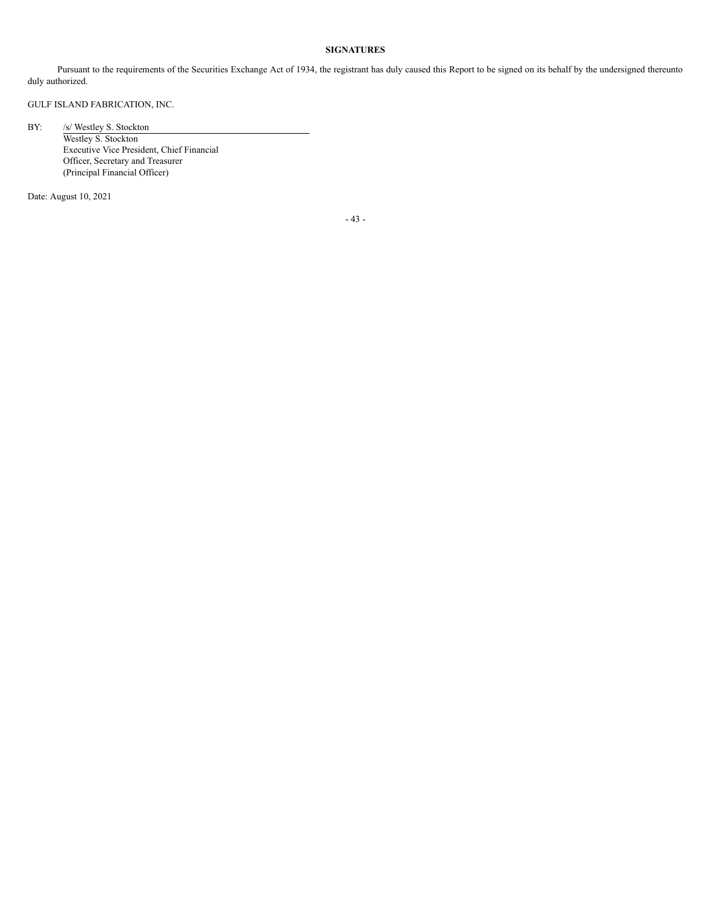### **SIGNATURES**

Pursuant to the requirements of the Securities Exchange Act of 1934, the registrant has duly caused this Report to be signed on its behalf by the undersigned thereunto duly authorized.

GULF ISLAND FABRICATION, INC.

BY: /s/ Westley S. Stockton

Westley S. Stockton Executive Vice President, Chief Financial Officer, Secretary and Treasurer (Principal Financial Officer)

Date: August 10, 2021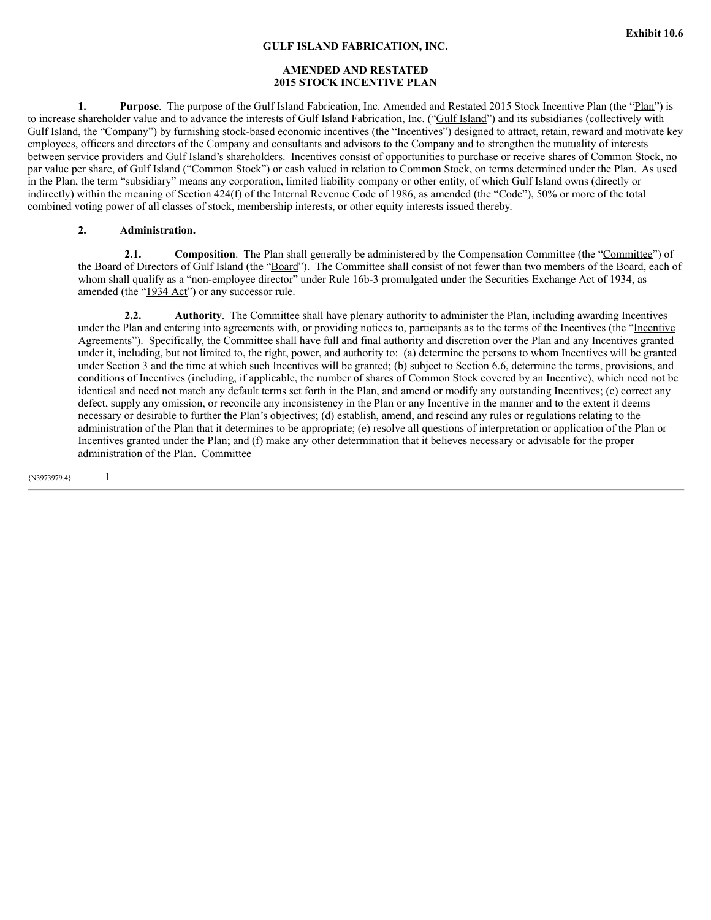## **AMENDED AND RESTATED 2015 STOCK INCENTIVE PLAN**

**1. Purpose**. The purpose of the Gulf Island Fabrication, Inc. Amended and Restated 2015 Stock Incentive Plan (the "Plan") is to increase shareholder value and to advance the interests of Gulf Island Fabrication, Inc. ("Gulf Island") and its subsidiaries (collectively with Gulf Island, the "Company") by furnishing stock-based economic incentives (the "Incentives") designed to attract, retain, reward and motivate key employees, officers and directors of the Company and consultants and advisors to the Company and to strengthen the mutuality of interests between service providers and Gulf Island's shareholders. Incentives consist of opportunities to purchase or receive shares of Common Stock, no par value per share, of Gulf Island ("Common Stock") or cash valued in relation to Common Stock, on terms determined under the Plan. As used in the Plan, the term "subsidiary" means any corporation, limited liability company or other entity, of which Gulf Island owns (directly or indirectly) within the meaning of Section 424(f) of the Internal Revenue Code of 1986, as amended (the "Code"), 50% or more of the total combined voting power of all classes of stock, membership interests, or other equity interests issued thereby.

## **2. Administration.**

**2.1. Composition**. The Plan shall generally be administered by the Compensation Committee (the "Committee") of the Board of Directors of Gulf Island (the "Board"). The Committee shall consist of not fewer than two members of the Board, each of whom shall qualify as a "non-employee director" under Rule 16b-3 promulgated under the Securities Exchange Act of 1934, as amended (the "1934 Act") or any successor rule.

**2.2. Authority**. The Committee shall have plenary authority to administer the Plan, including awarding Incentives under the Plan and entering into agreements with, or providing notices to, participants as to the terms of the Incentives (the "Incentive Agreements"). Specifically, the Committee shall have full and final authority and discretion over the Plan and any Incentives granted under it, including, but not limited to, the right, power, and authority to: (a) determine the persons to whom Incentives will be granted under Section 3 and the time at which such Incentives will be granted; (b) subject to Section 6.6, determine the terms, provisions, and conditions of Incentives (including, if applicable, the number of shares of Common Stock covered by an Incentive), which need not be identical and need not match any default terms set forth in the Plan, and amend or modify any outstanding Incentives; (c) correct any defect, supply any omission, or reconcile any inconsistency in the Plan or any Incentive in the manner and to the extent it deems necessary or desirable to further the Plan's objectives; (d) establish, amend, and rescind any rules or regulations relating to the administration of the Plan that it determines to be appropriate; (e) resolve all questions of interpretation or application of the Plan or Incentives granted under the Plan; and (f) make any other determination that it believes necessary or advisable for the proper administration of the Plan. Committee

{N3973979.4} 1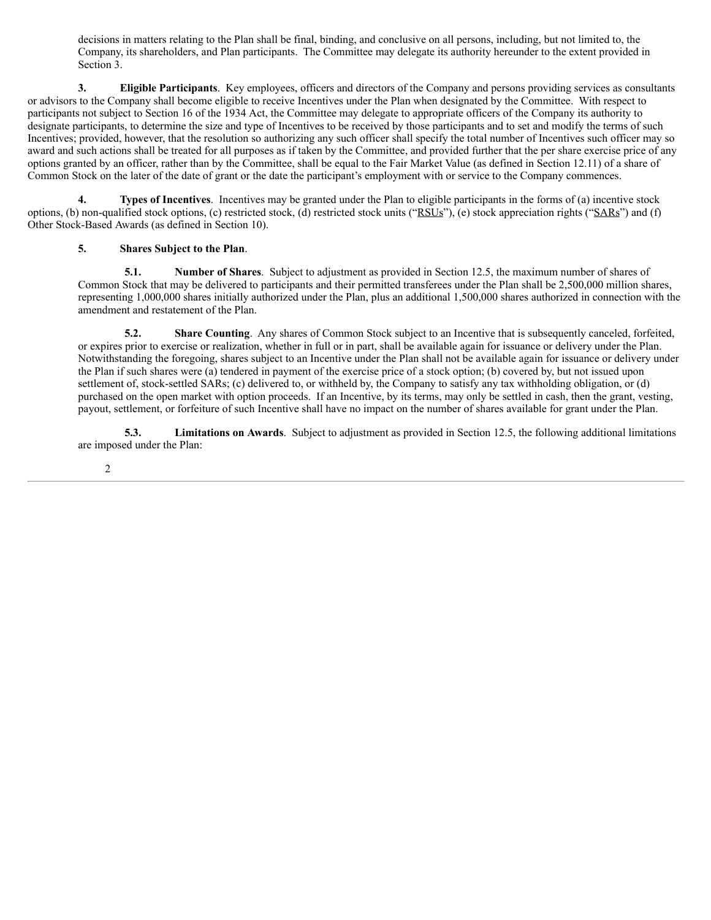decisions in matters relating to the Plan shall be final, binding, and conclusive on all persons, including, but not limited to, the Company, its shareholders, and Plan participants. The Committee may delegate its authority hereunder to the extent provided in Section 3.

**3. Eligible Participants**. Key employees, officers and directors of the Company and persons providing services as consultants or advisors to the Company shall become eligible to receive Incentives under the Plan when designated by the Committee. With respect to participants not subject to Section 16 of the 1934 Act, the Committee may delegate to appropriate officers of the Company its authority to designate participants, to determine the size and type of Incentives to be received by those participants and to set and modify the terms of such Incentives; provided, however, that the resolution so authorizing any such officer shall specify the total number of Incentives such officer may so award and such actions shall be treated for all purposes as if taken by the Committee, and provided further that the per share exercise price of any options granted by an officer, rather than by the Committee, shall be equal to the Fair Market Value (as defined in Section 12.11) of a share of Common Stock on the later of the date of grant or the date the participant's employment with or service to the Company commences.

**4. Types of Incentives**. Incentives may be granted under the Plan to eligible participants in the forms of (a) incentive stock options, (b) non-qualified stock options, (c) restricted stock, (d) restricted stock units ("RSUs"), (e) stock appreciation rights ("SARs") and (f) Other Stock-Based Awards (as defined in Section 10).

# **5. Shares Subject to the Plan**.

**5.1. Number of Shares**. Subject to adjustment as provided in Section 12.5, the maximum number of shares of Common Stock that may be delivered to participants and their permitted transferees under the Plan shall be 2,500,000 million shares, representing 1,000,000 shares initially authorized under the Plan, plus an additional 1,500,000 shares authorized in connection with the amendment and restatement of the Plan.

**5.2. Share Counting**. Any shares of Common Stock subject to an Incentive that is subsequently canceled, forfeited, or expires prior to exercise or realization, whether in full or in part, shall be available again for issuance or delivery under the Plan. Notwithstanding the foregoing, shares subject to an Incentive under the Plan shall not be available again for issuance or delivery under the Plan if such shares were (a) tendered in payment of the exercise price of a stock option; (b) covered by, but not issued upon settlement of, stock-settled SARs; (c) delivered to, or withheld by, the Company to satisfy any tax withholding obligation, or (d) purchased on the open market with option proceeds. If an Incentive, by its terms, may only be settled in cash, then the grant, vesting, payout, settlement, or forfeiture of such Incentive shall have no impact on the number of shares available for grant under the Plan.

**5.3. Limitations on Awards**. Subject to adjustment as provided in Section 12.5, the following additional limitations are imposed under the Plan: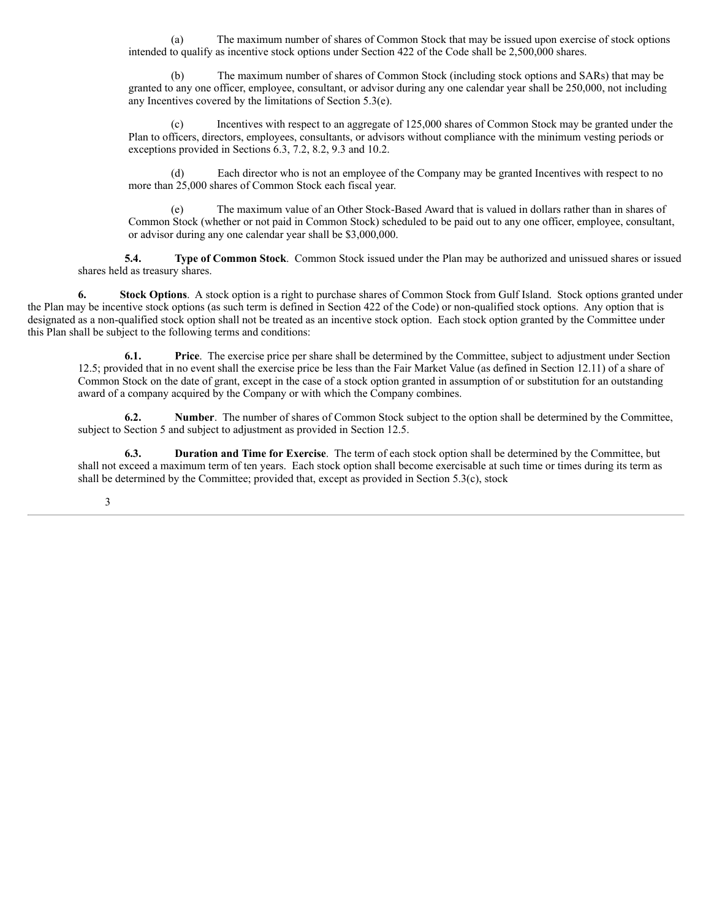(a) The maximum number of shares of Common Stock that may be issued upon exercise of stock options intended to qualify as incentive stock options under Section 422 of the Code shall be 2,500,000 shares.

(b) The maximum number of shares of Common Stock (including stock options and SARs) that may be granted to any one officer, employee, consultant, or advisor during any one calendar year shall be 250,000, not including any Incentives covered by the limitations of Section 5.3(e).

(c) Incentives with respect to an aggregate of 125,000 shares of Common Stock may be granted under the Plan to officers, directors, employees, consultants, or advisors without compliance with the minimum vesting periods or exceptions provided in Sections 6.3, 7.2, 8.2, 9.3 and 10.2.

(d) Each director who is not an employee of the Company may be granted Incentives with respect to no more than 25,000 shares of Common Stock each fiscal year.

(e) The maximum value of an Other Stock-Based Award that is valued in dollars rather than in shares of Common Stock (whether or not paid in Common Stock) scheduled to be paid out to any one officer, employee, consultant, or advisor during any one calendar year shall be \$3,000,000.

**5.4. Type of Common Stock**. Common Stock issued under the Plan may be authorized and unissued shares or issued shares held as treasury shares.

**6. Stock Options**. A stock option is a right to purchase shares of Common Stock from Gulf Island. Stock options granted under the Plan may be incentive stock options (as such term is defined in Section 422 of the Code) or non-qualified stock options. Any option that is designated as a non-qualified stock option shall not be treated as an incentive stock option. Each stock option granted by the Committee under this Plan shall be subject to the following terms and conditions:

**6.1. Price**. The exercise price per share shall be determined by the Committee, subject to adjustment under Section 12.5; provided that in no event shall the exercise price be less than the Fair Market Value (as defined in Section 12.11) of a share of Common Stock on the date of grant, except in the case of a stock option granted in assumption of or substitution for an outstanding award of a company acquired by the Company or with which the Company combines.

**6.2. Number**. The number of shares of Common Stock subject to the option shall be determined by the Committee, subject to Section 5 and subject to adjustment as provided in Section 12.5.

**6.3. Duration and Time for Exercise**. The term of each stock option shall be determined by the Committee, but shall not exceed a maximum term of ten years. Each stock option shall become exercisable at such time or times during its term as shall be determined by the Committee; provided that, except as provided in Section  $5.3(c)$ , stock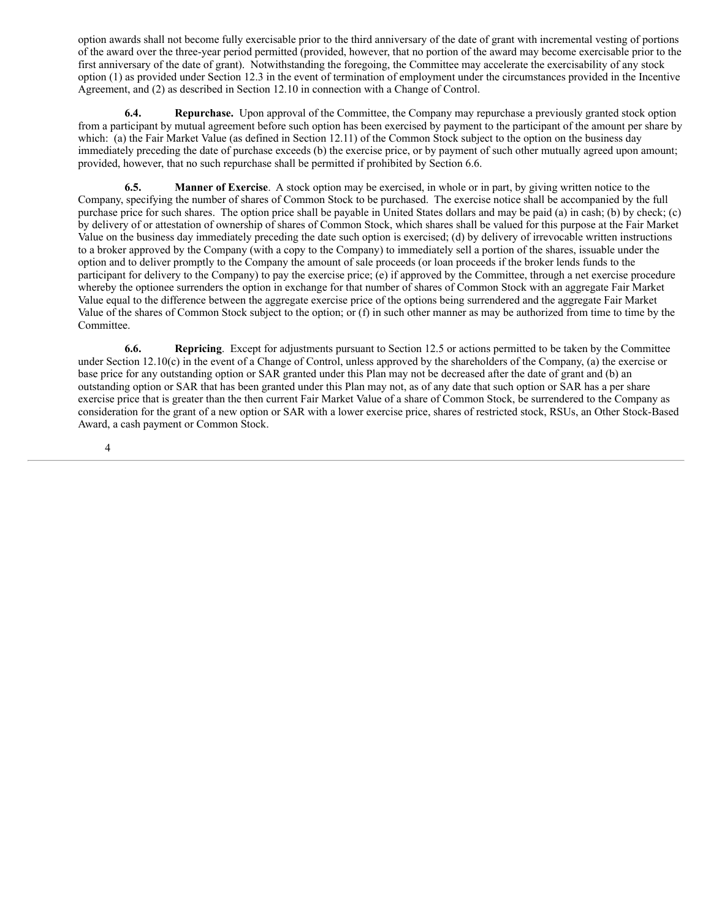option awards shall not become fully exercisable prior to the third anniversary of the date of grant with incremental vesting of portions of the award over the three-year period permitted (provided, however, that no portion of the award may become exercisable prior to the first anniversary of the date of grant). Notwithstanding the foregoing, the Committee may accelerate the exercisability of any stock option (1) as provided under Section 12.3 in the event of termination of employment under the circumstances provided in the Incentive Agreement, and (2) as described in Section 12.10 in connection with a Change of Control.

**6.4. Repurchase.** Upon approval of the Committee, the Company may repurchase a previously granted stock option from a participant by mutual agreement before such option has been exercised by payment to the participant of the amount per share by which: (a) the Fair Market Value (as defined in Section 12.11) of the Common Stock subject to the option on the business day immediately preceding the date of purchase exceeds (b) the exercise price, or by payment of such other mutually agreed upon amount; provided, however, that no such repurchase shall be permitted if prohibited by Section 6.6.

**6.5. Manner of Exercise**. A stock option may be exercised, in whole or in part, by giving written notice to the Company, specifying the number of shares of Common Stock to be purchased. The exercise notice shall be accompanied by the full purchase price for such shares. The option price shall be payable in United States dollars and may be paid (a) in cash; (b) by check; (c) by delivery of or attestation of ownership of shares of Common Stock, which shares shall be valued for this purpose at the Fair Market Value on the business day immediately preceding the date such option is exercised; (d) by delivery of irrevocable written instructions to a broker approved by the Company (with a copy to the Company) to immediately sell a portion of the shares, issuable under the option and to deliver promptly to the Company the amount of sale proceeds (or loan proceeds if the broker lends funds to the participant for delivery to the Company) to pay the exercise price; (e) if approved by the Committee, through a net exercise procedure whereby the optionee surrenders the option in exchange for that number of shares of Common Stock with an aggregate Fair Market Value equal to the difference between the aggregate exercise price of the options being surrendered and the aggregate Fair Market Value of the shares of Common Stock subject to the option; or (f) in such other manner as may be authorized from time to time by the Committee.

**6.6. Repricing**. Except for adjustments pursuant to Section 12.5 or actions permitted to be taken by the Committee under Section 12.10(c) in the event of a Change of Control, unless approved by the shareholders of the Company, (a) the exercise or base price for any outstanding option or SAR granted under this Plan may not be decreased after the date of grant and (b) an outstanding option or SAR that has been granted under this Plan may not, as of any date that such option or SAR has a per share exercise price that is greater than the then current Fair Market Value of a share of Common Stock, be surrendered to the Company as consideration for the grant of a new option or SAR with a lower exercise price, shares of restricted stock, RSUs, an Other Stock-Based Award, a cash payment or Common Stock.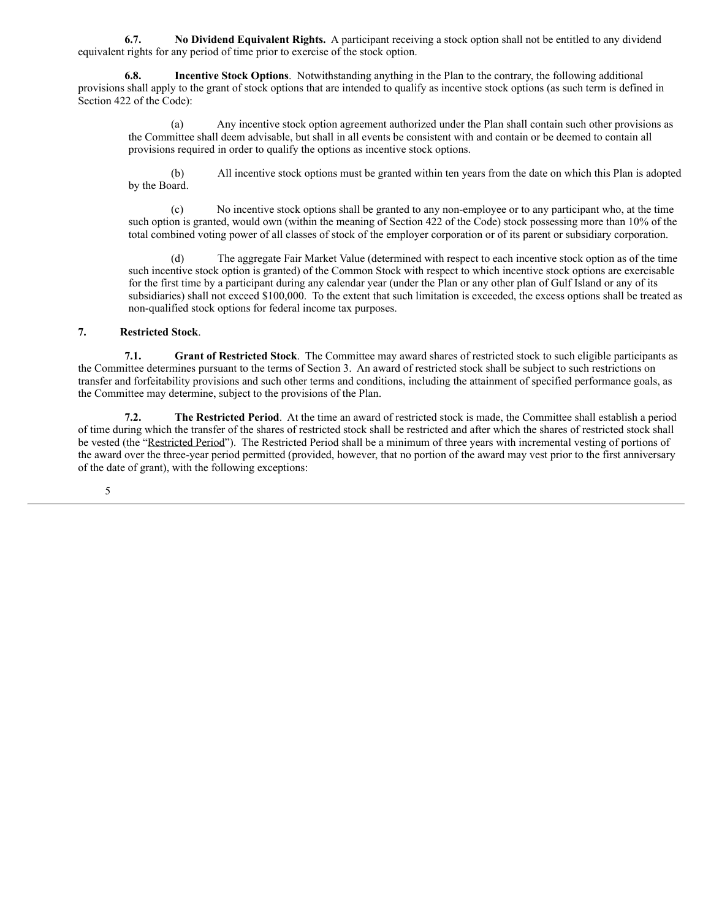**6.7. No Dividend Equivalent Rights.** A participant receiving a stock option shall not be entitled to any dividend equivalent rights for any period of time prior to exercise of the stock option.

**6.8. Incentive Stock Options**. Notwithstanding anything in the Plan to the contrary, the following additional provisions shall apply to the grant of stock options that are intended to qualify as incentive stock options (as such term is defined in Section 422 of the Code):

(a) Any incentive stock option agreement authorized under the Plan shall contain such other provisions as the Committee shall deem advisable, but shall in all events be consistent with and contain or be deemed to contain all provisions required in order to qualify the options as incentive stock options.

(b) All incentive stock options must be granted within ten years from the date on which this Plan is adopted by the Board.

(c) No incentive stock options shall be granted to any non-employee or to any participant who, at the time such option is granted, would own (within the meaning of Section 422 of the Code) stock possessing more than 10% of the total combined voting power of all classes of stock of the employer corporation or of its parent or subsidiary corporation.

(d) The aggregate Fair Market Value (determined with respect to each incentive stock option as of the time such incentive stock option is granted) of the Common Stock with respect to which incentive stock options are exercisable for the first time by a participant during any calendar year (under the Plan or any other plan of Gulf Island or any of its subsidiaries) shall not exceed \$100,000. To the extent that such limitation is exceeded, the excess options shall be treated as non-qualified stock options for federal income tax purposes.

# **7. Restricted Stock**.

**7.1. Grant of Restricted Stock**. The Committee may award shares of restricted stock to such eligible participants as the Committee determines pursuant to the terms of Section 3. An award of restricted stock shall be subject to such restrictions on transfer and forfeitability provisions and such other terms and conditions, including the attainment of specified performance goals, as the Committee may determine, subject to the provisions of the Plan.

**7.2. The Restricted Period**. At the time an award of restricted stock is made, the Committee shall establish a period of time during which the transfer of the shares of restricted stock shall be restricted and after which the shares of restricted stock shall be vested (the "Restricted Period"). The Restricted Period shall be a minimum of three years with incremental vesting of portions of the award over the three-year period permitted (provided, however, that no portion of the award may vest prior to the first anniversary of the date of grant), with the following exceptions: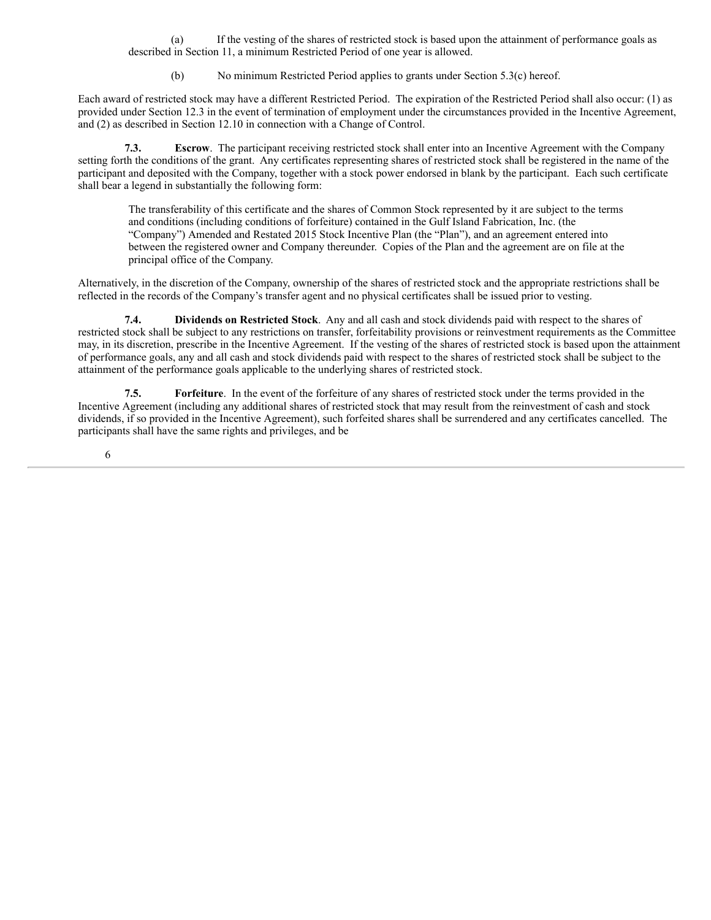(a) If the vesting of the shares of restricted stock is based upon the attainment of performance goals as described in Section 11, a minimum Restricted Period of one year is allowed.

(b) No minimum Restricted Period applies to grants under Section 5.3(c) hereof.

Each award of restricted stock may have a different Restricted Period. The expiration of the Restricted Period shall also occur: (1) as provided under Section 12.3 in the event of termination of employment under the circumstances provided in the Incentive Agreement, and (2) as described in Section 12.10 in connection with a Change of Control.

**7.3. Escrow**. The participant receiving restricted stock shall enter into an Incentive Agreement with the Company setting forth the conditions of the grant. Any certificates representing shares of restricted stock shall be registered in the name of the participant and deposited with the Company, together with a stock power endorsed in blank by the participant. Each such certificate shall bear a legend in substantially the following form:

The transferability of this certificate and the shares of Common Stock represented by it are subject to the terms and conditions (including conditions of forfeiture) contained in the Gulf Island Fabrication, Inc. (the "Company") Amended and Restated 2015 Stock Incentive Plan (the "Plan"), and an agreement entered into between the registered owner and Company thereunder. Copies of the Plan and the agreement are on file at the principal office of the Company.

Alternatively, in the discretion of the Company, ownership of the shares of restricted stock and the appropriate restrictions shall be reflected in the records of the Company's transfer agent and no physical certificates shall be issued prior to vesting.

**7.4. Dividends on Restricted Stock**. Any and all cash and stock dividends paid with respect to the shares of restricted stock shall be subject to any restrictions on transfer, forfeitability provisions or reinvestment requirements as the Committee may, in its discretion, prescribe in the Incentive Agreement. If the vesting of the shares of restricted stock is based upon the attainment of performance goals, any and all cash and stock dividends paid with respect to the shares of restricted stock shall be subject to the attainment of the performance goals applicable to the underlying shares of restricted stock.

**7.5. Forfeiture**. In the event of the forfeiture of any shares of restricted stock under the terms provided in the Incentive Agreement (including any additional shares of restricted stock that may result from the reinvestment of cash and stock dividends, if so provided in the Incentive Agreement), such forfeited shares shall be surrendered and any certificates cancelled. The participants shall have the same rights and privileges, and be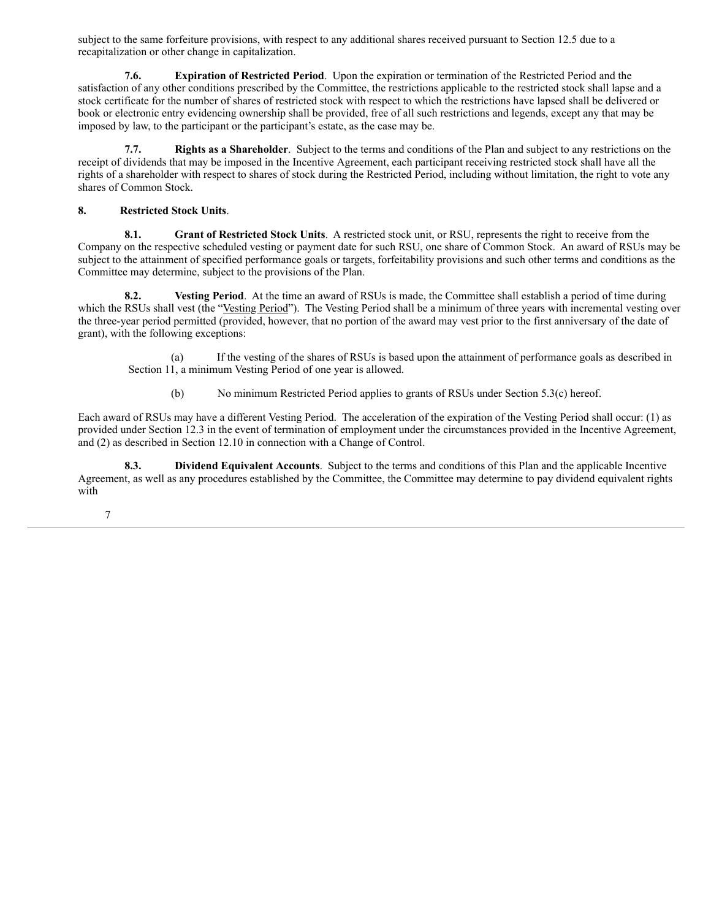subject to the same forfeiture provisions, with respect to any additional shares received pursuant to Section 12.5 due to a recapitalization or other change in capitalization.

**7.6. Expiration of Restricted Period**. Upon the expiration or termination of the Restricted Period and the satisfaction of any other conditions prescribed by the Committee, the restrictions applicable to the restricted stock shall lapse and a stock certificate for the number of shares of restricted stock with respect to which the restrictions have lapsed shall be delivered or book or electronic entry evidencing ownership shall be provided, free of all such restrictions and legends, except any that may be imposed by law, to the participant or the participant's estate, as the case may be.

**7.7. Rights as a Shareholder**. Subject to the terms and conditions of the Plan and subject to any restrictions on the receipt of dividends that may be imposed in the Incentive Agreement, each participant receiving restricted stock shall have all the rights of a shareholder with respect to shares of stock during the Restricted Period, including without limitation, the right to vote any shares of Common Stock.

# **8. Restricted Stock Units**.

**8.1. Grant of Restricted Stock Units**. A restricted stock unit, or RSU, represents the right to receive from the Company on the respective scheduled vesting or payment date for such RSU, one share of Common Stock. An award of RSUs may be subject to the attainment of specified performance goals or targets, forfeitability provisions and such other terms and conditions as the Committee may determine, subject to the provisions of the Plan.

**8.2. Vesting Period**. At the time an award of RSUs is made, the Committee shall establish a period of time during which the RSUs shall vest (the "Vesting Period"). The Vesting Period shall be a minimum of three years with incremental vesting over the three-year period permitted (provided, however, that no portion of the award may vest prior to the first anniversary of the date of grant), with the following exceptions:

(a) If the vesting of the shares of RSUs is based upon the attainment of performance goals as described in Section 11, a minimum Vesting Period of one year is allowed.

(b) No minimum Restricted Period applies to grants of RSUs under Section 5.3(c) hereof.

Each award of RSUs may have a different Vesting Period. The acceleration of the expiration of the Vesting Period shall occur: (1) as provided under Section 12.3 in the event of termination of employment under the circumstances provided in the Incentive Agreement, and (2) as described in Section 12.10 in connection with a Change of Control.

**8.3. Dividend Equivalent Accounts**. Subject to the terms and conditions of this Plan and the applicable Incentive Agreement, as well as any procedures established by the Committee, the Committee may determine to pay dividend equivalent rights with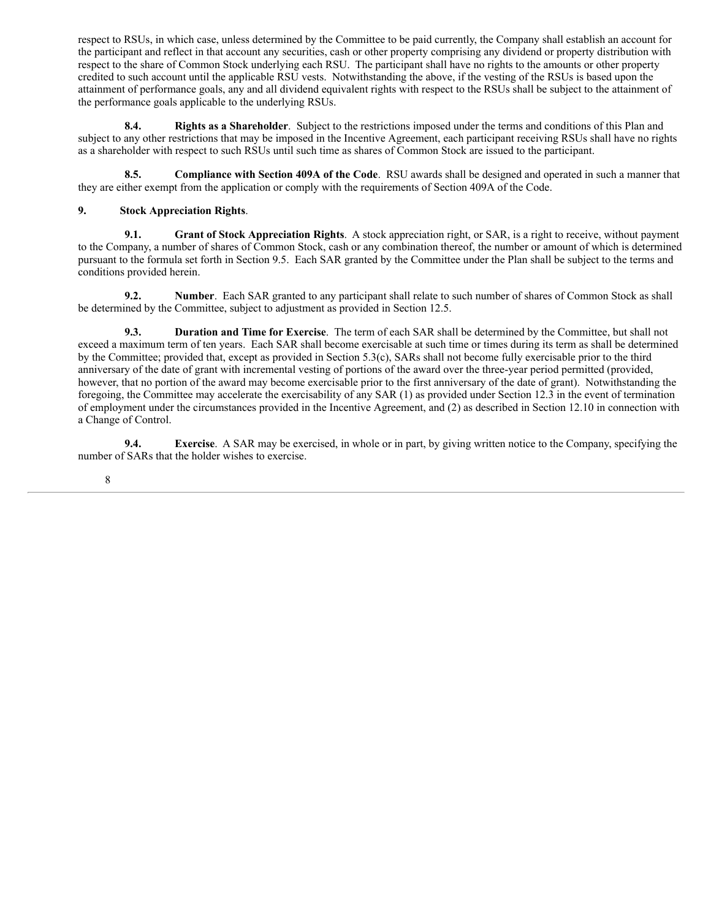respect to RSUs, in which case, unless determined by the Committee to be paid currently, the Company shall establish an account for the participant and reflect in that account any securities, cash or other property comprising any dividend or property distribution with respect to the share of Common Stock underlying each RSU. The participant shall have no rights to the amounts or other property credited to such account until the applicable RSU vests. Notwithstanding the above, if the vesting of the RSUs is based upon the attainment of performance goals, any and all dividend equivalent rights with respect to the RSUs shall be subject to the attainment of the performance goals applicable to the underlying RSUs.

**8.4. Rights as a Shareholder**. Subject to the restrictions imposed under the terms and conditions of this Plan and subject to any other restrictions that may be imposed in the Incentive Agreement, each participant receiving RSUs shall have no rights as a shareholder with respect to such RSUs until such time as shares of Common Stock are issued to the participant.

**8.5. Compliance with Section 409A of the Code**. RSU awards shall be designed and operated in such a manner that they are either exempt from the application or comply with the requirements of Section 409A of the Code.

# **9. Stock Appreciation Rights**.

**9.1. Grant of Stock Appreciation Rights**. A stock appreciation right, or SAR, is a right to receive, without payment to the Company, a number of shares of Common Stock, cash or any combination thereof, the number or amount of which is determined pursuant to the formula set forth in Section 9.5. Each SAR granted by the Committee under the Plan shall be subject to the terms and conditions provided herein.

**9.2. Number**. Each SAR granted to any participant shall relate to such number of shares of Common Stock as shall be determined by the Committee, subject to adjustment as provided in Section 12.5.

**9.3. Duration and Time for Exercise**. The term of each SAR shall be determined by the Committee, but shall not exceed a maximum term of ten years. Each SAR shall become exercisable at such time or times during its term as shall be determined by the Committee; provided that, except as provided in Section 5.3(c), SARs shall not become fully exercisable prior to the third anniversary of the date of grant with incremental vesting of portions of the award over the three-year period permitted (provided, however, that no portion of the award may become exercisable prior to the first anniversary of the date of grant). Notwithstanding the foregoing, the Committee may accelerate the exercisability of any SAR (1) as provided under Section 12.3 in the event of termination of employment under the circumstances provided in the Incentive Agreement, and (2) as described in Section 12.10 in connection with a Change of Control.

**9.4. Exercise**. A SAR may be exercised, in whole or in part, by giving written notice to the Company, specifying the number of SARs that the holder wishes to exercise.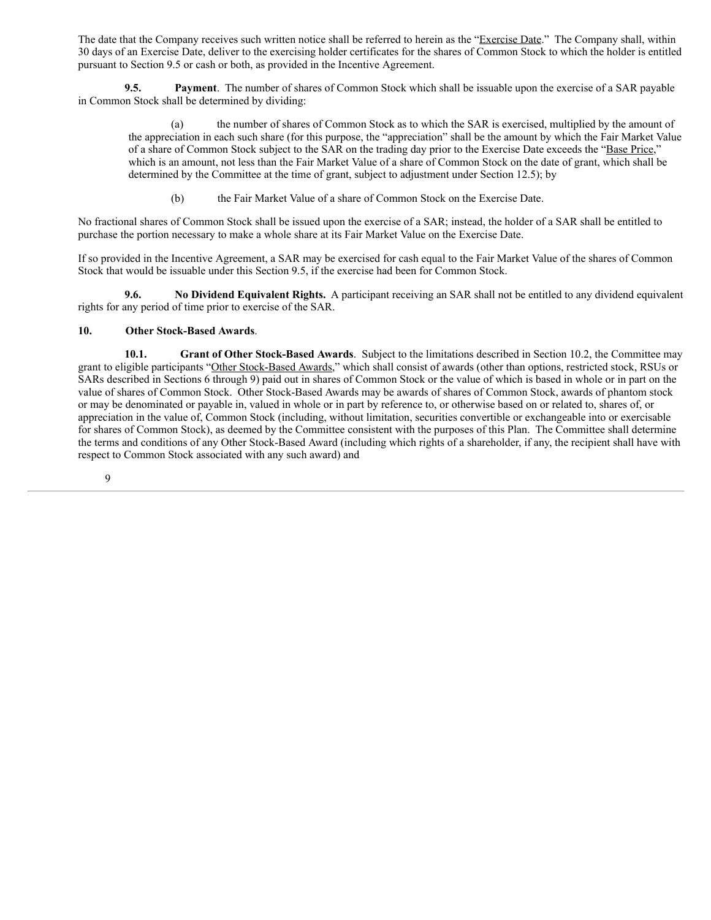The date that the Company receives such written notice shall be referred to herein as the "Exercise Date." The Company shall, within 30 days of an Exercise Date, deliver to the exercising holder certificates for the shares of Common Stock to which the holder is entitled pursuant to Section 9.5 or cash or both, as provided in the Incentive Agreement.

**9.5. Payment**. The number of shares of Common Stock which shall be issuable upon the exercise of a SAR payable in Common Stock shall be determined by dividing:

(a) the number of shares of Common Stock as to which the SAR is exercised, multiplied by the amount of the appreciation in each such share (for this purpose, the "appreciation" shall be the amount by which the Fair Market Value of a share of Common Stock subject to the SAR on the trading day prior to the Exercise Date exceeds the "Base Price," which is an amount, not less than the Fair Market Value of a share of Common Stock on the date of grant, which shall be determined by the Committee at the time of grant, subject to adjustment under Section 12.5); by

(b) the Fair Market Value of a share of Common Stock on the Exercise Date.

No fractional shares of Common Stock shall be issued upon the exercise of a SAR; instead, the holder of a SAR shall be entitled to purchase the portion necessary to make a whole share at its Fair Market Value on the Exercise Date.

If so provided in the Incentive Agreement, a SAR may be exercised for cash equal to the Fair Market Value of the shares of Common Stock that would be issuable under this Section 9.5, if the exercise had been for Common Stock.

**9.6. No Dividend Equivalent Rights.** A participant receiving an SAR shall not be entitled to any dividend equivalent rights for any period of time prior to exercise of the SAR.

# **10. Other Stock-Based Awards**.

**10.1. Grant of Other Stock-Based Awards**. Subject to the limitations described in Section 10.2, the Committee may grant to eligible participants "Other Stock-Based Awards," which shall consist of awards (other than options, restricted stock, RSUs or SARs described in Sections 6 through 9) paid out in shares of Common Stock or the value of which is based in whole or in part on the value of shares of Common Stock. Other Stock-Based Awards may be awards of shares of Common Stock, awards of phantom stock or may be denominated or payable in, valued in whole or in part by reference to, or otherwise based on or related to, shares of, or appreciation in the value of, Common Stock (including, without limitation, securities convertible or exchangeable into or exercisable for shares of Common Stock), as deemed by the Committee consistent with the purposes of this Plan. The Committee shall determine the terms and conditions of any Other Stock-Based Award (including which rights of a shareholder, if any, the recipient shall have with respect to Common Stock associated with any such award) and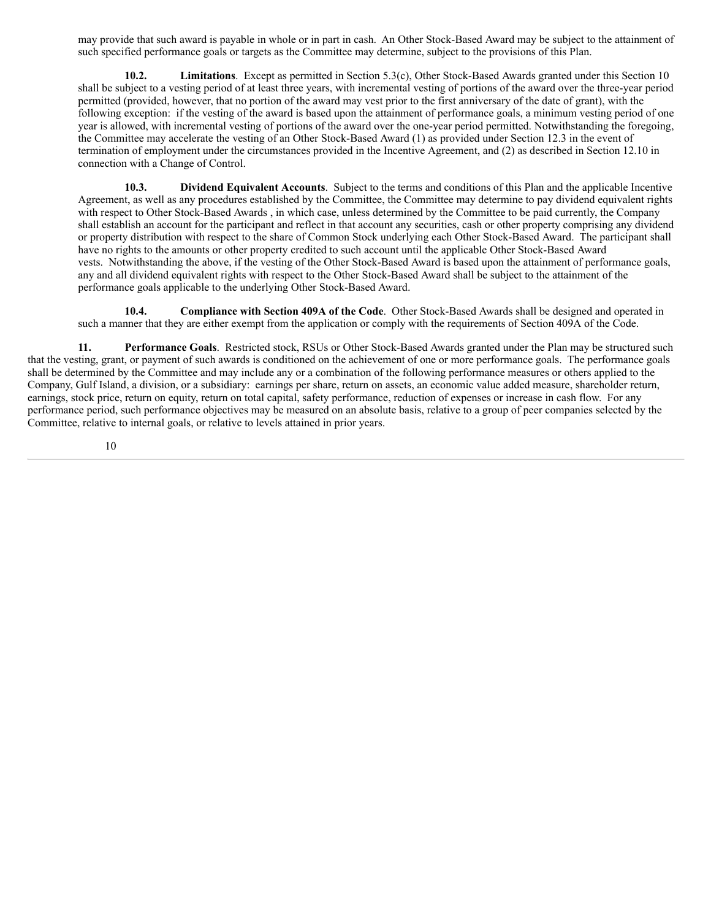may provide that such award is payable in whole or in part in cash. An Other Stock-Based Award may be subject to the attainment of such specified performance goals or targets as the Committee may determine, subject to the provisions of this Plan.

**10.2. Limitations**. Except as permitted in Section 5.3(c), Other Stock-Based Awards granted under this Section 10 shall be subject to a vesting period of at least three years, with incremental vesting of portions of the award over the three-year period permitted (provided, however, that no portion of the award may vest prior to the first anniversary of the date of grant), with the following exception: if the vesting of the award is based upon the attainment of performance goals, a minimum vesting period of one year is allowed, with incremental vesting of portions of the award over the one-year period permitted. Notwithstanding the foregoing, the Committee may accelerate the vesting of an Other Stock-Based Award (1) as provided under Section 12.3 in the event of termination of employment under the circumstances provided in the Incentive Agreement, and (2) as described in Section 12.10 in connection with a Change of Control.

**10.3. Dividend Equivalent Accounts**. Subject to the terms and conditions of this Plan and the applicable Incentive Agreement, as well as any procedures established by the Committee, the Committee may determine to pay dividend equivalent rights with respect to Other Stock-Based Awards , in which case, unless determined by the Committee to be paid currently, the Company shall establish an account for the participant and reflect in that account any securities, cash or other property comprising any dividend or property distribution with respect to the share of Common Stock underlying each Other Stock-Based Award. The participant shall have no rights to the amounts or other property credited to such account until the applicable Other Stock-Based Award vests. Notwithstanding the above, if the vesting of the Other Stock-Based Award is based upon the attainment of performance goals, any and all dividend equivalent rights with respect to the Other Stock-Based Award shall be subject to the attainment of the performance goals applicable to the underlying Other Stock-Based Award.

**10.4. Compliance with Section 409A of the Code**. Other Stock-Based Awards shall be designed and operated in such a manner that they are either exempt from the application or comply with the requirements of Section 409A of the Code.

**11. Performance Goals**. Restricted stock, RSUs or Other Stock-Based Awards granted under the Plan may be structured such that the vesting, grant, or payment of such awards is conditioned on the achievement of one or more performance goals. The performance goals shall be determined by the Committee and may include any or a combination of the following performance measures or others applied to the Company, Gulf Island, a division, or a subsidiary: earnings per share, return on assets, an economic value added measure, shareholder return, earnings, stock price, return on equity, return on total capital, safety performance, reduction of expenses or increase in cash flow. For any performance period, such performance objectives may be measured on an absolute basis, relative to a group of peer companies selected by the Committee, relative to internal goals, or relative to levels attained in prior years.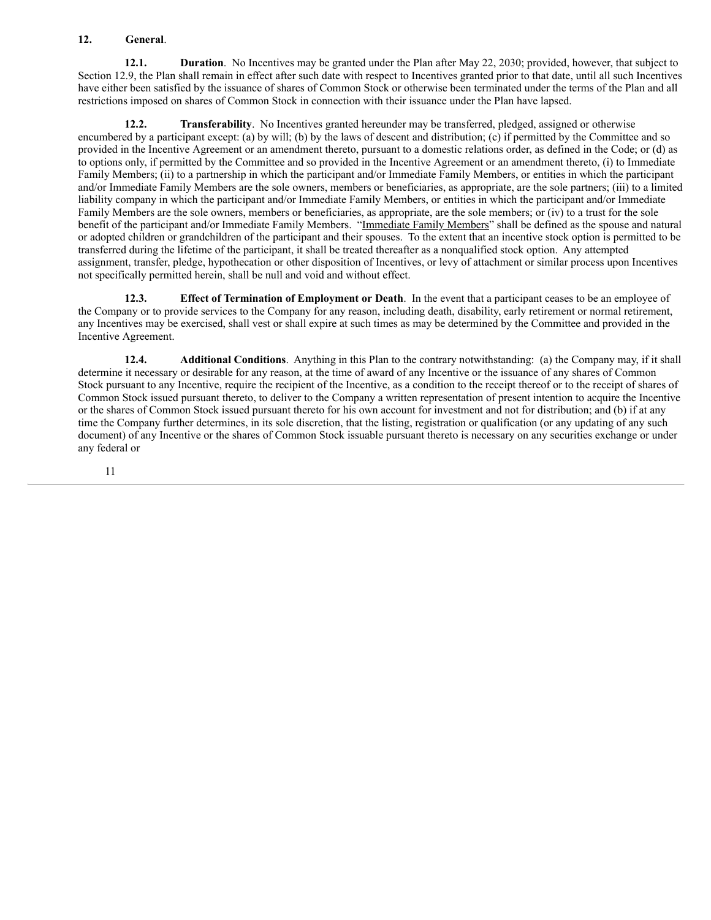# **12. General**.

**12.1. Duration**. No Incentives may be granted under the Plan after May 22, 2030; provided, however, that subject to Section 12.9, the Plan shall remain in effect after such date with respect to Incentives granted prior to that date, until all such Incentives have either been satisfied by the issuance of shares of Common Stock or otherwise been terminated under the terms of the Plan and all restrictions imposed on shares of Common Stock in connection with their issuance under the Plan have lapsed.

**12.2. Transferability**. No Incentives granted hereunder may be transferred, pledged, assigned or otherwise encumbered by a participant except: (a) by will; (b) by the laws of descent and distribution; (c) if permitted by the Committee and so provided in the Incentive Agreement or an amendment thereto, pursuant to a domestic relations order, as defined in the Code; or (d) as to options only, if permitted by the Committee and so provided in the Incentive Agreement or an amendment thereto, (i) to Immediate Family Members; (ii) to a partnership in which the participant and/or Immediate Family Members, or entities in which the participant and/or Immediate Family Members are the sole owners, members or beneficiaries, as appropriate, are the sole partners; (iii) to a limited liability company in which the participant and/or Immediate Family Members, or entities in which the participant and/or Immediate Family Members are the sole owners, members or beneficiaries, as appropriate, are the sole members; or (iv) to a trust for the sole benefit of the participant and/or Immediate Family Members. "Immediate Family Members" shall be defined as the spouse and natural or adopted children or grandchildren of the participant and their spouses. To the extent that an incentive stock option is permitted to be transferred during the lifetime of the participant, it shall be treated thereafter as a nonqualified stock option. Any attempted assignment, transfer, pledge, hypothecation or other disposition of Incentives, or levy of attachment or similar process upon Incentives not specifically permitted herein, shall be null and void and without effect.

**12.3. Effect of Termination of Employment or Death**. In the event that a participant ceases to be an employee of the Company or to provide services to the Company for any reason, including death, disability, early retirement or normal retirement, any Incentives may be exercised, shall vest or shall expire at such times as may be determined by the Committee and provided in the Incentive Agreement.

**12.4. Additional Conditions**. Anything in this Plan to the contrary notwithstanding: (a) the Company may, if it shall determine it necessary or desirable for any reason, at the time of award of any Incentive or the issuance of any shares of Common Stock pursuant to any Incentive, require the recipient of the Incentive, as a condition to the receipt thereof or to the receipt of shares of Common Stock issued pursuant thereto, to deliver to the Company a written representation of present intention to acquire the Incentive or the shares of Common Stock issued pursuant thereto for his own account for investment and not for distribution; and (b) if at any time the Company further determines, in its sole discretion, that the listing, registration or qualification (or any updating of any such document) of any Incentive or the shares of Common Stock issuable pursuant thereto is necessary on any securities exchange or under any federal or

{N3973979.4} 11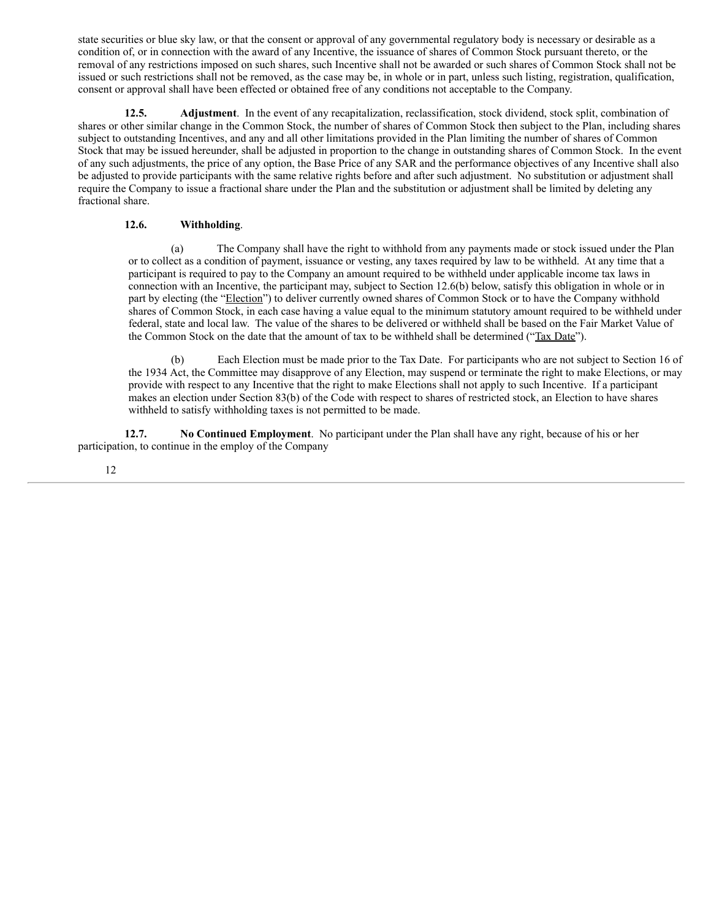state securities or blue sky law, or that the consent or approval of any governmental regulatory body is necessary or desirable as a condition of, or in connection with the award of any Incentive, the issuance of shares of Common Stock pursuant thereto, or the removal of any restrictions imposed on such shares, such Incentive shall not be awarded or such shares of Common Stock shall not be issued or such restrictions shall not be removed, as the case may be, in whole or in part, unless such listing, registration, qualification, consent or approval shall have been effected or obtained free of any conditions not acceptable to the Company.

**12.5. Adjustment**. In the event of any recapitalization, reclassification, stock dividend, stock split, combination of shares or other similar change in the Common Stock, the number of shares of Common Stock then subject to the Plan, including shares subject to outstanding Incentives, and any and all other limitations provided in the Plan limiting the number of shares of Common Stock that may be issued hereunder, shall be adjusted in proportion to the change in outstanding shares of Common Stock. In the event of any such adjustments, the price of any option, the Base Price of any SAR and the performance objectives of any Incentive shall also be adjusted to provide participants with the same relative rights before and after such adjustment. No substitution or adjustment shall require the Company to issue a fractional share under the Plan and the substitution or adjustment shall be limited by deleting any fractional share.

# **12.6. Withholding**.

(a) The Company shall have the right to withhold from any payments made or stock issued under the Plan or to collect as a condition of payment, issuance or vesting, any taxes required by law to be withheld. At any time that a participant is required to pay to the Company an amount required to be withheld under applicable income tax laws in connection with an Incentive, the participant may, subject to Section 12.6(b) below, satisfy this obligation in whole or in part by electing (the "Election") to deliver currently owned shares of Common Stock or to have the Company withhold shares of Common Stock, in each case having a value equal to the minimum statutory amount required to be withheld under federal, state and local law. The value of the shares to be delivered or withheld shall be based on the Fair Market Value of the Common Stock on the date that the amount of tax to be withheld shall be determined ("Tax Date").

(b) Each Election must be made prior to the Tax Date. For participants who are not subject to Section 16 of the 1934 Act, the Committee may disapprove of any Election, may suspend or terminate the right to make Elections, or may provide with respect to any Incentive that the right to make Elections shall not apply to such Incentive. If a participant makes an election under Section 83(b) of the Code with respect to shares of restricted stock, an Election to have shares withheld to satisfy withholding taxes is not permitted to be made.

**12.7. No Continued Employment**. No participant under the Plan shall have any right, because of his or her participation, to continue in the employ of the Company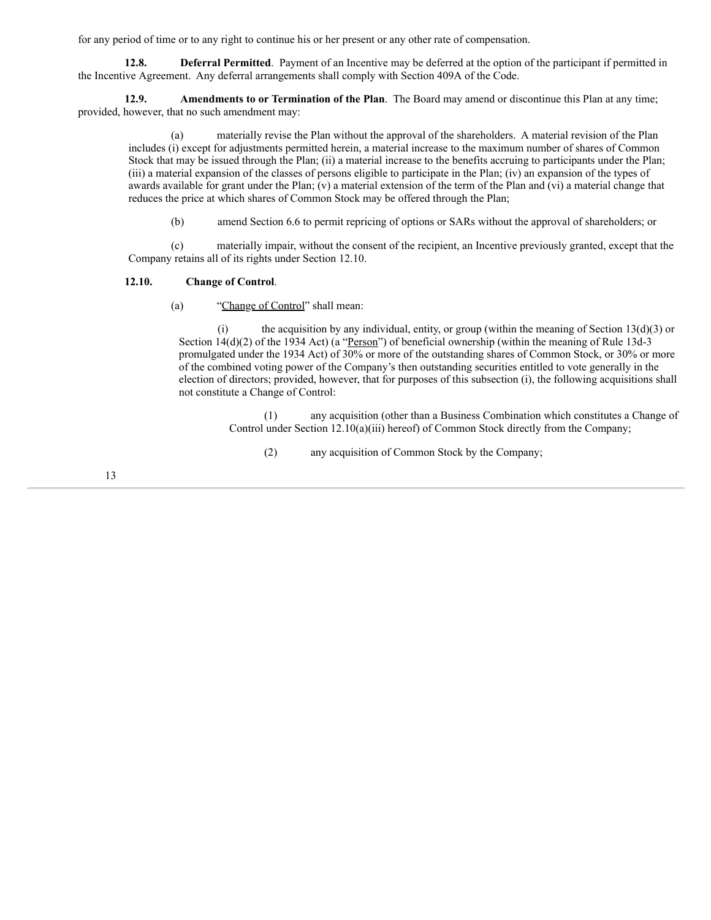for any period of time or to any right to continue his or her present or any other rate of compensation.

**12.8. Deferral Permitted**. Payment of an Incentive may be deferred at the option of the participant if permitted in the Incentive Agreement. Any deferral arrangements shall comply with Section 409A of the Code.

**12.9. Amendments to or Termination of the Plan**. The Board may amend or discontinue this Plan at any time; provided, however, that no such amendment may:

(a) materially revise the Plan without the approval of the shareholders. A material revision of the Plan includes (i) except for adjustments permitted herein, a material increase to the maximum number of shares of Common Stock that may be issued through the Plan; (ii) a material increase to the benefits accruing to participants under the Plan; (iii) a material expansion of the classes of persons eligible to participate in the Plan; (iv) an expansion of the types of awards available for grant under the Plan;  $(v)$  a material extension of the term of the Plan and  $(vi)$  a material change that reduces the price at which shares of Common Stock may be offered through the Plan;

(b) amend Section 6.6 to permit repricing of options or SARs without the approval of shareholders; or

(c) materially impair, without the consent of the recipient, an Incentive previously granted, except that the Company retains all of its rights under Section 12.10.

# **12.10. Change of Control**.

(a) "Change of Control" shall mean:

(i) the acquisition by any individual, entity, or group (within the meaning of Section  $13(d)(3)$  or Section 14(d)(2) of the 1934 Act) (a "<u>Person</u>") of beneficial ownership (within the meaning of Rule 13d-3 promulgated under the 1934 Act) of 30% or more of the outstanding shares of Common Stock, or 30% or more of the combined voting power of the Company's then outstanding securities entitled to vote generally in the election of directors; provided, however, that for purposes of this subsection (i), the following acquisitions shall not constitute a Change of Control:

> (1) any acquisition (other than a Business Combination which constitutes a Change of Control under Section 12.10(a)(iii) hereof) of Common Stock directly from the Company;

(2) any acquisition of Common Stock by the Company;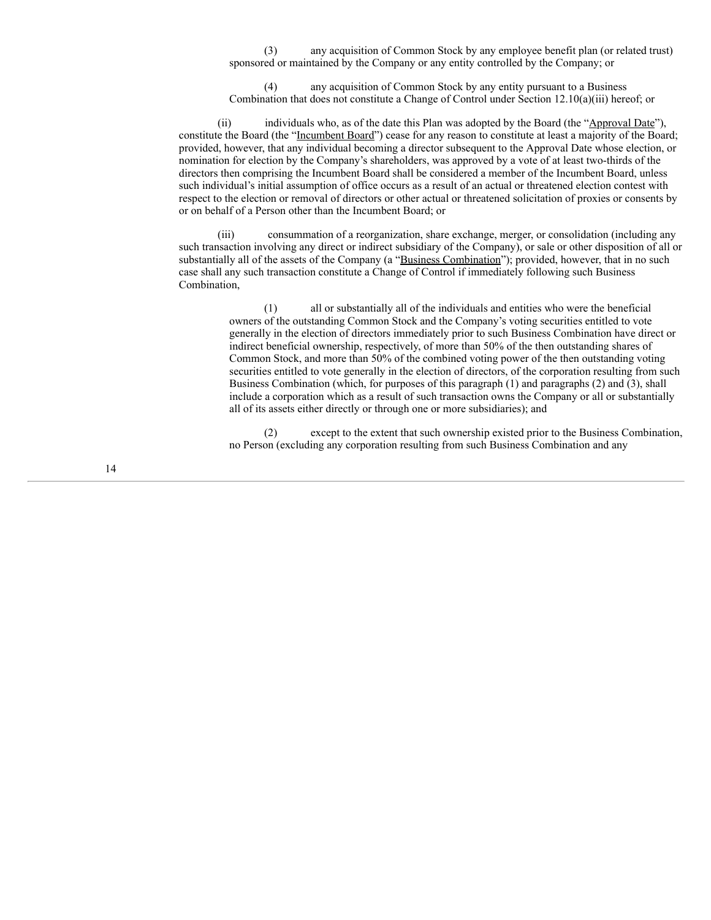(3) any acquisition of Common Stock by any employee benefit plan (or related trust) sponsored or maintained by the Company or any entity controlled by the Company; or

(4) any acquisition of Common Stock by any entity pursuant to a Business Combination that does not constitute a Change of Control under Section 12.10(a)(iii) hereof; or

(ii) individuals who, as of the date this Plan was adopted by the Board (the "Approval Date"), constitute the Board (the "Incumbent Board") cease for any reason to constitute at least a majority of the Board; provided, however, that any individual becoming a director subsequent to the Approval Date whose election, or nomination for election by the Company's shareholders, was approved by a vote of at least two-thirds of the directors then comprising the Incumbent Board shall be considered a member of the Incumbent Board, unless such individual's initial assumption of office occurs as a result of an actual or threatened election contest with respect to the election or removal of directors or other actual or threatened solicitation of proxies or consents by or on behalf of a Person other than the Incumbent Board; or

(iii) consummation of a reorganization, share exchange, merger, or consolidation (including any such transaction involving any direct or indirect subsidiary of the Company), or sale or other disposition of all or substantially all of the assets of the Company (a "Business Combination"); provided, however, that in no such case shall any such transaction constitute a Change of Control if immediately following such Business Combination,

(1) all or substantially all of the individuals and entities who were the beneficial owners of the outstanding Common Stock and the Company's voting securities entitled to vote generally in the election of directors immediately prior to such Business Combination have direct or indirect beneficial ownership, respectively, of more than 50% of the then outstanding shares of Common Stock, and more than 50% of the combined voting power of the then outstanding voting securities entitled to vote generally in the election of directors, of the corporation resulting from such Business Combination (which, for purposes of this paragraph (1) and paragraphs (2) and (3), shall include a corporation which as a result of such transaction owns the Company or all or substantially all of its assets either directly or through one or more subsidiaries); and

(2) except to the extent that such ownership existed prior to the Business Combination, no Person (excluding any corporation resulting from such Business Combination and any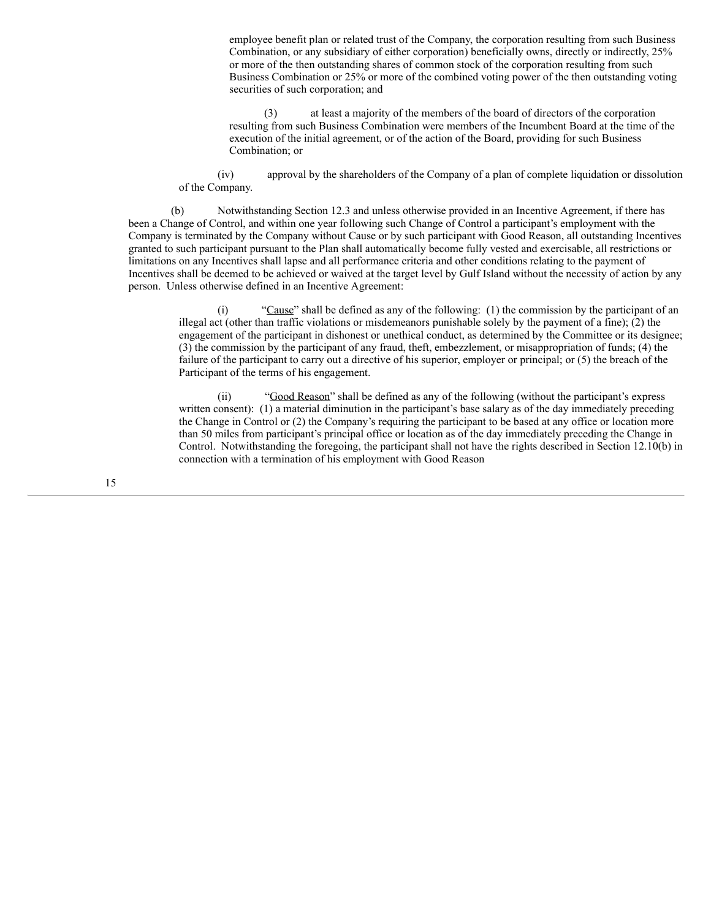employee benefit plan or related trust of the Company, the corporation resulting from such Business Combination, or any subsidiary of either corporation) beneficially owns, directly or indirectly, 25% or more of the then outstanding shares of common stock of the corporation resulting from such Business Combination or 25% or more of the combined voting power of the then outstanding voting securities of such corporation; and

(3) at least a majority of the members of the board of directors of the corporation resulting from such Business Combination were members of the Incumbent Board at the time of the execution of the initial agreement, or of the action of the Board, providing for such Business Combination; or

(iv) approval by the shareholders of the Company of a plan of complete liquidation or dissolution of the Company.

(b) Notwithstanding Section 12.3 and unless otherwise provided in an Incentive Agreement, if there has been a Change of Control, and within one year following such Change of Control a participant's employment with the Company is terminated by the Company without Cause or by such participant with Good Reason, all outstanding Incentives granted to such participant pursuant to the Plan shall automatically become fully vested and exercisable, all restrictions or limitations on any Incentives shall lapse and all performance criteria and other conditions relating to the payment of Incentives shall be deemed to be achieved or waived at the target level by Gulf Island without the necessity of action by any person. Unless otherwise defined in an Incentive Agreement:

(i) "Cause" shall be defined as any of the following: (1) the commission by the participant of an illegal act (other than traffic violations or misdemeanors punishable solely by the payment of a fine); (2) the engagement of the participant in dishonest or unethical conduct, as determined by the Committee or its designee; (3) the commission by the participant of any fraud, theft, embezzlement, or misappropriation of funds; (4) the failure of the participant to carry out a directive of his superior, employer or principal; or (5) the breach of the Participant of the terms of his engagement.

(ii) "Good Reason" shall be defined as any of the following (without the participant's express written consent): (1) a material diminution in the participant's base salary as of the day immediately preceding the Change in Control or (2) the Company's requiring the participant to be based at any office or location more than 50 miles from participant's principal office or location as of the day immediately preceding the Change in Control. Notwithstanding the foregoing, the participant shall not have the rights described in Section 12.10(b) in connection with a termination of his employment with Good Reason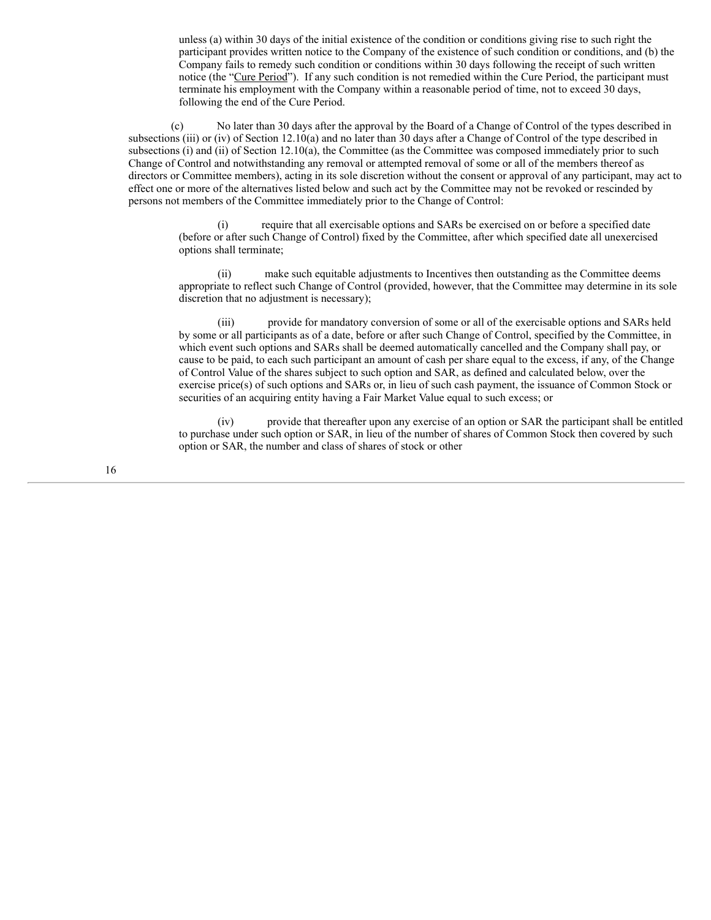unless (a) within 30 days of the initial existence of the condition or conditions giving rise to such right the participant provides written notice to the Company of the existence of such condition or conditions, and (b) the Company fails to remedy such condition or conditions within 30 days following the receipt of such written notice (the "Cure Period"). If any such condition is not remedied within the Cure Period, the participant must terminate his employment with the Company within a reasonable period of time, not to exceed 30 days, following the end of the Cure Period.

(c) No later than 30 days after the approval by the Board of a Change of Control of the types described in subsections (iii) or (iv) of Section 12.10(a) and no later than 30 days after a Change of Control of the type described in subsections (i) and (ii) of Section 12.10(a), the Committee (as the Committee was composed immediately prior to such Change of Control and notwithstanding any removal or attempted removal of some or all of the members thereof as directors or Committee members), acting in its sole discretion without the consent or approval of any participant, may act to effect one or more of the alternatives listed below and such act by the Committee may not be revoked or rescinded by persons not members of the Committee immediately prior to the Change of Control:

(i) require that all exercisable options and SARs be exercised on or before a specified date (before or after such Change of Control) fixed by the Committee, after which specified date all unexercised options shall terminate;

(ii) make such equitable adjustments to Incentives then outstanding as the Committee deems appropriate to reflect such Change of Control (provided, however, that the Committee may determine in its sole discretion that no adjustment is necessary);

(iii) provide for mandatory conversion of some or all of the exercisable options and SARs held by some or all participants as of a date, before or after such Change of Control, specified by the Committee, in which event such options and SARs shall be deemed automatically cancelled and the Company shall pay, or cause to be paid, to each such participant an amount of cash per share equal to the excess, if any, of the Change of Control Value of the shares subject to such option and SAR, as defined and calculated below, over the exercise price(s) of such options and SARs or, in lieu of such cash payment, the issuance of Common Stock or securities of an acquiring entity having a Fair Market Value equal to such excess; or

(iv) provide that thereafter upon any exercise of an option or SAR the participant shall be entitled to purchase under such option or SAR, in lieu of the number of shares of Common Stock then covered by such option or SAR, the number and class of shares of stock or other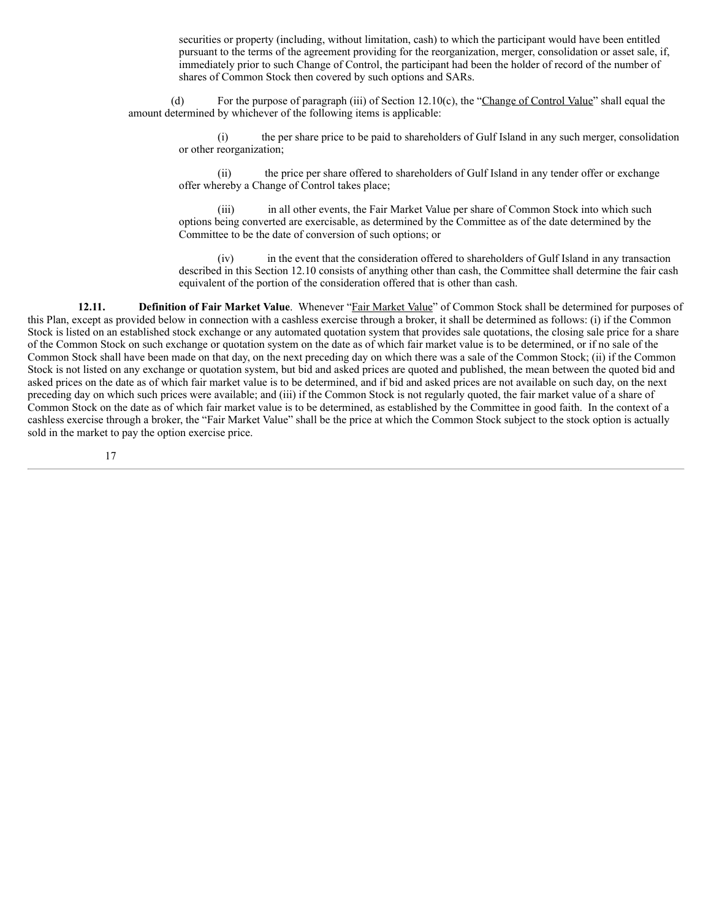securities or property (including, without limitation, cash) to which the participant would have been entitled pursuant to the terms of the agreement providing for the reorganization, merger, consolidation or asset sale, if, immediately prior to such Change of Control, the participant had been the holder of record of the number of shares of Common Stock then covered by such options and SARs.

(d) For the purpose of paragraph (iii) of Section 12.10(c), the "Change of Control Value" shall equal the amount determined by whichever of the following items is applicable:

(i) the per share price to be paid to shareholders of Gulf Island in any such merger, consolidation or other reorganization;

(ii) the price per share offered to shareholders of Gulf Island in any tender offer or exchange offer whereby a Change of Control takes place;

(iii) in all other events, the Fair Market Value per share of Common Stock into which such options being converted are exercisable, as determined by the Committee as of the date determined by the Committee to be the date of conversion of such options; or

(iv) in the event that the consideration offered to shareholders of Gulf Island in any transaction described in this Section 12.10 consists of anything other than cash, the Committee shall determine the fair cash equivalent of the portion of the consideration offered that is other than cash.

**12.11. Definition of Fair Market Value**. Whenever "Fair Market Value" of Common Stock shall be determined for purposes of this Plan, except as provided below in connection with a cashless exercise through a broker, it shall be determined as follows: (i) if the Common Stock is listed on an established stock exchange or any automated quotation system that provides sale quotations, the closing sale price for a share of the Common Stock on such exchange or quotation system on the date as of which fair market value is to be determined, or if no sale of the Common Stock shall have been made on that day, on the next preceding day on which there was a sale of the Common Stock; (ii) if the Common Stock is not listed on any exchange or quotation system, but bid and asked prices are quoted and published, the mean between the quoted bid and asked prices on the date as of which fair market value is to be determined, and if bid and asked prices are not available on such day, on the next preceding day on which such prices were available; and (iii) if the Common Stock is not regularly quoted, the fair market value of a share of Common Stock on the date as of which fair market value is to be determined, as established by the Committee in good faith. In the context of a cashless exercise through a broker, the "Fair Market Value" shall be the price at which the Common Stock subject to the stock option is actually sold in the market to pay the option exercise price.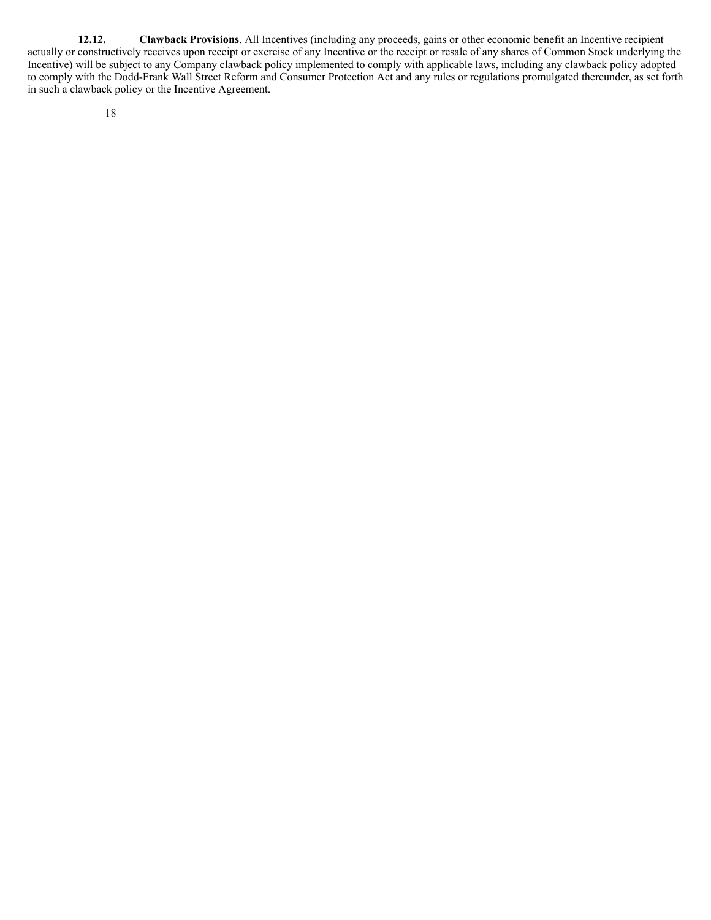**12.12. Clawback Provisions**. All Incentives (including any proceeds, gains or other economic benefit an Incentive recipient actually or constructively receives upon receipt or exercise of any Incentive or the receipt or resale of any shares of Common Stock underlying the Incentive) will be subject to any Company clawback policy implemented to comply with applicable laws, including any clawback policy adopted to comply with the Dodd-Frank Wall Street Reform and Consumer Protection Act and any rules or regulations promulgated thereunder, as set forth in such a clawback policy or the Incentive Agreement.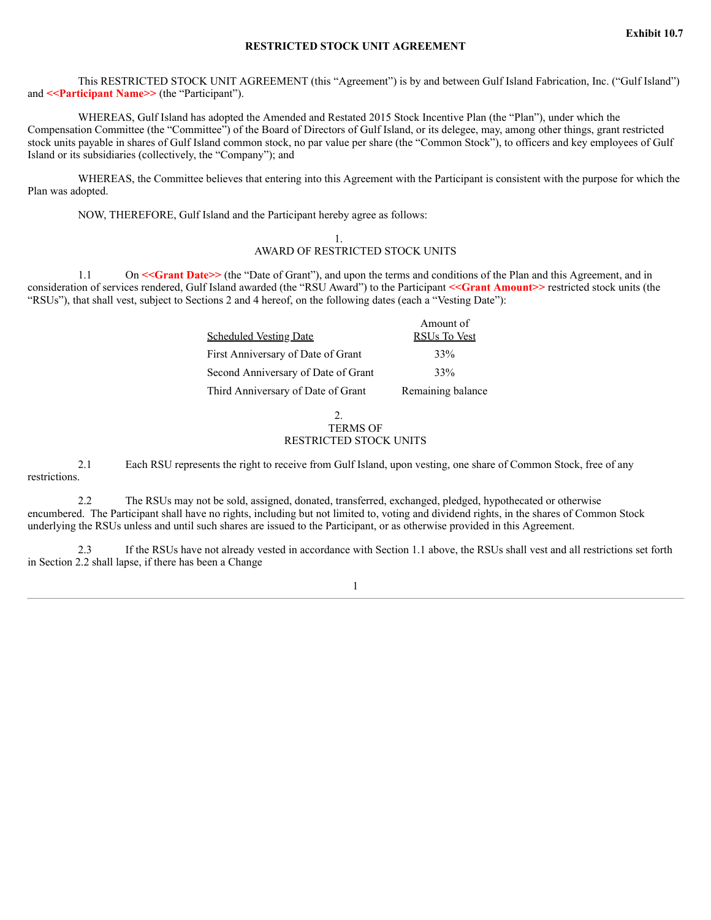## **RESTRICTED STOCK UNIT AGREEMENT**

This RESTRICTED STOCK UNIT AGREEMENT (this "Agreement") is by and between Gulf Island Fabrication, Inc. ("Gulf Island") and **<<Participant Name>>** (the "Participant").

WHEREAS, Gulf Island has adopted the Amended and Restated 2015 Stock Incentive Plan (the "Plan"), under which the Compensation Committee (the "Committee") of the Board of Directors of Gulf Island, or its delegee, may, among other things, grant restricted stock units payable in shares of Gulf Island common stock, no par value per share (the "Common Stock"), to officers and key employees of Gulf Island or its subsidiaries (collectively, the "Company"); and

WHEREAS, the Committee believes that entering into this Agreement with the Participant is consistent with the purpose for which the Plan was adopted.

NOW, THEREFORE, Gulf Island and the Participant hereby agree as follows:

## 1. AWARD OF RESTRICTED STOCK UNITS

1.1 On <<Grant Date>> (the "Date of Grant"), and upon the terms and conditions of the Plan and this Agreement, and in consideration of services rendered, Gulf Island awarded (the "RSU Award") to the Participant **<<Grant Amount>>** restricted stock units (the "RSUs"), that shall vest, subject to Sections 2 and 4 hereof, on the following dates (each a "Vesting Date"):

| Amount of<br>RSUs To Vest |
|---------------------------|
| 33%                       |
| 33%                       |
| Remaining balance         |
|                           |

## $\mathcal{L}$ TERMS OF RESTRICTED STOCK UNITS

2.1 Each RSU represents the right to receive from Gulf Island, upon vesting, one share of Common Stock, free of any restrictions.

2.2 The RSUs may not be sold, assigned, donated, transferred, exchanged, pledged, hypothecated or otherwise encumbered. The Participant shall have no rights, including but not limited to, voting and dividend rights, in the shares of Common Stock underlying the RSUs unless and until such shares are issued to the Participant, or as otherwise provided in this Agreement.

2.3 If the RSUs have not already vested in accordance with Section 1.1 above, the RSUs shall vest and all restrictions set forth in Section 2.2 shall lapse, if there has been a Change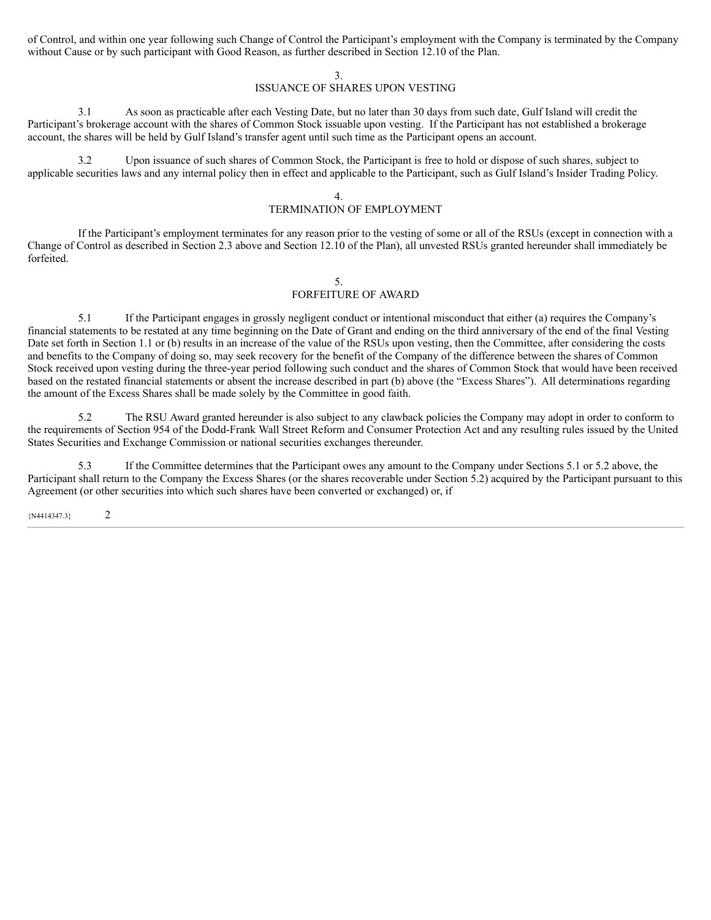of Control, and within one year following such Change of Control the Participant's employment with the Company is terminated by the Company without Cause or by such participant with Good Reason, as further described in Section 12.10 of the Plan.

### 3.

# ISSUANCE OF SHARES UPON VESTING

3.1 As soon as practicable after each Vesting Date, but no later than 30 days from such date, Gulf Island will credit the Participant's brokerage account with the shares of Common Stock issuable upon vesting. If the Participant has not established a brokerage account, the shares will be held by Gulf Island's transfer agent until such time as the Participant opens an account.

3.2 Upon issuance of such shares of Common Stock, the Participant is free to hold or dispose of such shares, subject to applicable securities laws and any internal policy then in effect and applicable to the Participant, such as Gulf Island's Insider Trading Policy.

4.

## TERMINATION OF EMPLOYMENT

If the Participant's employment terminates for any reason prior to the vesting of some or all of the RSUs (except in connection with a Change of Control as described in Section 2.3 above and Section 12.10 of the Plan), all unvested RSUs granted hereunder shall immediately be forfeited.

### 5.

# FORFEITURE OF AWARD

5.1 If the Participant engages in grossly negligent conduct or intentional misconduct that either (a) requires the Company's financial statements to be restated at any time beginning on the Date of Grant and ending on the third anniversary of the end of the final Vesting Date set forth in Section 1.1 or (b) results in an increase of the value of the RSUs upon vesting, then the Committee, after considering the costs and benefits to the Company of doing so, may seek recovery for the benefit of the Company of the difference between the shares of Common Stock received upon vesting during the three-year period following such conduct and the shares of Common Stock that would have been received based on the restated financial statements or absent the increase described in part (b) above (the "Excess Shares"). All determinations regarding the amount of the Excess Shares shall be made solely by the Committee in good faith.

5.2 The RSU Award granted hereunder is also subject to any clawback policies the Company may adopt in order to conform to the requirements of Section 954 of the Dodd-Frank Wall Street Reform and Consumer Protection Act and any resulting rules issued by the United States Securities and Exchange Commission or national securities exchanges thereunder.

5.3 If the Committee determines that the Participant owes any amount to the Company under Sections 5.1 or 5.2 above, the Participant shall return to the Company the Excess Shares (or the shares recoverable under Section 5.2) acquired by the Participant pursuant to this Agreement (or other securities into which such shares have been converted or exchanged) or, if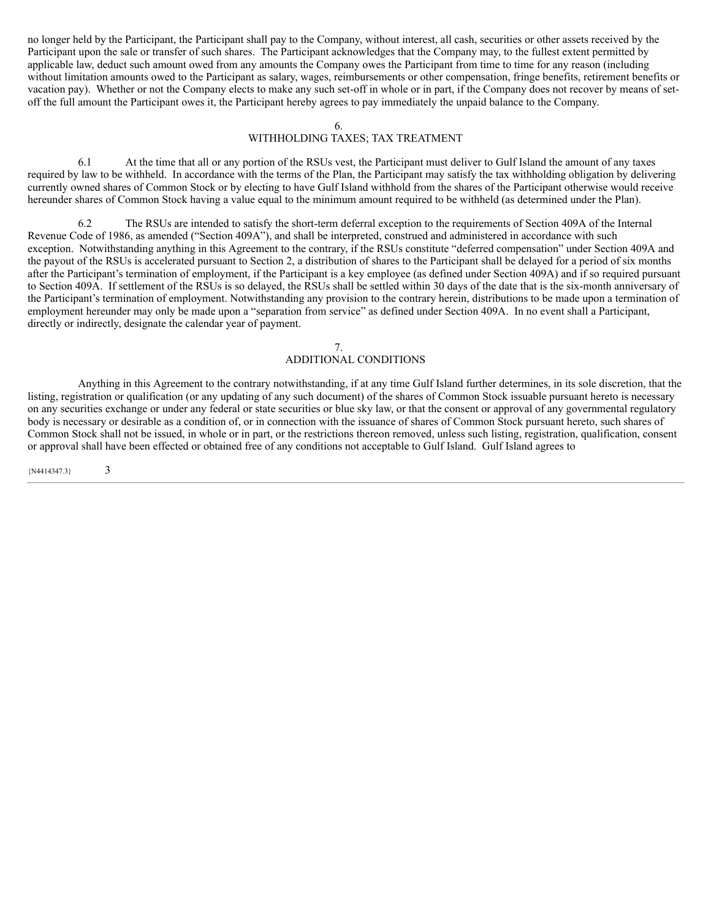no longer held by the Participant, the Participant shall pay to the Company, without interest, all cash, securities or other assets received by the Participant upon the sale or transfer of such shares. The Participant acknowledges that the Company may, to the fullest extent permitted by applicable law, deduct such amount owed from any amounts the Company owes the Participant from time to time for any reason (including without limitation amounts owed to the Participant as salary, wages, reimbursements or other compensation, fringe benefits, retirement benefits or vacation pay). Whether or not the Company elects to make any such set-off in whole or in part, if the Company does not recover by means of setoff the full amount the Participant owes it, the Participant hereby agrees to pay immediately the unpaid balance to the Company.

### 6.

# WITHHOLDING TAXES; TAX TREATMENT

6.1 At the time that all or any portion of the RSUs vest, the Participant must deliver to Gulf Island the amount of any taxes required by law to be withheld. In accordance with the terms of the Plan, the Participant may satisfy the tax withholding obligation by delivering currently owned shares of Common Stock or by electing to have Gulf Island withhold from the shares of the Participant otherwise would receive hereunder shares of Common Stock having a value equal to the minimum amount required to be withheld (as determined under the Plan).

6.2 The RSUs are intended to satisfy the short-term deferral exception to the requirements of Section 409A of the Internal Revenue Code of 1986, as amended ("Section 409A"), and shall be interpreted, construed and administered in accordance with such exception. Notwithstanding anything in this Agreement to the contrary, if the RSUs constitute "deferred compensation" under Section 409A and the payout of the RSUs is accelerated pursuant to Section 2, a distribution of shares to the Participant shall be delayed for a period of six months after the Participant's termination of employment, if the Participant is a key employee (as defined under Section 409A) and if so required pursuant to Section 409A. If settlement of the RSUs is so delayed, the RSUs shall be settled within 30 days of the date that is the six-month anniversary of the Participant's termination of employment. Notwithstanding any provision to the contrary herein, distributions to be made upon a termination of employment hereunder may only be made upon a "separation from service" as defined under Section 409A. In no event shall a Participant, directly or indirectly, designate the calendar year of payment.

## 7. ADDITIONAL CONDITIONS

Anything in this Agreement to the contrary notwithstanding, if at any time Gulf Island further determines, in its sole discretion, that the listing, registration or qualification (or any updating of any such document) of the shares of Common Stock issuable pursuant hereto is necessary on any securities exchange or under any federal or state securities or blue sky law, or that the consent or approval of any governmental regulatory body is necessary or desirable as a condition of, or in connection with the issuance of shares of Common Stock pursuant hereto, such shares of Common Stock shall not be issued, in whole or in part, or the restrictions thereon removed, unless such listing, registration, qualification, consent or approval shall have been effected or obtained free of any conditions not acceptable to Gulf Island. Gulf Island agrees to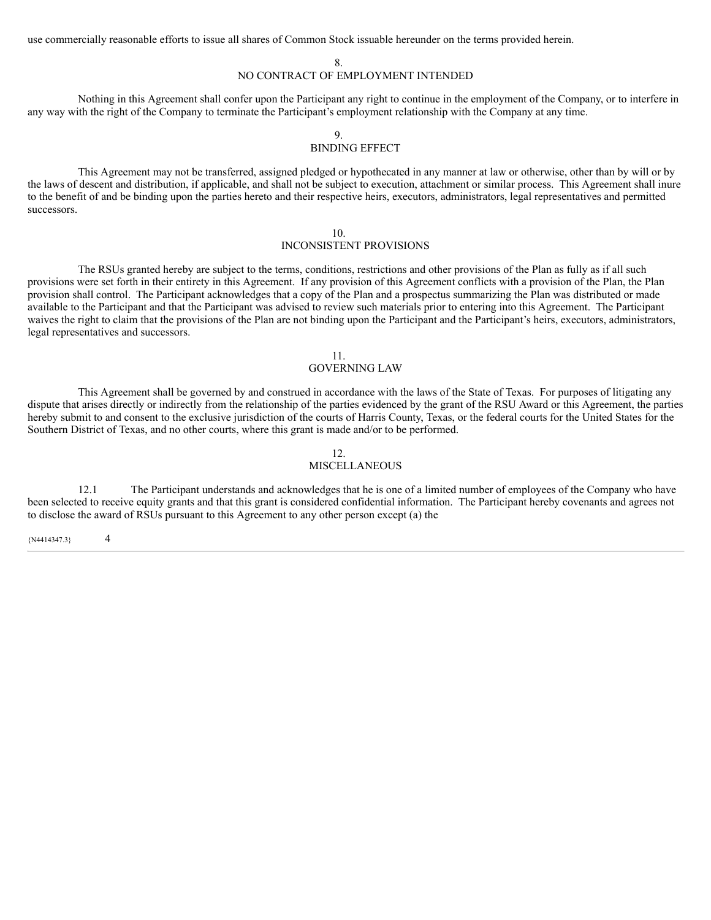use commercially reasonable efforts to issue all shares of Common Stock issuable hereunder on the terms provided herein.

8.

# NO CONTRACT OF EMPLOYMENT INTENDED

Nothing in this Agreement shall confer upon the Participant any right to continue in the employment of the Company, or to interfere in any way with the right of the Company to terminate the Participant's employment relationship with the Company at any time.

# 9.

# BINDING EFFECT

This Agreement may not be transferred, assigned pledged or hypothecated in any manner at law or otherwise, other than by will or by the laws of descent and distribution, if applicable, and shall not be subject to execution, attachment or similar process. This Agreement shall inure to the benefit of and be binding upon the parties hereto and their respective heirs, executors, administrators, legal representatives and permitted successors.

### 10.

## INCONSISTENT PROVISIONS

The RSUs granted hereby are subject to the terms, conditions, restrictions and other provisions of the Plan as fully as if all such provisions were set forth in their entirety in this Agreement. If any provision of this Agreement conflicts with a provision of the Plan, the Plan provision shall control. The Participant acknowledges that a copy of the Plan and a prospectus summarizing the Plan was distributed or made available to the Participant and that the Participant was advised to review such materials prior to entering into this Agreement. The Participant waives the right to claim that the provisions of the Plan are not binding upon the Participant and the Participant's heirs, executors, administrators, legal representatives and successors.

### 11.

# GOVERNING LAW

This Agreement shall be governed by and construed in accordance with the laws of the State of Texas. For purposes of litigating any dispute that arises directly or indirectly from the relationship of the parties evidenced by the grant of the RSU Award or this Agreement, the parties hereby submit to and consent to the exclusive jurisdiction of the courts of Harris County, Texas, or the federal courts for the United States for the Southern District of Texas, and no other courts, where this grant is made and/or to be performed.

## 12.

# MISCELLANEOUS

12.1 The Participant understands and acknowledges that he is one of a limited number of employees of the Company who have been selected to receive equity grants and that this grant is considered confidential information. The Participant hereby covenants and agrees not to disclose the award of RSUs pursuant to this Agreement to any other person except (a) the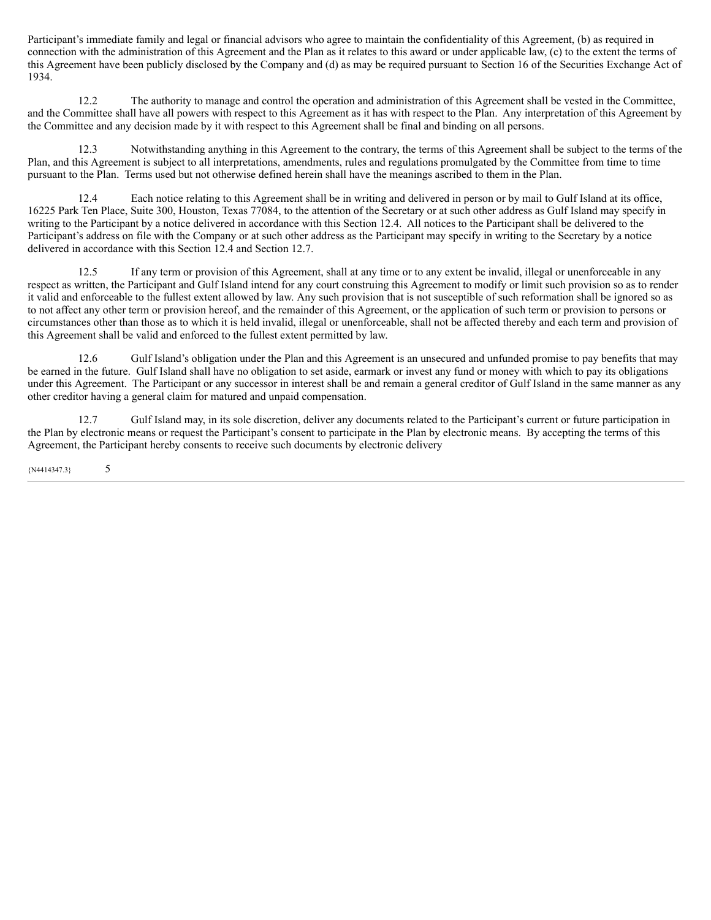Participant's immediate family and legal or financial advisors who agree to maintain the confidentiality of this Agreement, (b) as required in connection with the administration of this Agreement and the Plan as it relates to this award or under applicable law, (c) to the extent the terms of this Agreement have been publicly disclosed by the Company and (d) as may be required pursuant to Section 16 of the Securities Exchange Act of 1934.

12.2 The authority to manage and control the operation and administration of this Agreement shall be vested in the Committee, and the Committee shall have all powers with respect to this Agreement as it has with respect to the Plan. Any interpretation of this Agreement by the Committee and any decision made by it with respect to this Agreement shall be final and binding on all persons.

12.3 Notwithstanding anything in this Agreement to the contrary, the terms of this Agreement shall be subject to the terms of the Plan, and this Agreement is subject to all interpretations, amendments, rules and regulations promulgated by the Committee from time to time pursuant to the Plan. Terms used but not otherwise defined herein shall have the meanings ascribed to them in the Plan.

12.4 Each notice relating to this Agreement shall be in writing and delivered in person or by mail to Gulf Island at its office, 16225 Park Ten Place, Suite 300, Houston, Texas 77084, to the attention of the Secretary or at such other address as Gulf Island may specify in writing to the Participant by a notice delivered in accordance with this Section 12.4. All notices to the Participant shall be delivered to the Participant's address on file with the Company or at such other address as the Participant may specify in writing to the Secretary by a notice delivered in accordance with this Section 12.4 and Section 12.7.

12.5 If any term or provision of this Agreement, shall at any time or to any extent be invalid, illegal or unenforceable in any respect as written, the Participant and Gulf Island intend for any court construing this Agreement to modify or limit such provision so as to render it valid and enforceable to the fullest extent allowed by law. Any such provision that is not susceptible of such reformation shall be ignored so as to not affect any other term or provision hereof, and the remainder of this Agreement, or the application of such term or provision to persons or circumstances other than those as to which it is held invalid, illegal or unenforceable, shall not be affected thereby and each term and provision of this Agreement shall be valid and enforced to the fullest extent permitted by law.

12.6 Gulf Island's obligation under the Plan and this Agreement is an unsecured and unfunded promise to pay benefits that may be earned in the future. Gulf Island shall have no obligation to set aside, earmark or invest any fund or money with which to pay its obligations under this Agreement. The Participant or any successor in interest shall be and remain a general creditor of Gulf Island in the same manner as any other creditor having a general claim for matured and unpaid compensation.

12.7 Gulf Island may, in its sole discretion, deliver any documents related to the Participant's current or future participation in the Plan by electronic means or request the Participant's consent to participate in the Plan by electronic means. By accepting the terms of this Agreement, the Participant hereby consents to receive such documents by electronic delivery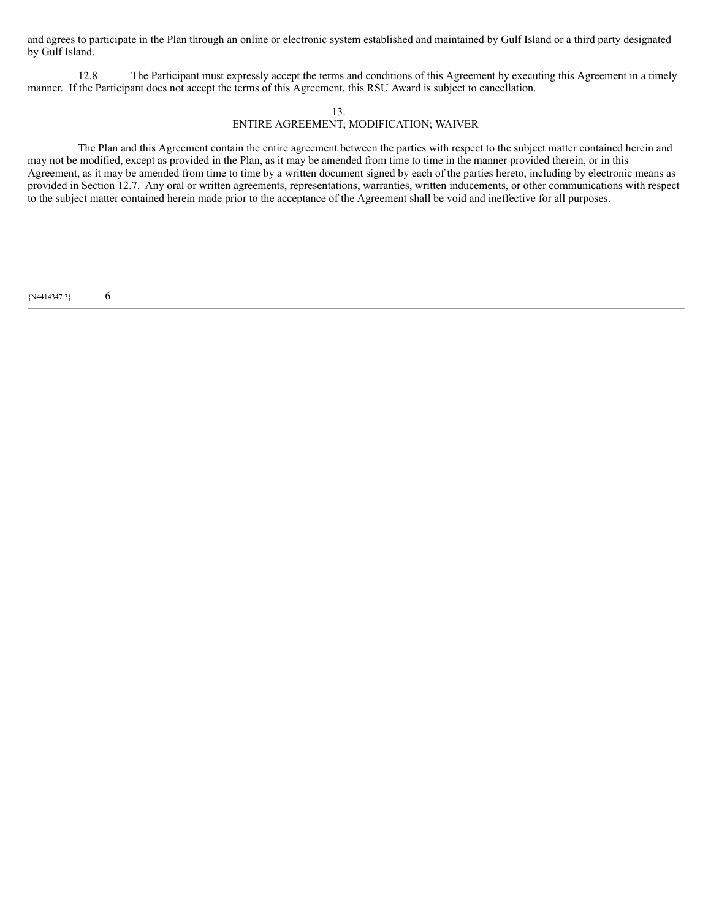and agrees to participate in the Plan through an online or electronic system established and maintained by Gulf Island or a third party designated by Gulf Island.

12.8 The Participant must expressly accept the terms and conditions of this Agreement by executing this Agreement in a timely manner. If the Participant does not accept the terms of this Agreement, this RSU Award is subject to cancellation.

## 13. ENTIRE AGREEMENT; MODIFICATION; WAIVER

The Plan and this Agreement contain the entire agreement between the parties with respect to the subject matter contained herein and may not be modified, except as provided in the Plan, as it may be amended from time to time in the manner provided therein, or in this Agreement, as it may be amended from time to time by a written document signed by each of the parties hereto, including by electronic means as provided in Section 12.7. Any oral or written agreements, representations, warranties, written inducements, or other communications with respect to the subject matter contained herein made prior to the acceptance of the Agreement shall be void and ineffective for all purposes.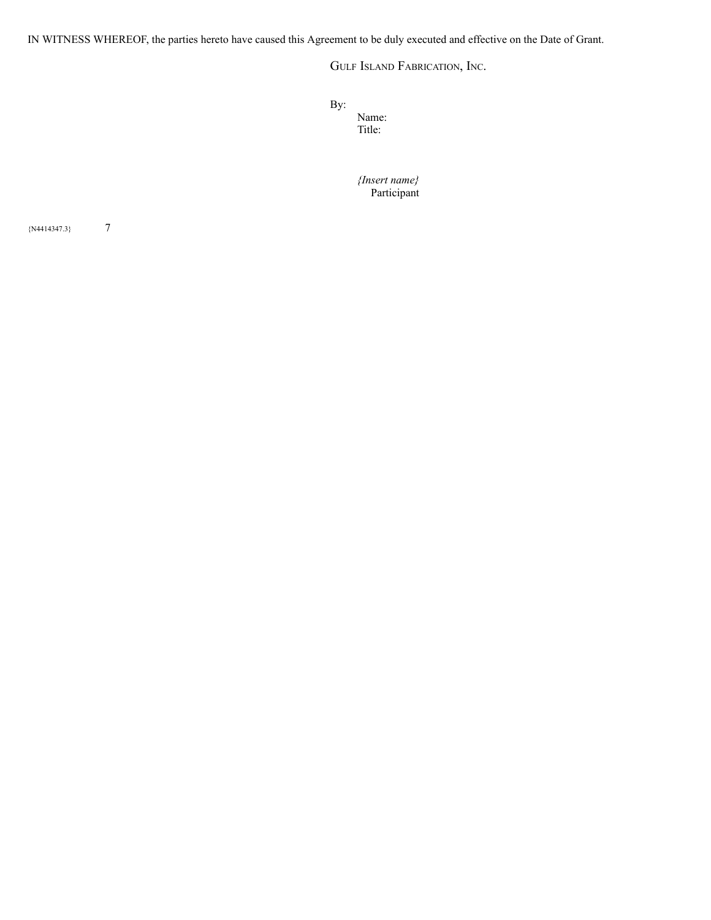IN WITNESS WHEREOF, the parties hereto have caused this Agreement to be duly executed and effective on the Date of Grant.

GULF ISLAND FABRICATION, INC.

By:

Name: Title:

*{Insert name}* Participant

 ${N4414347.3}$  7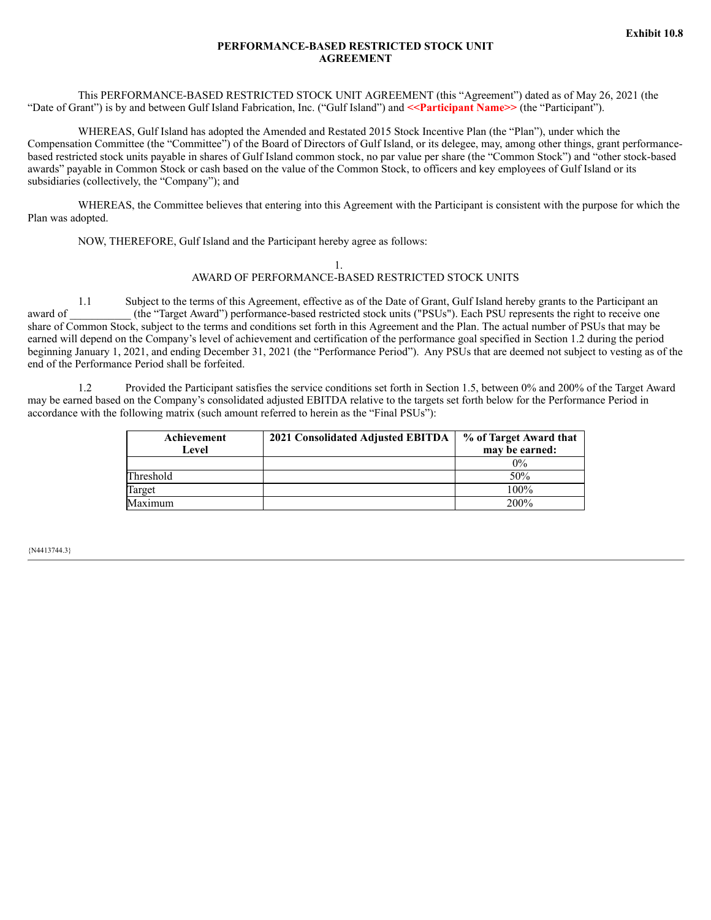## **PERFORMANCE-BASED RESTRICTED STOCK UNIT AGREEMENT**

This PERFORMANCE-BASED RESTRICTED STOCK UNIT AGREEMENT (this "Agreement") dated as of May 26, 2021 (the "Date of Grant") is by and between Gulf Island Fabrication, Inc. ("Gulf Island") and <<**Participant Name>>** (the "Participant").

WHEREAS, Gulf Island has adopted the Amended and Restated 2015 Stock Incentive Plan (the "Plan"), under which the Compensation Committee (the "Committee") of the Board of Directors of Gulf Island, or its delegee, may, among other things, grant performancebased restricted stock units payable in shares of Gulf Island common stock, no par value per share (the "Common Stock") and "other stock-based awards" payable in Common Stock or cash based on the value of the Common Stock, to officers and key employees of Gulf Island or its subsidiaries (collectively, the "Company"); and

WHEREAS, the Committee believes that entering into this Agreement with the Participant is consistent with the purpose for which the Plan was adopted.

NOW, THEREFORE, Gulf Island and the Participant hereby agree as follows:

### 1. AWARD OF PERFORMANCE-BASED RESTRICTED STOCK UNITS

1.1 Subject to the terms of this Agreement, effective as of the Date of Grant, Gulf Island hereby grants to the Participant an award of  $(the "Target Award")$  performance-based restricted stock units ("PSUs"). Each PSU represents the right to receive one share of Common Stock, subject to the terms and conditions set forth in this Agreement and the Plan. The actual number of PSUs that may be earned will depend on the Company's level of achievement and certification of the performance goal specified in Section 1.2 during the period beginning January 1, 2021, and ending December 31, 2021 (the "Performance Period"). Any PSUs that are deemed not subject to vesting as of the end of the Performance Period shall be forfeited.

1.2 Provided the Participant satisfies the service conditions set forth in Section 1.5, between 0% and 200% of the Target Award may be earned based on the Company's consolidated adjusted EBITDA relative to the targets set forth below for the Performance Period in accordance with the following matrix (such amount referred to herein as the "Final PSUs"):

| Achievement<br>Level | 2021 Consolidated Adjusted EBITDA | % of Target Award that<br>may be earned: |
|----------------------|-----------------------------------|------------------------------------------|
|                      |                                   | $0\%$                                    |
| Threshold            |                                   | 50%                                      |
| Target               |                                   | $100\%$                                  |
| Maximum              |                                   | 200%                                     |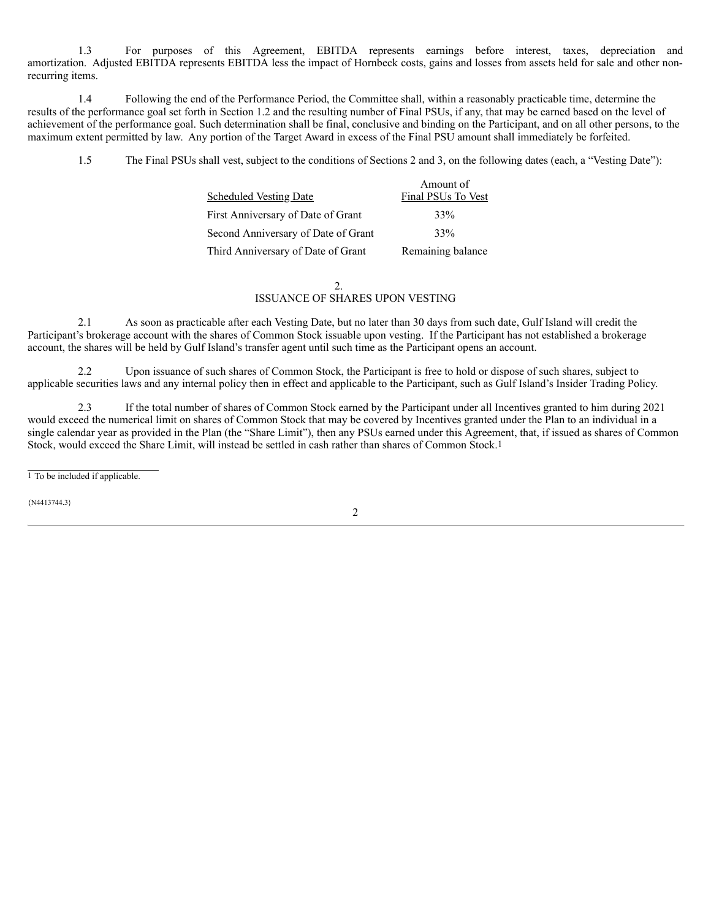1.3 For purposes of this Agreement, EBITDA represents earnings before interest, taxes, depreciation and amortization. Adjusted EBITDA represents EBITDA less the impact of Hornbeck costs, gains and losses from assets held for sale and other nonrecurring items.

1.4 Following the end of the Performance Period, the Committee shall, within a reasonably practicable time, determine the results of the performance goal set forth in Section 1.2 and the resulting number of Final PSUs, if any, that may be earned based on the level of achievement of the performance goal. Such determination shall be final, conclusive and binding on the Participant, and on all other persons, to the maximum extent permitted by law. Any portion of the Target Award in excess of the Final PSU amount shall immediately be forfeited.

1.5 The Final PSUs shall vest, subject to the conditions of Sections 2 and 3, on the following dates (each, a "Vesting Date"):

|                                     | Amount of          |
|-------------------------------------|--------------------|
| <b>Scheduled Vesting Date</b>       | Final PSUs To Vest |
| First Anniversary of Date of Grant  | 33%                |
| Second Anniversary of Date of Grant | 33%                |
| Third Anniversary of Date of Grant  | Remaining balance  |

#### 2. ISSUANCE OF SHARES UPON VESTING

2.1 As soon as practicable after each Vesting Date, but no later than 30 days from such date, Gulf Island will credit the Participant's brokerage account with the shares of Common Stock issuable upon vesting. If the Participant has not established a brokerage account, the shares will be held by Gulf Island's transfer agent until such time as the Participant opens an account.

2.2 Upon issuance of such shares of Common Stock, the Participant is free to hold or dispose of such shares, subject to applicable securities laws and any internal policy then in effect and applicable to the Participant, such as Gulf Island's Insider Trading Policy.

2.3 If the total number of shares of Common Stock earned by the Participant under all Incentives granted to him during 2021 would exceed the numerical limit on shares of Common Stock that may be covered by Incentives granted under the Plan to an individual in a single calendar year as provided in the Plan (the "Share Limit"), then any PSUs earned under this Agreement, that, if issued as shares of Common Stock, would exceed the Share Limit, will instead be settled in cash rather than shares of Common Stock.1

1 To be included if applicable.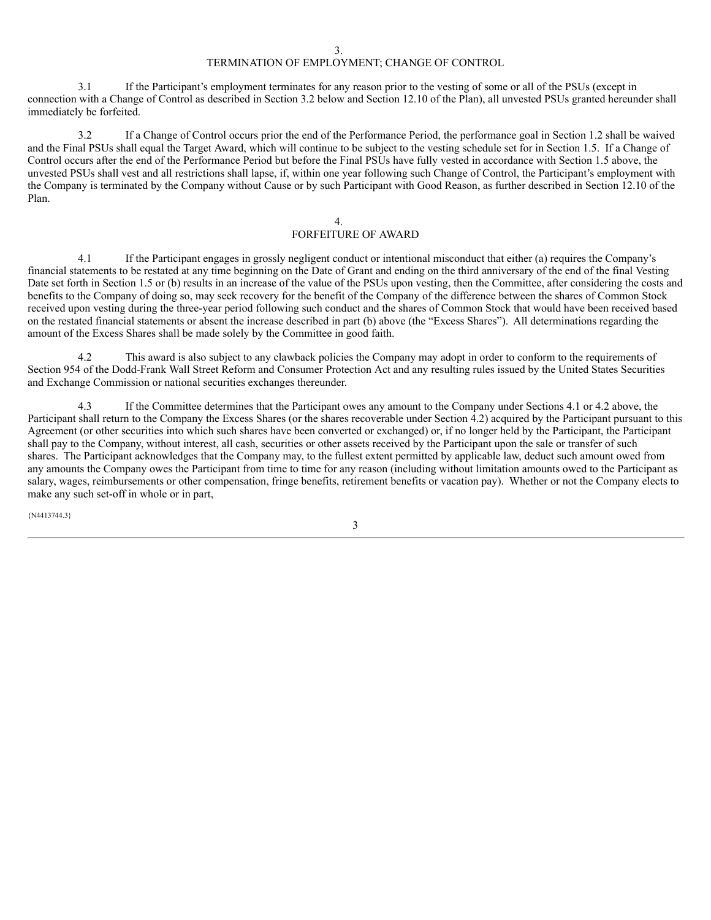# TERMINATION OF EMPLOYMENT; CHANGE OF CONTROL

3.1 If the Participant's employment terminates for any reason prior to the vesting of some or all of the PSUs (except in connection with a Change of Control as described in Section 3.2 below and Section 12.10 of the Plan), all unvested PSUs granted hereunder shall immediately be forfeited.

3.2 If a Change of Control occurs prior the end of the Performance Period, the performance goal in Section 1.2 shall be waived and the Final PSUs shall equal the Target Award, which will continue to be subject to the vesting schedule set for in Section 1.5. If a Change of Control occurs after the end of the Performance Period but before the Final PSUs have fully vested in accordance with Section 1.5 above, the unvested PSUs shall vest and all restrictions shall lapse, if, within one year following such Change of Control, the Participant's employment with the Company is terminated by the Company without Cause or by such Participant with Good Reason, as further described in Section 12.10 of the Plan.

#### 4.

# FORFEITURE OF AWARD

4.1 If the Participant engages in grossly negligent conduct or intentional misconduct that either (a) requires the Company's financial statements to be restated at any time beginning on the Date of Grant and ending on the third anniversary of the end of the final Vesting Date set forth in Section 1.5 or (b) results in an increase of the value of the PSUs upon vesting, then the Committee, after considering the costs and benefits to the Company of doing so, may seek recovery for the benefit of the Company of the difference between the shares of Common Stock received upon vesting during the three-year period following such conduct and the shares of Common Stock that would have been received based on the restated financial statements or absent the increase described in part (b) above (the "Excess Shares"). All determinations regarding the amount of the Excess Shares shall be made solely by the Committee in good faith.

4.2 This award is also subject to any clawback policies the Company may adopt in order to conform to the requirements of Section 954 of the Dodd-Frank Wall Street Reform and Consumer Protection Act and any resulting rules issued by the United States Securities and Exchange Commission or national securities exchanges thereunder.

4.3 If the Committee determines that the Participant owes any amount to the Company under Sections 4.1 or 4.2 above, the Participant shall return to the Company the Excess Shares (or the shares recoverable under Section 4.2) acquired by the Participant pursuant to this Agreement (or other securities into which such shares have been converted or exchanged) or, if no longer held by the Participant, the Participant shall pay to the Company, without interest, all cash, securities or other assets received by the Participant upon the sale or transfer of such shares. The Participant acknowledges that the Company may, to the fullest extent permitted by applicable law, deduct such amount owed from any amounts the Company owes the Participant from time to time for any reason (including without limitation amounts owed to the Participant as salary, wages, reimbursements or other compensation, fringe benefits, retirement benefits or vacation pay). Whether or not the Company elects to make any such set-off in whole or in part,

{N4413744.3}

3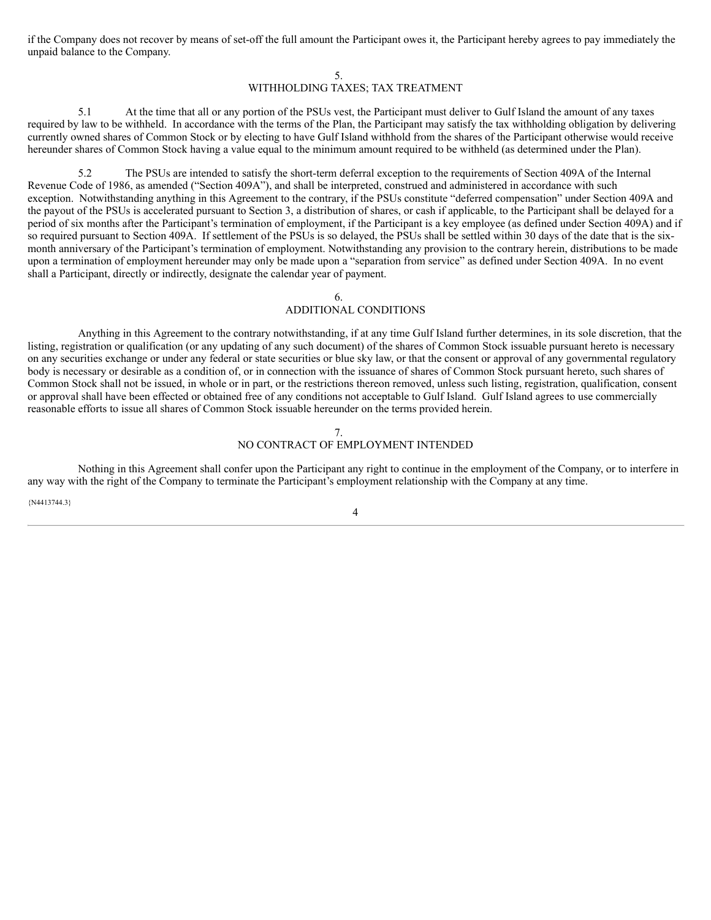if the Company does not recover by means of set-off the full amount the Participant owes it, the Participant hereby agrees to pay immediately the unpaid balance to the Company.

5.

# WITHHOLDING TAXES; TAX TREATMENT

5.1 At the time that all or any portion of the PSUs vest, the Participant must deliver to Gulf Island the amount of any taxes required by law to be withheld. In accordance with the terms of the Plan, the Participant may satisfy the tax withholding obligation by delivering currently owned shares of Common Stock or by electing to have Gulf Island withhold from the shares of the Participant otherwise would receive hereunder shares of Common Stock having a value equal to the minimum amount required to be withheld (as determined under the Plan).

5.2 The PSUs are intended to satisfy the short-term deferral exception to the requirements of Section 409A of the Internal Revenue Code of 1986, as amended ("Section 409A"), and shall be interpreted, construed and administered in accordance with such exception. Notwithstanding anything in this Agreement to the contrary, if the PSUs constitute "deferred compensation" under Section 409A and the payout of the PSUs is accelerated pursuant to Section 3, a distribution of shares, or cash if applicable, to the Participant shall be delayed for a period of six months after the Participant's termination of employment, if the Participant is a key employee (as defined under Section 409A) and if so required pursuant to Section 409A. If settlement of the PSUs is so delayed, the PSUs shall be settled within 30 days of the date that is the sixmonth anniversary of the Participant's termination of employment. Notwithstanding any provision to the contrary herein, distributions to be made upon a termination of employment hereunder may only be made upon a "separation from service" as defined under Section 409A. In no event shall a Participant, directly or indirectly, designate the calendar year of payment.

### 6. ADDITIONAL CONDITIONS

Anything in this Agreement to the contrary notwithstanding, if at any time Gulf Island further determines, in its sole discretion, that the listing, registration or qualification (or any updating of any such document) of the shares of Common Stock issuable pursuant hereto is necessary on any securities exchange or under any federal or state securities or blue sky law, or that the consent or approval of any governmental regulatory body is necessary or desirable as a condition of, or in connection with the issuance of shares of Common Stock pursuant hereto, such shares of Common Stock shall not be issued, in whole or in part, or the restrictions thereon removed, unless such listing, registration, qualification, consent or approval shall have been effected or obtained free of any conditions not acceptable to Gulf Island. Gulf Island agrees to use commercially reasonable efforts to issue all shares of Common Stock issuable hereunder on the terms provided herein.

### 7. NO CONTRACT OF EMPLOYMENT INTENDED

Nothing in this Agreement shall confer upon the Participant any right to continue in the employment of the Company, or to interfere in any way with the right of the Company to terminate the Participant's employment relationship with the Company at any time.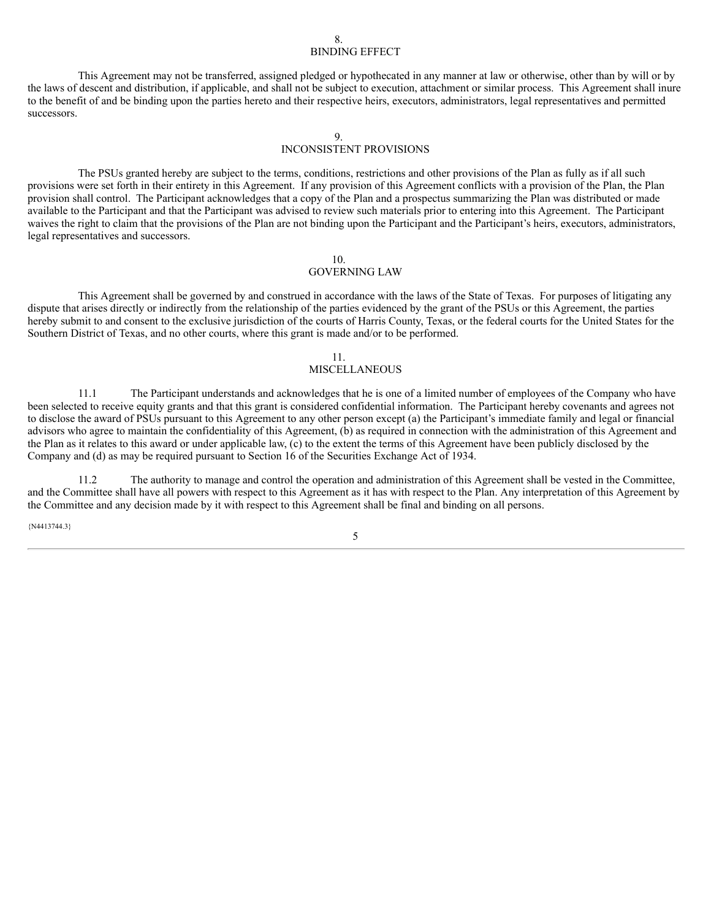#### 8. BINDING EFFECT

This Agreement may not be transferred, assigned pledged or hypothecated in any manner at law or otherwise, other than by will or by the laws of descent and distribution, if applicable, and shall not be subject to execution, attachment or similar process. This Agreement shall inure to the benefit of and be binding upon the parties hereto and their respective heirs, executors, administrators, legal representatives and permitted successors.

9.

### INCONSISTENT PROVISIONS

The PSUs granted hereby are subject to the terms, conditions, restrictions and other provisions of the Plan as fully as if all such provisions were set forth in their entirety in this Agreement. If any provision of this Agreement conflicts with a provision of the Plan, the Plan provision shall control. The Participant acknowledges that a copy of the Plan and a prospectus summarizing the Plan was distributed or made available to the Participant and that the Participant was advised to review such materials prior to entering into this Agreement. The Participant waives the right to claim that the provisions of the Plan are not binding upon the Participant and the Participant's heirs, executors, administrators, legal representatives and successors.

#### 10.

# GOVERNING LAW

This Agreement shall be governed by and construed in accordance with the laws of the State of Texas. For purposes of litigating any dispute that arises directly or indirectly from the relationship of the parties evidenced by the grant of the PSUs or this Agreement, the parties hereby submit to and consent to the exclusive jurisdiction of the courts of Harris County, Texas, or the federal courts for the United States for the Southern District of Texas, and no other courts, where this grant is made and/or to be performed.

#### 11.

# MISCELLANEOUS

11.1 The Participant understands and acknowledges that he is one of a limited number of employees of the Company who have been selected to receive equity grants and that this grant is considered confidential information. The Participant hereby covenants and agrees not to disclose the award of PSUs pursuant to this Agreement to any other person except (a) the Participant's immediate family and legal or financial advisors who agree to maintain the confidentiality of this Agreement, (b) as required in connection with the administration of this Agreement and the Plan as it relates to this award or under applicable law, (c) to the extent the terms of this Agreement have been publicly disclosed by the Company and (d) as may be required pursuant to Section 16 of the Securities Exchange Act of 1934.

11.2 The authority to manage and control the operation and administration of this Agreement shall be vested in the Committee, and the Committee shall have all powers with respect to this Agreement as it has with respect to the Plan. Any interpretation of this Agreement by the Committee and any decision made by it with respect to this Agreement shall be final and binding on all persons.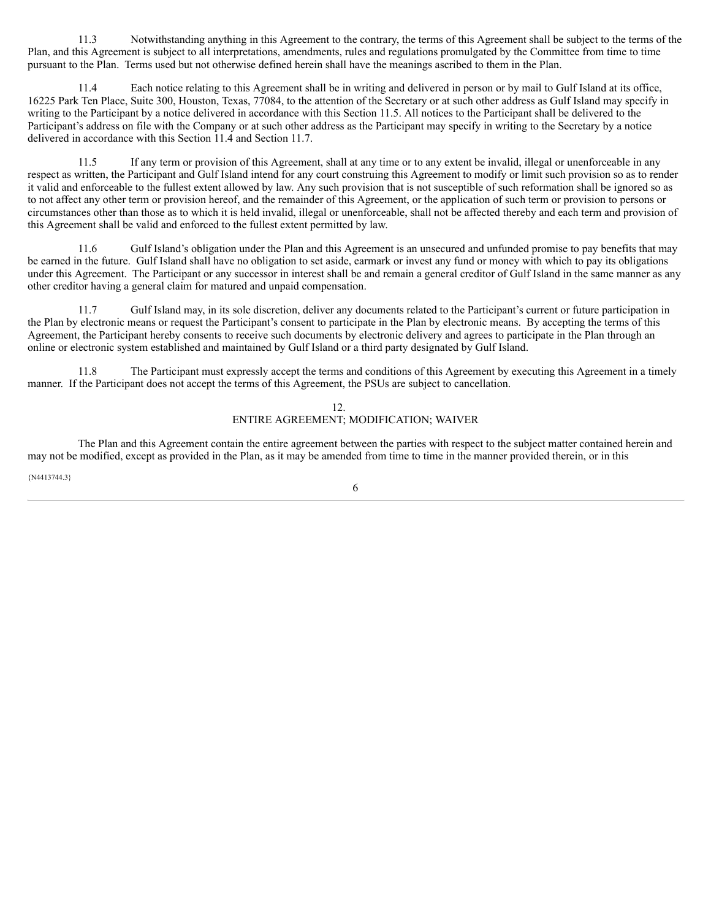11.3 Notwithstanding anything in this Agreement to the contrary, the terms of this Agreement shall be subject to the terms of the Plan, and this Agreement is subject to all interpretations, amendments, rules and regulations promulgated by the Committee from time to time pursuant to the Plan. Terms used but not otherwise defined herein shall have the meanings ascribed to them in the Plan.

11.4 Each notice relating to this Agreement shall be in writing and delivered in person or by mail to Gulf Island at its office, 16225 Park Ten Place, Suite 300, Houston, Texas, 77084, to the attention of the Secretary or at such other address as Gulf Island may specify in writing to the Participant by a notice delivered in accordance with this Section 11.5. All notices to the Participant shall be delivered to the Participant's address on file with the Company or at such other address as the Participant may specify in writing to the Secretary by a notice delivered in accordance with this Section 11.4 and Section 11.7.

11.5 If any term or provision of this Agreement, shall at any time or to any extent be invalid, illegal or unenforceable in any respect as written, the Participant and Gulf Island intend for any court construing this Agreement to modify or limit such provision so as to render it valid and enforceable to the fullest extent allowed by law. Any such provision that is not susceptible of such reformation shall be ignored so as to not affect any other term or provision hereof, and the remainder of this Agreement, or the application of such term or provision to persons or circumstances other than those as to which it is held invalid, illegal or unenforceable, shall not be affected thereby and each term and provision of this Agreement shall be valid and enforced to the fullest extent permitted by law.

11.6 Gulf Island's obligation under the Plan and this Agreement is an unsecured and unfunded promise to pay benefits that may be earned in the future. Gulf Island shall have no obligation to set aside, earmark or invest any fund or money with which to pay its obligations under this Agreement. The Participant or any successor in interest shall be and remain a general creditor of Gulf Island in the same manner as any other creditor having a general claim for matured and unpaid compensation.

11.7 Gulf Island may, in its sole discretion, deliver any documents related to the Participant's current or future participation in the Plan by electronic means or request the Participant's consent to participate in the Plan by electronic means. By accepting the terms of this Agreement, the Participant hereby consents to receive such documents by electronic delivery and agrees to participate in the Plan through an online or electronic system established and maintained by Gulf Island or a third party designated by Gulf Island.

11.8 The Participant must expressly accept the terms and conditions of this Agreement by executing this Agreement in a timely manner. If the Participant does not accept the terms of this Agreement, the PSUs are subject to cancellation.

## 12. ENTIRE AGREEMENT; MODIFICATION; WAIVER

The Plan and this Agreement contain the entire agreement between the parties with respect to the subject matter contained herein and may not be modified, except as provided in the Plan, as it may be amended from time to time in the manner provided therein, or in this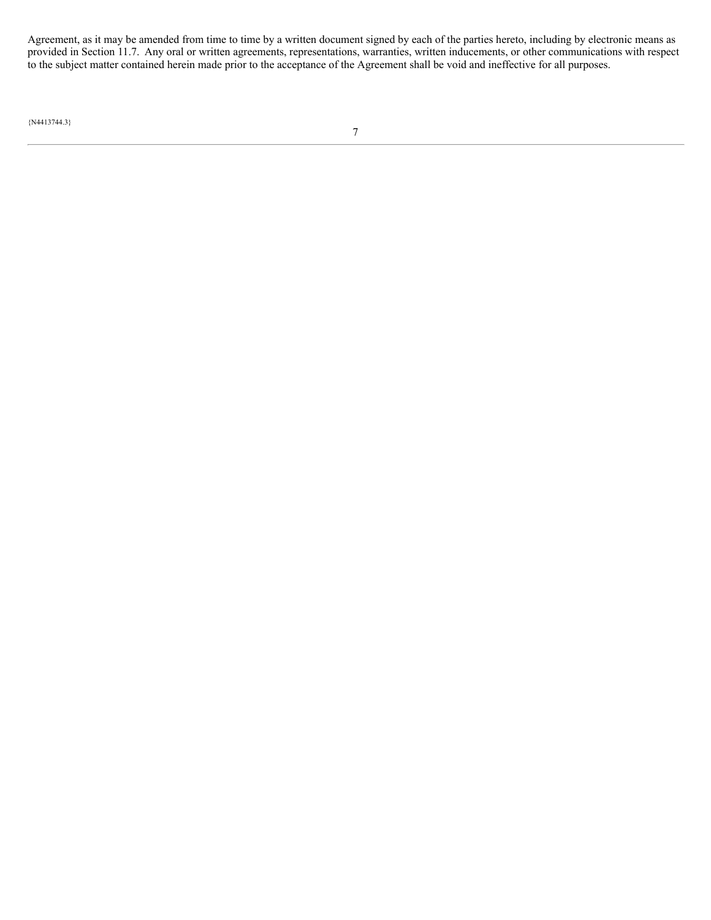Agreement, as it may be amended from time to time by a written document signed by each of the parties hereto, including by electronic means as provided in Section 11.7. Any oral or written agreements, representations, warranties, written inducements, or other communications with respect to the subject matter contained herein made prior to the acceptance of the Agreement shall be void and ineffective for all purposes.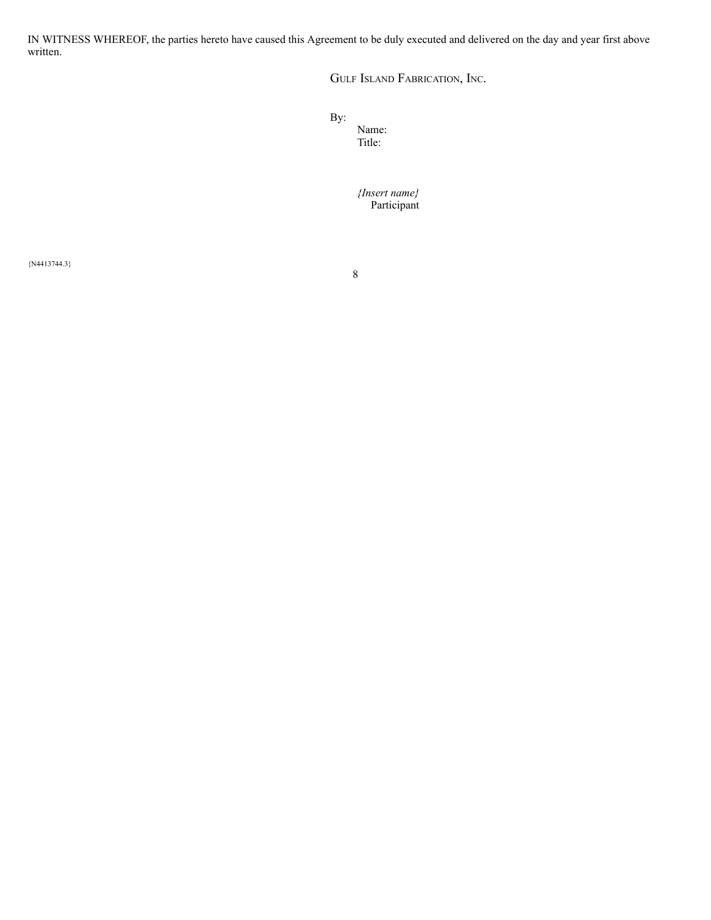IN WITNESS WHEREOF, the parties hereto have caused this Agreement to be duly executed and delivered on the day and year first above written.

GULF ISLAND FABRICATION, INC.

By:

Name: Title:

*{Insert name}* Participant

{N4413744.3}

8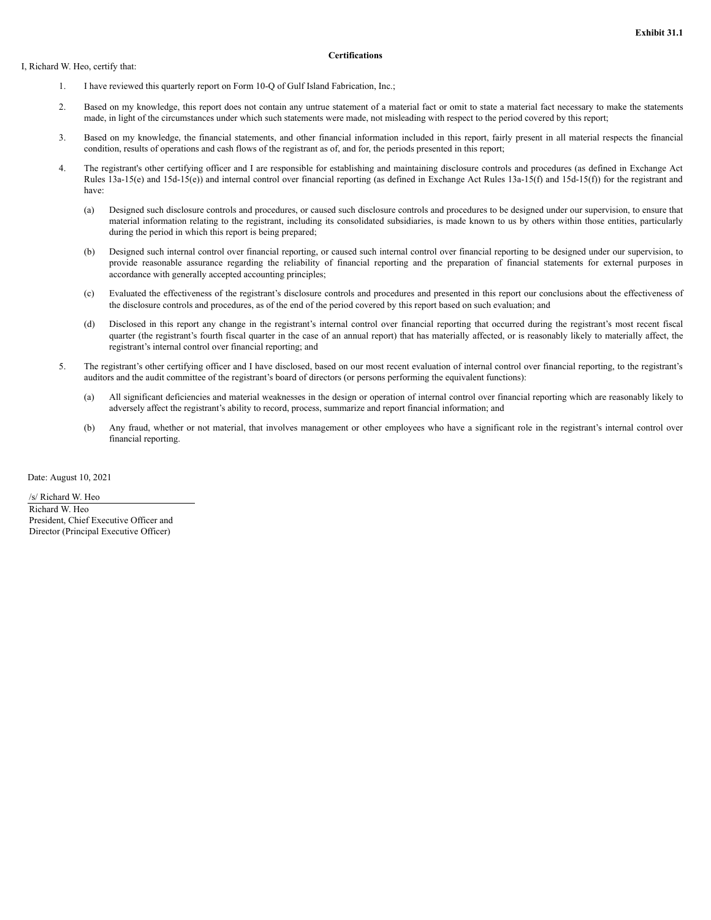#### I, Richard W. Heo, certify that:

#### **Certifications**

- 1. I have reviewed this quarterly report on Form 10-Q of Gulf Island Fabrication, Inc.;
- 2. Based on my knowledge, this report does not contain any untrue statement of a material fact or omit to state a material fact necessary to make the statements made, in light of the circumstances under which such statements were made, not misleading with respect to the period covered by this report;
- 3. Based on my knowledge, the financial statements, and other financial information included in this report, fairly present in all material respects the financial condition, results of operations and cash flows of the registrant as of, and for, the periods presented in this report;
- 4. The registrant's other certifying officer and I are responsible for establishing and maintaining disclosure controls and procedures (as defined in Exchange Act Rules 13a-15(e) and 15d-15(e)) and internal control over financial reporting (as defined in Exchange Act Rules 13a-15(f) and 15d-15(f)) for the registrant and have:
	- (a) Designed such disclosure controls and procedures, or caused such disclosure controls and procedures to be designed under our supervision, to ensure that material information relating to the registrant, including its consolidated subsidiaries, is made known to us by others within those entities, particularly during the period in which this report is being prepared;
	- (b) Designed such internal control over financial reporting, or caused such internal control over financial reporting to be designed under our supervision, to provide reasonable assurance regarding the reliability of financial reporting and the preparation of financial statements for external purposes in accordance with generally accepted accounting principles;
	- (c) Evaluated the effectiveness of the registrant's disclosure controls and procedures and presented in this report our conclusions about the effectiveness of the disclosure controls and procedures, as of the end of the period covered by this report based on such evaluation; and
	- (d) Disclosed in this report any change in the registrant's internal control over financial reporting that occurred during the registrant's most recent fiscal quarter (the registrant's fourth fiscal quarter in the case of an annual report) that has materially affected, or is reasonably likely to materially affect, the registrant's internal control over financial reporting; and
- 5. The registrant's other certifying officer and I have disclosed, based on our most recent evaluation of internal control over financial reporting, to the registrant's auditors and the audit committee of the registrant's board of directors (or persons performing the equivalent functions):
	- (a) All significant deficiencies and material weaknesses in the design or operation of internal control over financial reporting which are reasonably likely to adversely affect the registrant's ability to record, process, summarize and report financial information; and
	- (b) Any fraud, whether or not material, that involves management or other employees who have a significant role in the registrant's internal control over financial reporting.

Date: August 10, 2021

/s/ Richard W. Heo Richard W. Heo President, Chief Executive Officer and Director (Principal Executive Officer)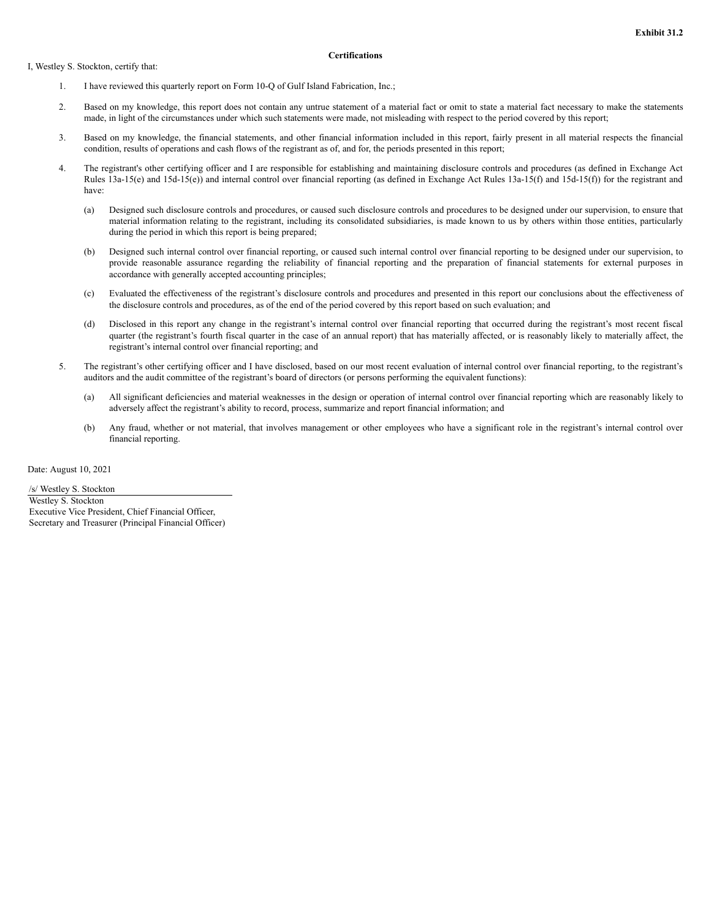I, Westley S. Stockton, certify that:

#### **Certifications**

- 1. I have reviewed this quarterly report on Form 10-Q of Gulf Island Fabrication, Inc.;
- 2. Based on my knowledge, this report does not contain any untrue statement of a material fact or omit to state a material fact necessary to make the statements made, in light of the circumstances under which such statements were made, not misleading with respect to the period covered by this report;
- 3. Based on my knowledge, the financial statements, and other financial information included in this report, fairly present in all material respects the financial condition, results of operations and cash flows of the registrant as of, and for, the periods presented in this report;
- 4. The registrant's other certifying officer and I are responsible for establishing and maintaining disclosure controls and procedures (as defined in Exchange Act Rules 13a-15(e) and 15d-15(e)) and internal control over financial reporting (as defined in Exchange Act Rules 13a-15(f) and 15d-15(f)) for the registrant and have:
	- (a) Designed such disclosure controls and procedures, or caused such disclosure controls and procedures to be designed under our supervision, to ensure that material information relating to the registrant, including its consolidated subsidiaries, is made known to us by others within those entities, particularly during the period in which this report is being prepared;
	- (b) Designed such internal control over financial reporting, or caused such internal control over financial reporting to be designed under our supervision, to provide reasonable assurance regarding the reliability of financial reporting and the preparation of financial statements for external purposes in accordance with generally accepted accounting principles;
	- (c) Evaluated the effectiveness of the registrant's disclosure controls and procedures and presented in this report our conclusions about the effectiveness of the disclosure controls and procedures, as of the end of the period covered by this report based on such evaluation; and
	- (d) Disclosed in this report any change in the registrant's internal control over financial reporting that occurred during the registrant's most recent fiscal quarter (the registrant's fourth fiscal quarter in the case of an annual report) that has materially affected, or is reasonably likely to materially affect, the registrant's internal control over financial reporting; and
- 5. The registrant's other certifying officer and I have disclosed, based on our most recent evaluation of internal control over financial reporting, to the registrant's auditors and the audit committee of the registrant's board of directors (or persons performing the equivalent functions):
	- (a) All significant deficiencies and material weaknesses in the design or operation of internal control over financial reporting which are reasonably likely to adversely affect the registrant's ability to record, process, summarize and report financial information; and
	- (b) Any fraud, whether or not material, that involves management or other employees who have a significant role in the registrant's internal control over financial reporting.

Date: August 10, 2021

/s/ Westley S. Stockton Westley S. Stockton Executive Vice President, Chief Financial Officer, Secretary and Treasurer (Principal Financial Officer)